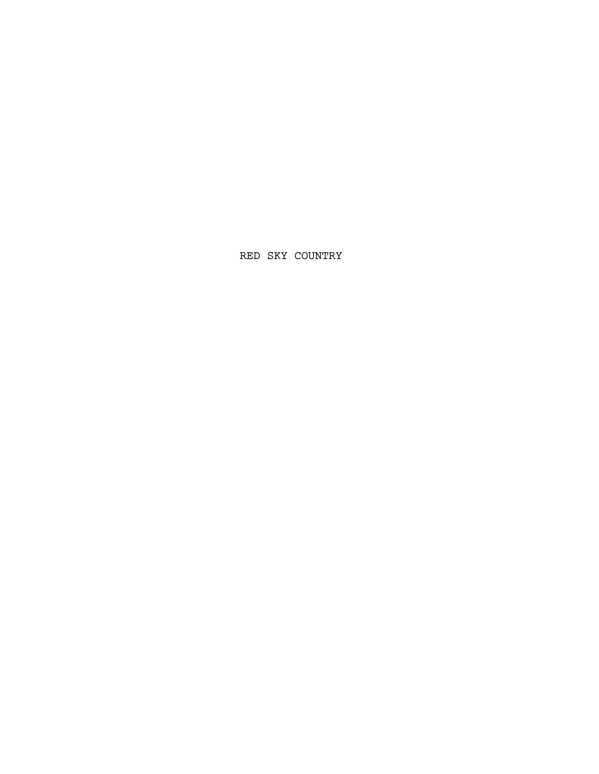RED SKY COUNTRY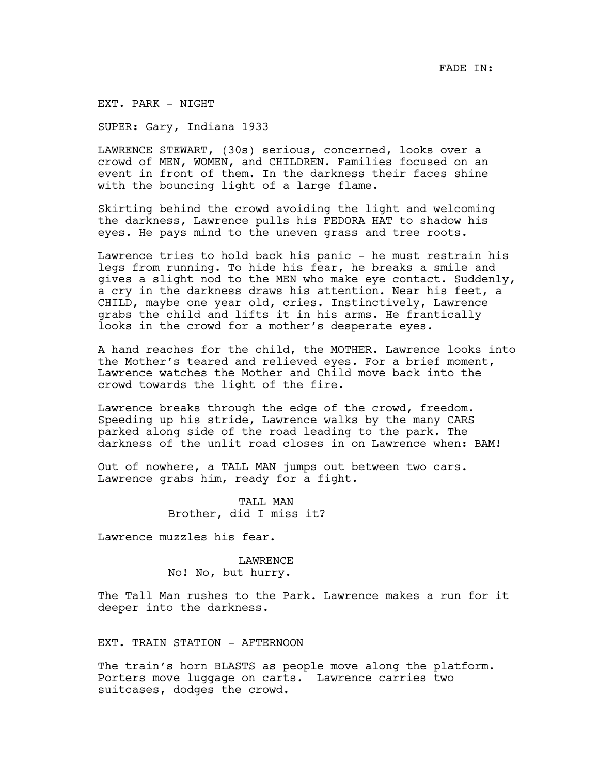EXT. PARK - NIGHT

SUPER: Gary, Indiana 1933

LAWRENCE STEWART, (30s) serious, concerned, looks over a crowd of MEN, WOMEN, and CHILDREN. Families focused on an event in front of them. In the darkness their faces shine with the bouncing light of a large flame.

Skirting behind the crowd avoiding the light and welcoming the darkness, Lawrence pulls his FEDORA HAT to shadow his eyes. He pays mind to the uneven grass and tree roots.

Lawrence tries to hold back his panic - he must restrain his legs from running. To hide his fear, he breaks a smile and gives a slight nod to the MEN who make eye contact. Suddenly, a cry in the darkness draws his attention. Near his feet, a CHILD, maybe one year old, cries. Instinctively, Lawrence grabs the child and lifts it in his arms. He frantically looks in the crowd for a mother's desperate eyes.

A hand reaches for the child, the MOTHER. Lawrence looks into the Mother's teared and relieved eyes. For a brief moment, Lawrence watches the Mother and Child move back into the crowd towards the light of the fire.

Lawrence breaks through the edge of the crowd, freedom. Speeding up his stride, Lawrence walks by the many CARS parked along side of the road leading to the park. The darkness of the unlit road closes in on Lawrence when: BAM!

Out of nowhere, a TALL MAN jumps out between two cars. Lawrence grabs him, ready for a fight.

> TALL MAN Brother, did I miss it?

Lawrence muzzles his fear.

LAWRENCE No! No, but hurry.

The Tall Man rushes to the Park. Lawrence makes a run for it deeper into the darkness.

EXT. TRAIN STATION - AFTERNOON

The train's horn BLASTS as people move along the platform. Porters move luggage on carts. Lawrence carries two suitcases, dodges the crowd.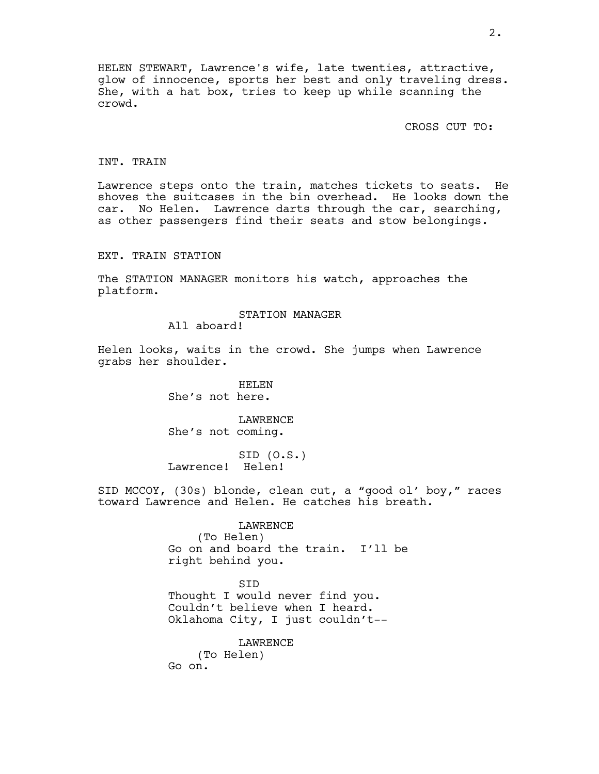HELEN STEWART, Lawrence's wife, late twenties, attractive, glow of innocence, sports her best and only traveling dress. She, with a hat box, tries to keep up while scanning the crowd.

CROSS CUT TO:

## INT. TRAIN

Lawrence steps onto the train, matches tickets to seats. He shoves the suitcases in the bin overhead. He looks down the car. No Helen. Lawrence darts through the car, searching, as other passengers find their seats and stow belongings.

EXT. TRAIN STATION

The STATION MANAGER monitors his watch, approaches the platform.

#### STATION MANAGER

All aboard!

Helen looks, waits in the crowd. She jumps when Lawrence grabs her shoulder.

> HELEN She's not here.

LAWRENCE She's not coming.

SID (O.S.) Lawrence! Helen!

SID MCCOY, (30s) blonde, clean cut, a "good ol' boy," races toward Lawrence and Helen. He catches his breath.

> LAWRENCE (To Helen) Go on and board the train. I'll be right behind you.

SID Thought I would never find you. Couldn't believe when I heard. Oklahoma City, I just couldn't--

**LAWRENCE** (To Helen) Go on.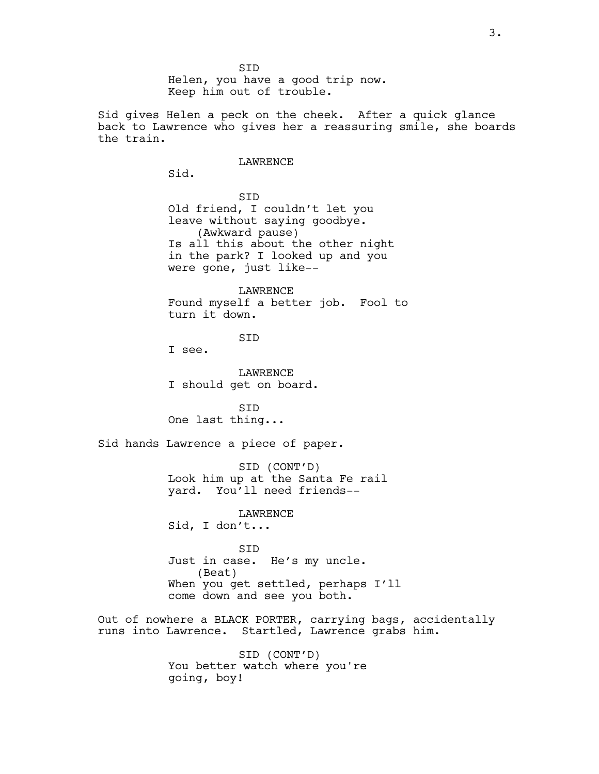SID Helen, you have a good trip now. Keep him out of trouble.

Sid gives Helen a peck on the cheek. After a quick glance back to Lawrence who gives her a reassuring smile, she boards the train.

### LAWRENCE

Sid.

SID Old friend, I couldn't let you leave without saying goodbye. (Awkward pause) Is all this about the other night in the park? I looked up and you were gone, just like--

LAWRENCE Found myself a better job. Fool to turn it down.

SID

I see.

LAWRENCE I should get on board.

SID One last thing...

Sid hands Lawrence a piece of paper.

SID (CONT'D) Look him up at the Santa Fe rail yard. You'll need friends--

LAWRENCE Sid, I don't...

SID Just in case. He's my uncle. (Beat) When you get settled, perhaps I'll come down and see you both.

Out of nowhere a BLACK PORTER, carrying bags, accidentally runs into Lawrence. Startled, Lawrence grabs him.

> SID (CONT'D) You better watch where you're going, boy!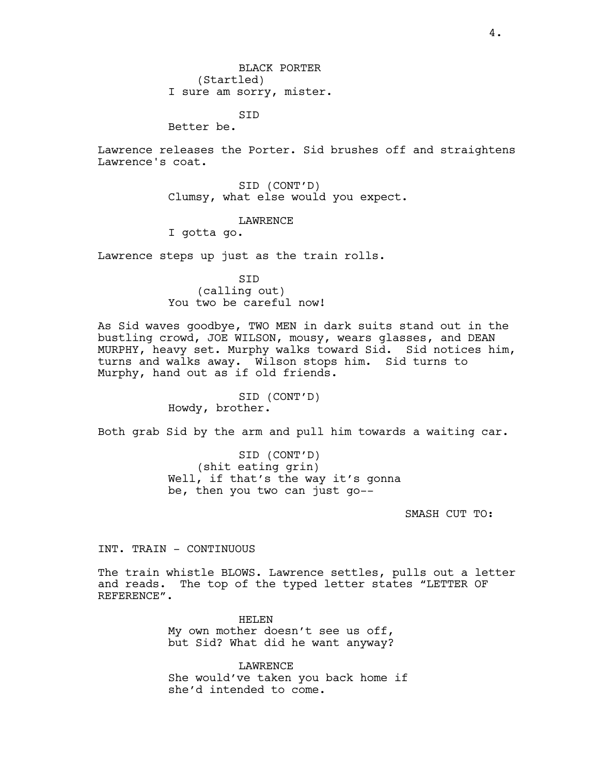SID

Better be.

Lawrence releases the Porter. Sid brushes off and straightens Lawrence's coat.

> SID (CONT'D) Clumsy, what else would you expect.

### LAWRENCE

I gotta go.

Lawrence steps up just as the train rolls.

SID (calling out) You two be careful now!

As Sid waves goodbye, TWO MEN in dark suits stand out in the bustling crowd, JOE WILSON, mousy, wears glasses, and DEAN MURPHY, heavy set. Murphy walks toward Sid. Sid notices him, turns and walks away. Wilson stops him. Sid turns to Murphy, hand out as if old friends.

> SID (CONT'D) Howdy, brother.

Both grab Sid by the arm and pull him towards a waiting car.

SID (CONT'D) (shit eating grin) Well, if that's the way it's gonna be, then you two can just go--

SMASH CUT TO:

INT. TRAIN - CONTINUOUS

The train whistle BLOWS. Lawrence settles, pulls out a letter and reads. The top of the typed letter states "LETTER OF REFERENCE".

> HELEN My own mother doesn't see us off, but Sid? What did he want anyway?

LAWRENCE She would've taken you back home if she'd intended to come.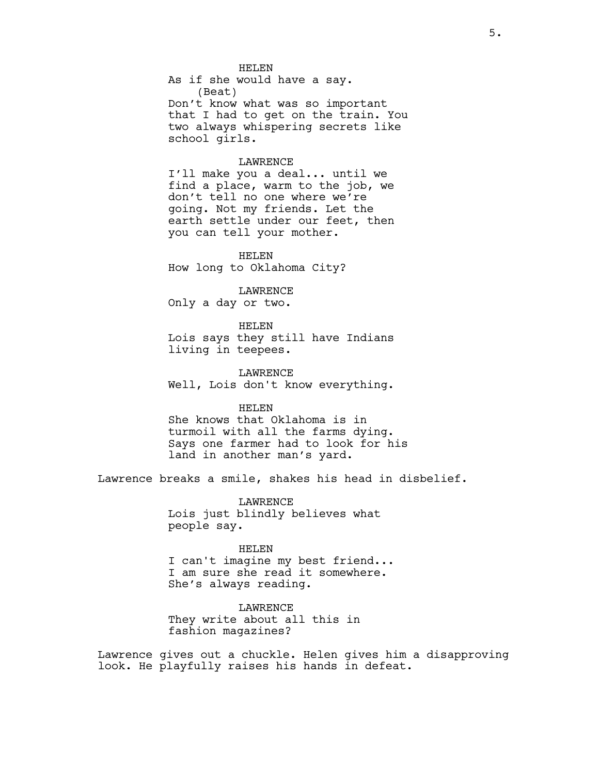HELEN As if she would have a say. (Beat) Don't know what was so important that I had to get on the train. You two always whispering secrets like school girls.

#### LAWRENCE

I'll make you a deal... until we find a place, warm to the job, we don't tell no one where we're going. Not my friends. Let the earth settle under our feet, then you can tell your mother.

HELEN How long to Oklahoma City?

LAWRENCE Only a day or two.

HELEN Lois says they still have Indians living in teepees.

LAWRENCE Well, Lois don't know everything.

# HELEN

She knows that Oklahoma is in turmoil with all the farms dying. Says one farmer had to look for his land in another man's yard.

Lawrence breaks a smile, shakes his head in disbelief.

LAWRENCE Lois just blindly believes what people say.

#### HELEN

I can't imagine my best friend... I am sure she read it somewhere. She's always reading.

LAWRENCE They write about all this in fashion magazines?

Lawrence gives out a chuckle. Helen gives him a disapproving look. He playfully raises his hands in defeat.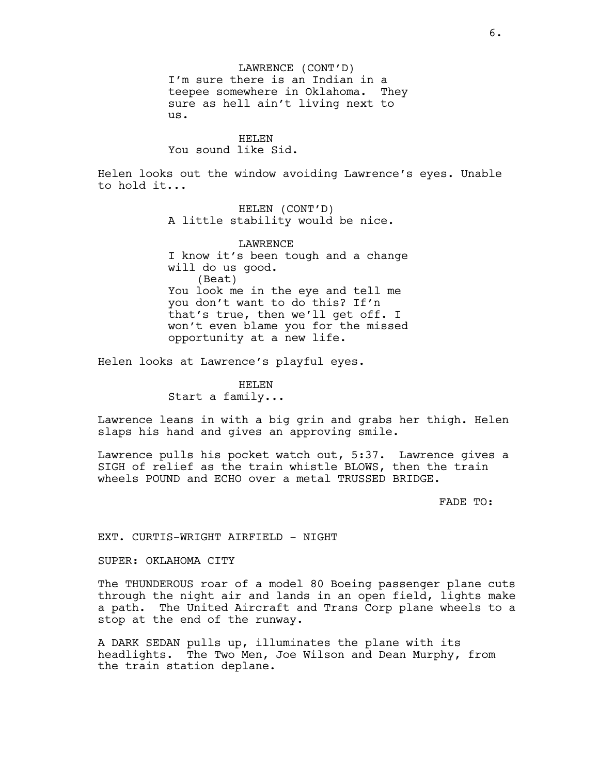LAWRENCE (CONT'D) I'm sure there is an Indian in a teepee somewhere in Oklahoma. They sure as hell ain't living next to us.

#### HELEN

You sound like Sid.

Helen looks out the window avoiding Lawrence's eyes. Unable to hold it...

> HELEN (CONT'D) A little stability would be nice.

LAWRENCE I know it's been tough and a change will do us good. (Beat) You look me in the eye and tell me you don't want to do this? If'n that's true, then we'll get off. I won't even blame you for the missed opportunity at a new life.

Helen looks at Lawrence's playful eyes.

HELEN Start a family...

Lawrence leans in with a big grin and grabs her thigh. Helen slaps his hand and gives an approving smile.

Lawrence pulls his pocket watch out, 5:37. Lawrence gives a SIGH of relief as the train whistle BLOWS, then the train wheels POUND and ECHO over a metal TRUSSED BRIDGE.

FADE TO:

EXT. CURTIS-WRIGHT AIRFIELD - NIGHT

SUPER: OKLAHOMA CITY

The THUNDEROUS roar of a model 80 Boeing passenger plane cuts through the night air and lands in an open field, lights make a path. The United Aircraft and Trans Corp plane wheels to a stop at the end of the runway.

A DARK SEDAN pulls up, illuminates the plane with its headlights. The Two Men, Joe Wilson and Dean Murphy, from the train station deplane.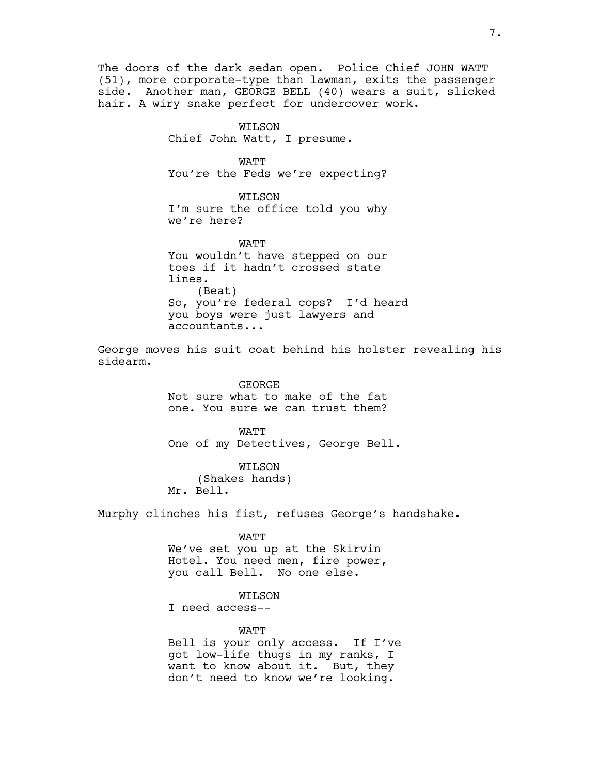The doors of the dark sedan open. Police Chief JOHN WATT (51), more corporate-type than lawman, exits the passenger side. Another man, GEORGE BELL (40) wears a suit, slicked hair. A wiry snake perfect for undercover work.

> WILSON Chief John Watt, I presume.

WATT You're the Feds we're expecting?

WILSON I'm sure the office told you why we're here?

**WATT** You wouldn't have stepped on our toes if it hadn't crossed state lines. (Beat) So, you're federal cops? I'd heard you boys were just lawyers and accountants...

George moves his suit coat behind his holster revealing his sidearm.

> GEORGE Not sure what to make of the fat one. You sure we can trust them?

WATT One of my Detectives, George Bell.

WILSON (Shakes hands) Mr. Bell.

Murphy clinches his fist, refuses George's handshake.

WATT We've set you up at the Skirvin Hotel. You need men, fire power, you call Bell. No one else.

#### WILSON

I need access--

**WATT** Bell is your only access. If I've got low-life thugs in my ranks, I want to know about it. But, they don't need to know we're looking.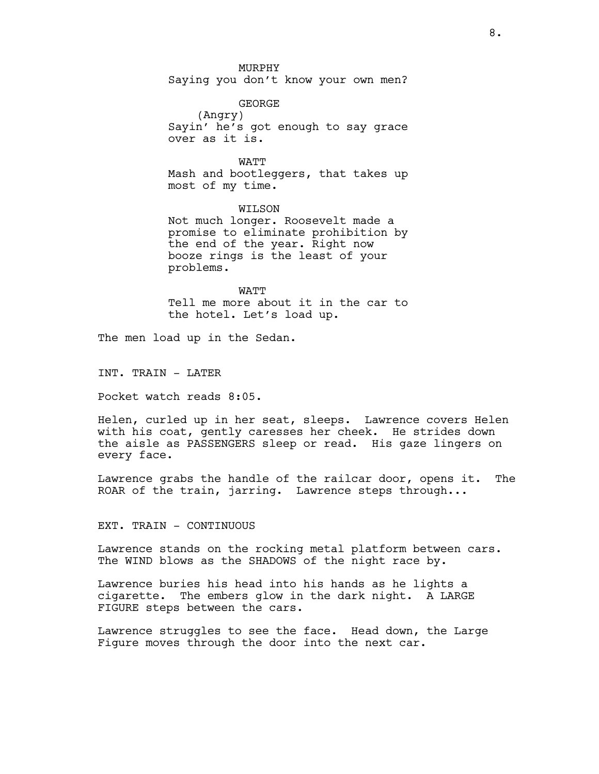MURPHY Saying you don't know your own men?

GEORGE (Angry) Sayin' he's got enough to say grace over as it is.

**WATT** Mash and bootleggers, that takes up most of my time.

WILSON Not much longer. Roosevelt made a promise to eliminate prohibition by the end of the year. Right now booze rings is the least of your

WATT Tell me more about it in the car to the hotel. Let's load up.

The men load up in the Sedan.

problems.

INT. TRAIN - LATER

Pocket watch reads 8:05.

Helen, curled up in her seat, sleeps. Lawrence covers Helen with his coat, gently caresses her cheek. He strides down the aisle as PASSENGERS sleep or read. His gaze lingers on every face.

Lawrence grabs the handle of the railcar door, opens it. The ROAR of the train, jarring. Lawrence steps through...

EXT. TRAIN - CONTINUOUS

Lawrence stands on the rocking metal platform between cars. The WIND blows as the SHADOWS of the night race by.

Lawrence buries his head into his hands as he lights a cigarette. The embers glow in the dark night. A LARGE FIGURE steps between the cars.

Lawrence struggles to see the face. Head down, the Large Figure moves through the door into the next car.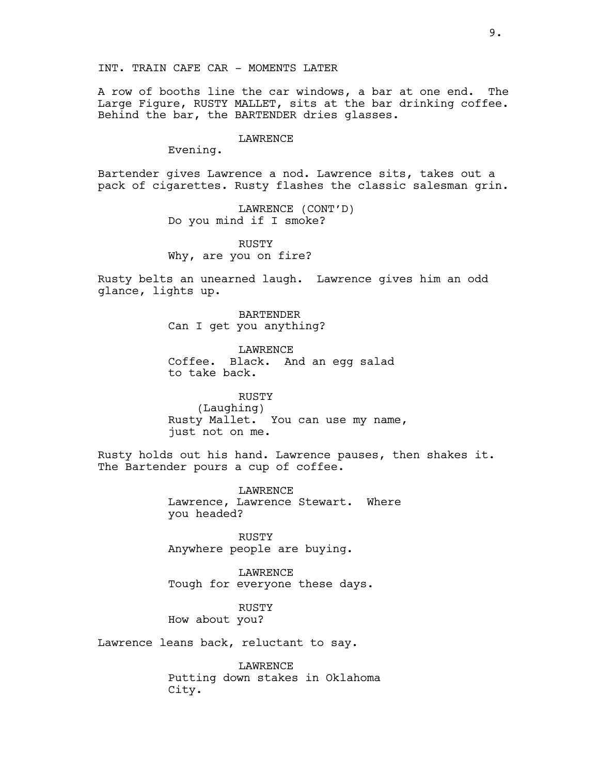A row of booths line the car windows, a bar at one end. The Large Figure, RUSTY MALLET, sits at the bar drinking coffee. Behind the bar, the BARTENDER dries glasses.

#### LAWRENCE

Evening.

Bartender gives Lawrence a nod. Lawrence sits, takes out a pack of cigarettes. Rusty flashes the classic salesman grin.

> LAWRENCE (CONT'D) Do you mind if I smoke?

RUSTY Why, are you on fire?

Rusty belts an unearned laugh. Lawrence gives him an odd glance, lights up.

> BARTENDER Can I get you anything?

LAWRENCE Coffee. Black. And an egg salad to take back.

RUSTY (Laughing) Rusty Mallet. You can use my name, just not on me.

Rusty holds out his hand. Lawrence pauses, then shakes it. The Bartender pours a cup of coffee.

> LAWRENCE Lawrence, Lawrence Stewart. Where you headed?

RUSTY Anywhere people are buying.

LAWRENCE Tough for everyone these days.

RUSTY How about you?

Lawrence leans back, reluctant to say.

LAWRENCE Putting down stakes in Oklahoma City.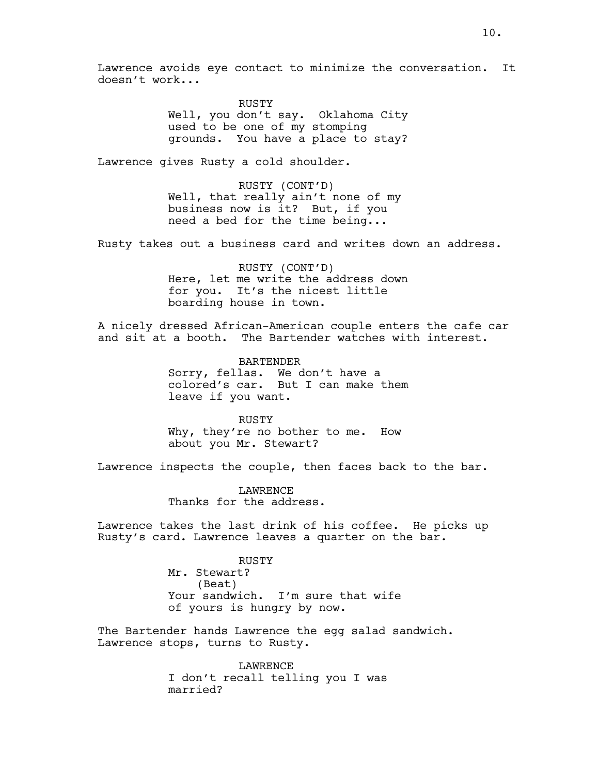Lawrence avoids eye contact to minimize the conversation. It doesn't work...

> RUSTY Well, you don't say. Oklahoma City used to be one of my stomping grounds. You have a place to stay?

Lawrence gives Rusty a cold shoulder.

RUSTY (CONT'D) Well, that really ain't none of my business now is it? But, if you need a bed for the time being...

Rusty takes out a business card and writes down an address.

RUSTY (CONT'D) Here, let me write the address down for you. It's the nicest little boarding house in town.

A nicely dressed African-American couple enters the cafe car and sit at a booth. The Bartender watches with interest.

> BARTENDER Sorry, fellas. We don't have a colored's car. But I can make them leave if you want.

RUSTY Why, they're no bother to me. How about you Mr. Stewart?

Lawrence inspects the couple, then faces back to the bar.

LAWRENCE Thanks for the address.

Lawrence takes the last drink of his coffee. He picks up Rusty's card. Lawrence leaves a quarter on the bar.

> RUSTY Mr. Stewart? (Beat) Your sandwich. I'm sure that wife of yours is hungry by now.

The Bartender hands Lawrence the egg salad sandwich. Lawrence stops, turns to Rusty.

> LAWRENCE I don't recall telling you I was married?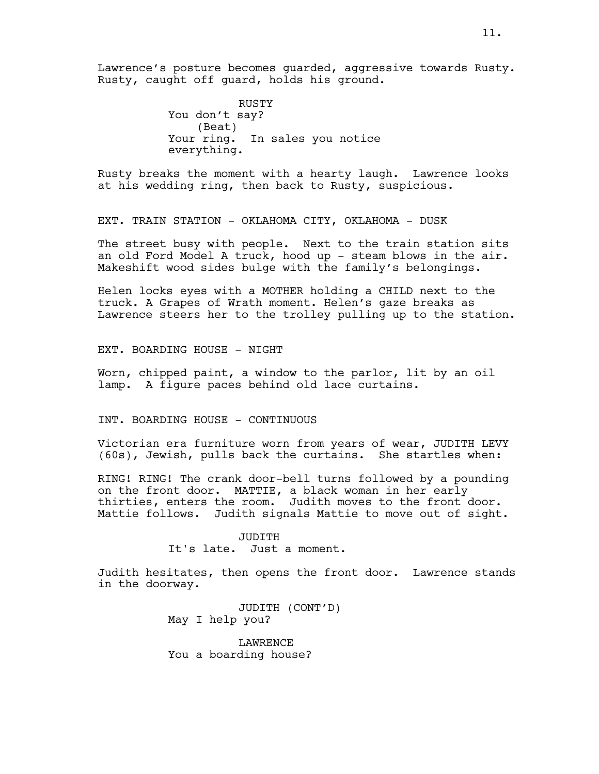Lawrence's posture becomes guarded, aggressive towards Rusty. Rusty, caught off guard, holds his ground.

> RUSTY You don't say? (Beat) Your ring. In sales you notice everything.

Rusty breaks the moment with a hearty laugh. Lawrence looks at his wedding ring, then back to Rusty, suspicious.

EXT. TRAIN STATION - OKLAHOMA CITY, OKLAHOMA - DUSK

The street busy with people. Next to the train station sits an old Ford Model A truck, hood up - steam blows in the air. Makeshift wood sides bulge with the family's belongings.

Helen locks eyes with a MOTHER holding a CHILD next to the truck. A Grapes of Wrath moment. Helen's gaze breaks as Lawrence steers her to the trolley pulling up to the station.

EXT. BOARDING HOUSE - NIGHT

Worn, chipped paint, a window to the parlor, lit by an oil lamp. A figure paces behind old lace curtains.

INT. BOARDING HOUSE - CONTINUOUS

Victorian era furniture worn from years of wear, JUDITH LEVY (60s), Jewish, pulls back the curtains. She startles when:

RING! RING! The crank door-bell turns followed by a pounding on the front door. MATTIE, a black woman in her early thirties, enters the room. Judith moves to the front door. Mattie follows. Judith signals Mattie to move out of sight.

> JUDITH It's late. Just a moment.

Judith hesitates, then opens the front door. Lawrence stands in the doorway.

> JUDITH (CONT'D) May I help you?

**LAWRENCE** You a boarding house?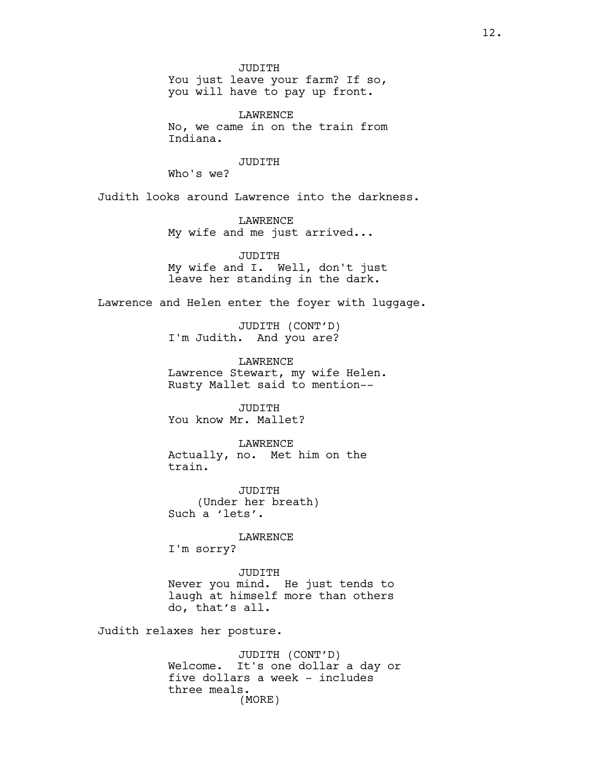JUDITH You just leave your farm? If so, you will have to pay up front.

LAWRENCE No, we came in on the train from Indiana.

JUDITH

Who's we?

Judith looks around Lawrence into the darkness.

LAWRENCE My wife and me just arrived...

JUDITH My wife and I. Well, don't just leave her standing in the dark.

Lawrence and Helen enter the foyer with luggage.

JUDITH (CONT'D) I'm Judith. And you are?

LAWRENCE Lawrence Stewart, my wife Helen. Rusty Mallet said to mention--

JUDITH You know Mr. Mallet?

LAWRENCE Actually, no. Met him on the train.

JUDITH (Under her breath) Such a 'lets'.

LAWRENCE

I'm sorry?

JUDITH Never you mind. He just tends to laugh at himself more than others do, that's all.

Judith relaxes her posture.

JUDITH (CONT'D) Welcome. It's one dollar a day or five dollars a week - includes three meals. (MORE)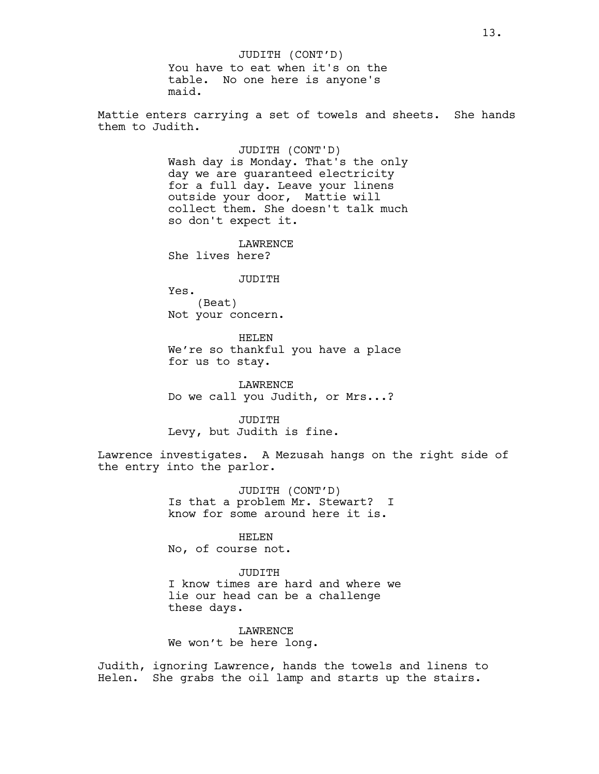JUDITH (CONT'D)

You have to eat when it's on the table. No one here is anyone's maid.

Mattie enters carrying a set of towels and sheets. She hands them to Judith.

> JUDITH (CONT'D) Wash day is Monday. That's the only day we are guaranteed electricity for a full day. Leave your linens outside your door, Mattie will collect them. She doesn't talk much so don't expect it.

LAWRENCE She lives here?

### JUDITH

Yes. (Beat) Not your concern.

HELEN We're so thankful you have a place for us to stay.

LAWRENCE Do we call you Judith, or Mrs...?

JUDITH Levy, but Judith is fine.

Lawrence investigates. A Mezusah hangs on the right side of the entry into the parlor.

> JUDITH (CONT'D) Is that a problem Mr. Stewart? I know for some around here it is.

> > HELEN

No, of course not.

JUDITH I know times are hard and where we lie our head can be a challenge these days.

LAWRENCE We won't be here long.

Judith, ignoring Lawrence, hands the towels and linens to Helen. She grabs the oil lamp and starts up the stairs.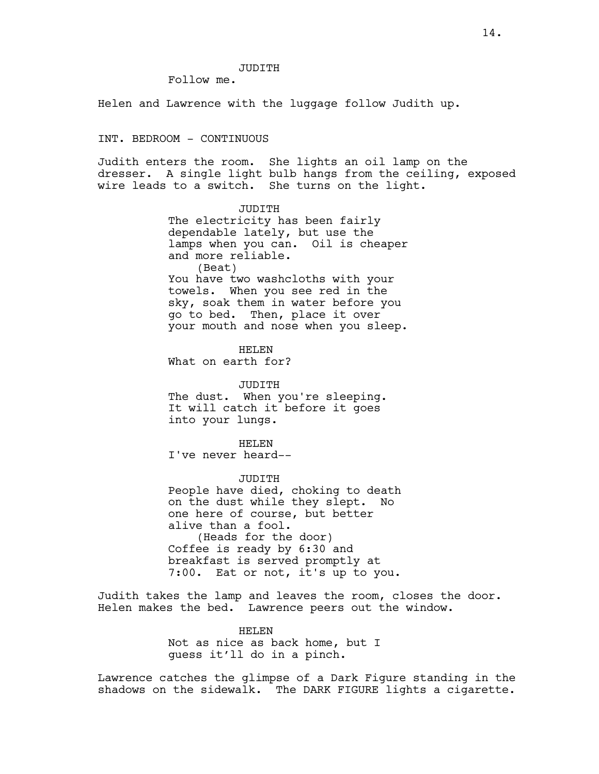#### JUDITH

Follow me.

Helen and Lawrence with the luggage follow Judith up.

#### INT. BEDROOM - CONTINUOUS

Judith enters the room. She lights an oil lamp on the dresser. A single light bulb hangs from the ceiling, exposed wire leads to a switch. She turns on the light.

> JUDITH The electricity has been fairly dependable lately, but use the lamps when you can. Oil is cheaper and more reliable. (Beat) You have two washcloths with your towels. When you see red in the sky, soak them in water before you go to bed. Then, place it over your mouth and nose when you sleep.

HELEN What on earth for?

JUDITH The dust. When you're sleeping. It will catch it before it goes into your lungs.

HELEN I've never heard--

JUDITH People have died, choking to death on the dust while they slept. No one here of course, but better alive than a fool. (Heads for the door) Coffee is ready by 6:30 and breakfast is served promptly at 7:00. Eat or not, it's up to you.

Judith takes the lamp and leaves the room, closes the door. Helen makes the bed. Lawrence peers out the window.

> HELEN Not as nice as back home, but I guess it'll do in a pinch.

Lawrence catches the glimpse of a Dark Figure standing in the shadows on the sidewalk. The DARK FIGURE lights a cigarette.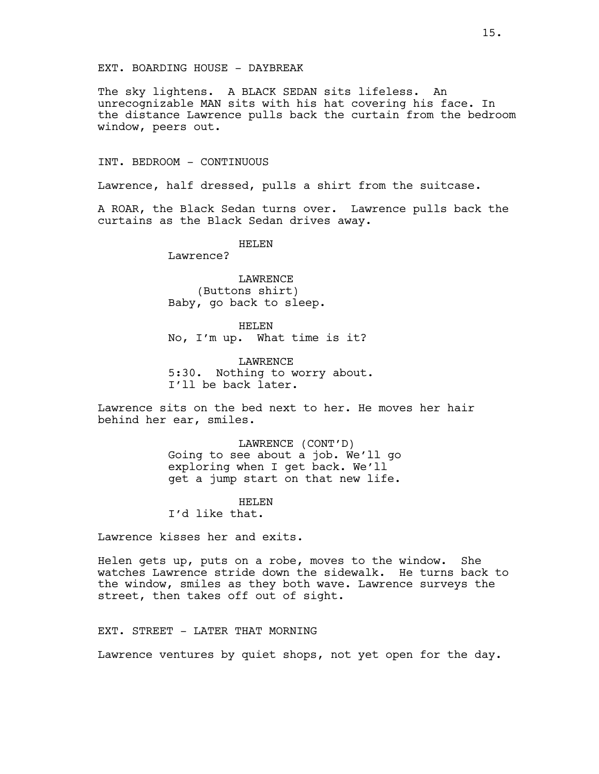### EXT. BOARDING HOUSE - DAYBREAK

The sky lightens. A BLACK SEDAN sits lifeless. An unrecognizable MAN sits with his hat covering his face. In the distance Lawrence pulls back the curtain from the bedroom window, peers out.

INT. BEDROOM - CONTINUOUS

Lawrence, half dressed, pulls a shirt from the suitcase.

A ROAR, the Black Sedan turns over. Lawrence pulls back the curtains as the Black Sedan drives away.

> HELEN Lawrence?

LAWRENCE (Buttons shirt) Baby, go back to sleep.

HELEN No, I'm up. What time is it?

LAWRENCE 5:30. Nothing to worry about. I'll be back later.

Lawrence sits on the bed next to her. He moves her hair behind her ear, smiles.

> LAWRENCE (CONT'D) Going to see about a job. We'll go exploring when I get back. We'll get a jump start on that new life.

HELEN I'd like that.

Lawrence kisses her and exits.

Helen gets up, puts on a robe, moves to the window. She watches Lawrence stride down the sidewalk. He turns back to the window, smiles as they both wave. Lawrence surveys the street, then takes off out of sight.

## EXT. STREET - LATER THAT MORNING

Lawrence ventures by quiet shops, not yet open for the day.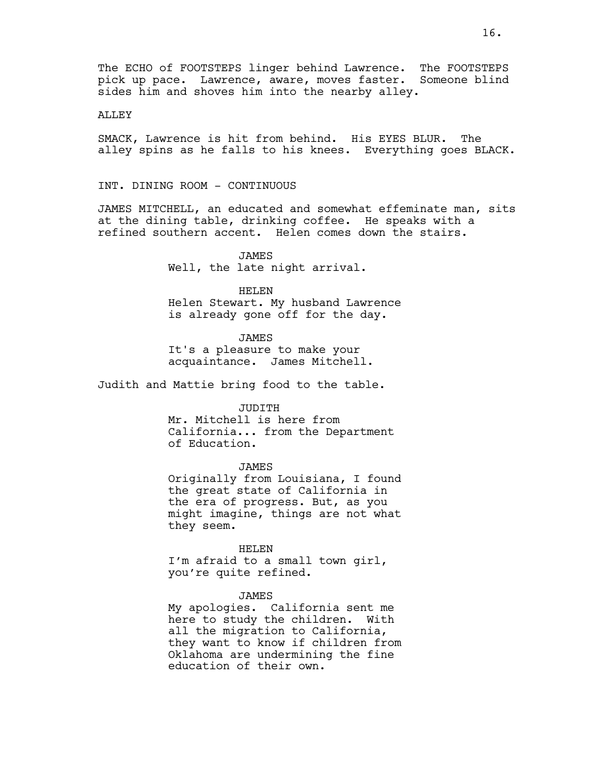The ECHO of FOOTSTEPS linger behind Lawrence. The FOOTSTEPS pick up pace. Lawrence, aware, moves faster. Someone blind sides him and shoves him into the nearby alley.

### ALLEY

SMACK, Lawrence is hit from behind. His EYES BLUR. The alley spins as he falls to his knees. Everything goes BLACK.

INT. DINING ROOM - CONTINUOUS

JAMES MITCHELL, an educated and somewhat effeminate man, sits at the dining table, drinking coffee. He speaks with a refined southern accent. Helen comes down the stairs.

> JAMES Well, the late night arrival.

#### HELEN

Helen Stewart. My husband Lawrence is already gone off for the day.

JAMES

It's a pleasure to make your acquaintance. James Mitchell.

Judith and Mattie bring food to the table.

JUDITH

Mr. Mitchell is here from California... from the Department of Education.

### JAMES

Originally from Louisiana, I found the great state of California in the era of progress. But, as you might imagine, things are not what they seem.

#### HELEN

I'm afraid to a small town girl, you're quite refined.

#### JAMES

My apologies. California sent me here to study the children. With all the migration to California, they want to know if children from Oklahoma are undermining the fine education of their own.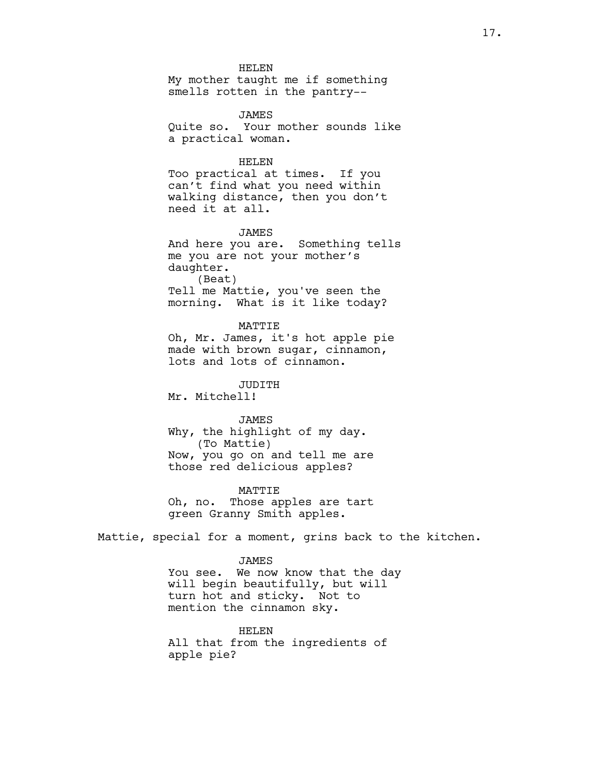HELEN My mother taught me if something smells rotten in the pantry--

JAMES Quite so. Your mother sounds like a practical woman.

## HELEN Too practical at times. If you can't find what you need within walking distance, then you don't need it at all.

JAMES And here you are. Something tells me you are not your mother's daughter. (Beat) Tell me Mattie, you've seen the morning. What is it like today?

MATTIE Oh, Mr. James, it's hot apple pie made with brown sugar, cinnamon, lots and lots of cinnamon.

JUDITH Mr. Mitchell!

## JAMES Why, the highlight of my day. (To Mattie) Now, you go on and tell me are those red delicious apples?

MATTIE Oh, no. Those apples are tart green Granny Smith apples.

Mattie, special for a moment, grins back to the kitchen.

JAMES

You see. We now know that the day will begin beautifully, but will turn hot and sticky. Not to mention the cinnamon sky.

HELEN All that from the ingredients of apple pie?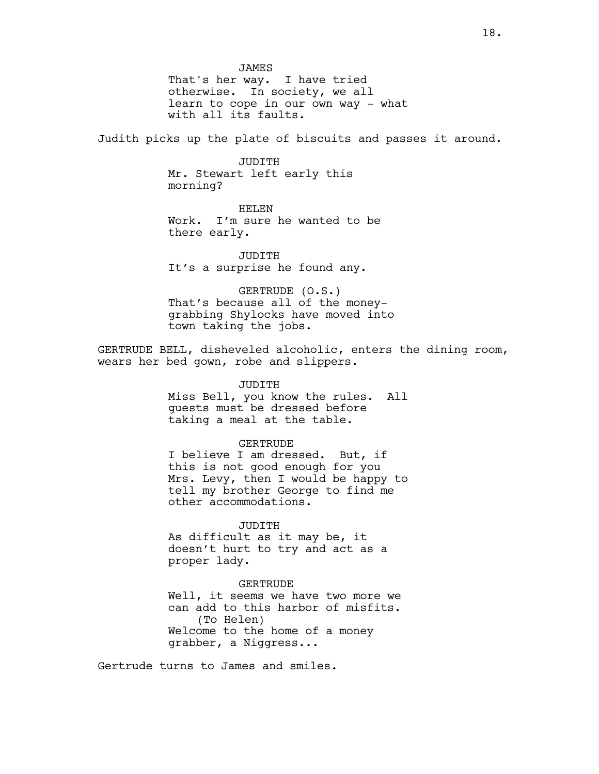JAMES That's her way. I have tried otherwise. In society, we all learn to cope in our own way - what with all its faults.

Judith picks up the plate of biscuits and passes it around.

JUDITH Mr. Stewart left early this morning?

### HELEN

Work. I'm sure he wanted to be there early.

JUDITH It's a surprise he found any.

### GERTRUDE (O.S.) That's because all of the money-

grabbing Shylocks have moved into town taking the jobs.

GERTRUDE BELL, disheveled alcoholic, enters the dining room, wears her bed gown, robe and slippers.

#### JUDITH

Miss Bell, you know the rules. All guests must be dressed before taking a meal at the table.

#### GERTRUDE

I believe I am dressed. But, if this is not good enough for you Mrs. Levy, then I would be happy to tell my brother George to find me other accommodations.

### JUDITH

As difficult as it may be, it doesn't hurt to try and act as a proper lady.

#### GERTRUDE

Well, it seems we have two more we can add to this harbor of misfits. (To Helen) Welcome to the home of a money grabber, a Niggress...

Gertrude turns to James and smiles.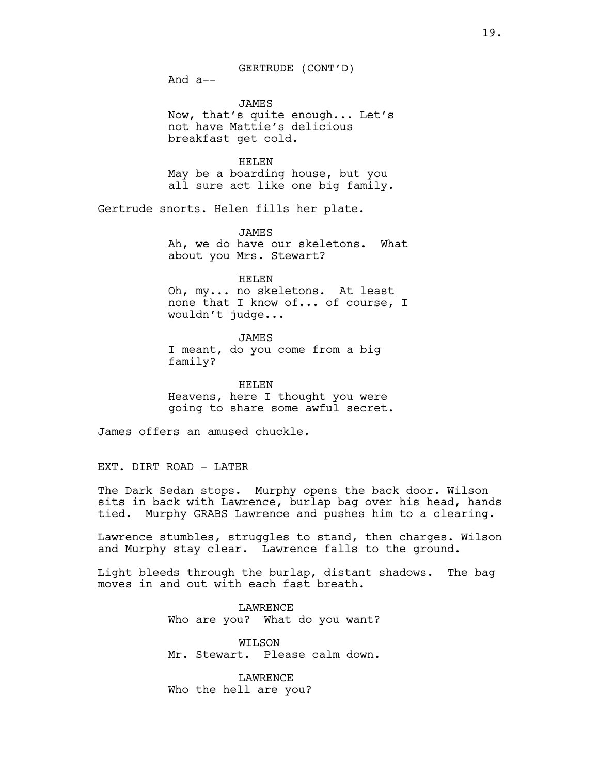GERTRUDE (CONT'D)

And a--

JAMES Now, that's quite enough... Let's not have Mattie's delicious breakfast get cold.

HELEN May be a boarding house, but you all sure act like one big family.

Gertrude snorts. Helen fills her plate.

JAMES Ah, we do have our skeletons. What about you Mrs. Stewart?

HELEN Oh, my... no skeletons. At least none that I know of... of course, I wouldn't judge...

JAMES I meant, do you come from a big family?

HELEN Heavens, here I thought you were going to share some awful secret.

James offers an amused chuckle.

EXT. DIRT ROAD - LATER

The Dark Sedan stops. Murphy opens the back door. Wilson sits in back with Lawrence, burlap bag over his head, hands tied. Murphy GRABS Lawrence and pushes him to a clearing.

Lawrence stumbles, struggles to stand, then charges. Wilson and Murphy stay clear. Lawrence falls to the ground.

Light bleeds through the burlap, distant shadows. The bag moves in and out with each fast breath.

> LAWRENCE Who are you? What do you want?

> WILSON Mr. Stewart. Please calm down.

LAWRENCE Who the hell are you?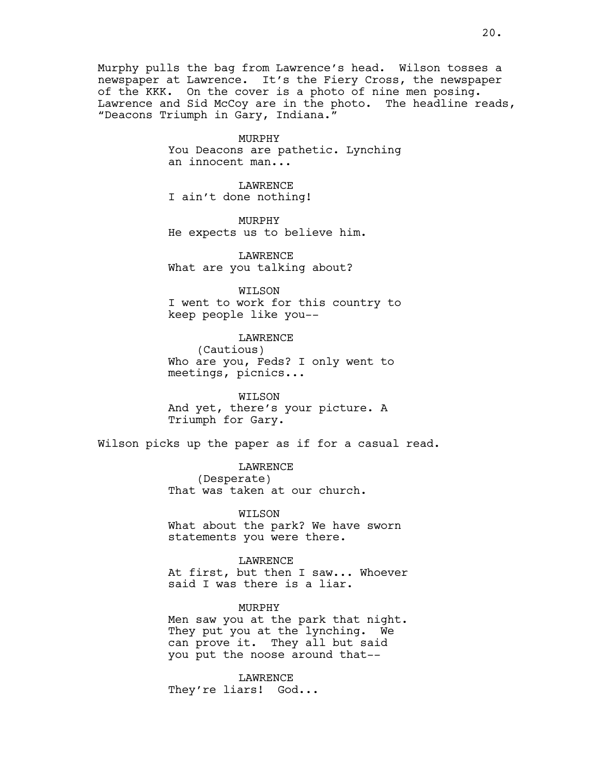Murphy pulls the bag from Lawrence's head. Wilson tosses a newspaper at Lawrence. It's the Fiery Cross, the newspaper of the KKK. On the cover is a photo of nine men posing. Lawrence and Sid McCoy are in the photo. The headline reads, "Deacons Triumph in Gary, Indiana."

> MURPHY You Deacons are pathetic. Lynching an innocent man...

LAWRENCE I ain't done nothing!

MURPHY He expects us to believe him.

LAWRENCE What are you talking about?

WILSON I went to work for this country to keep people like you--

LAWRENCE (Cautious) Who are you, Feds? I only went to meetings, picnics...

WILSON And yet, there's your picture. A Triumph for Gary.

Wilson picks up the paper as if for a casual read.

LAWRENCE (Desperate) That was taken at our church.

WILSON What about the park? We have sworn statements you were there.

LAWRENCE At first, but then I saw... Whoever said I was there is a liar.

MURPHY Men saw you at the park that night. They put you at the lynching. We can prove it. They all but said you put the noose around that--

LAWRENCE They're liars! God...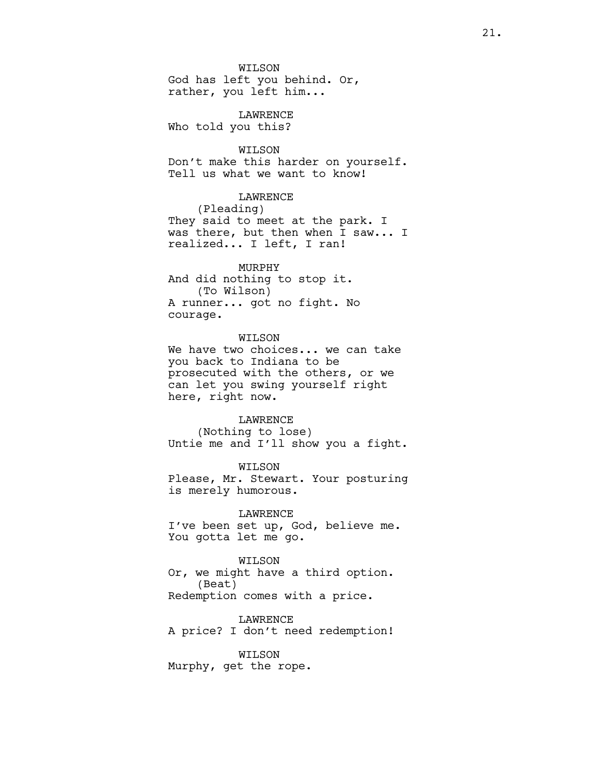WILSON God has left you behind. Or,

rather, you left him...

## LAWRENCE

Who told you this?

## WILSON

Don't make this harder on yourself. Tell us what we want to know!

### LAWRENCE

(Pleading) They said to meet at the park. I was there, but then when I saw... I realized... I left, I ran!

## MURPHY

And did nothing to stop it. (To Wilson) A runner... got no fight. No courage.

## WILSON

We have two choices... we can take you back to Indiana to be prosecuted with the others, or we can let you swing yourself right here, right now.

#### LAWRENCE

(Nothing to lose) Untie me and I'll show you a fight.

### WILSON

Please, Mr. Stewart. Your posturing is merely humorous.

LAWRENCE I've been set up, God, believe me. You gotta let me go.

### WILSON

Or, we might have a third option. (Beat) Redemption comes with a price.

LAWRENCE A price? I don't need redemption!

## WILSON

Murphy, get the rope.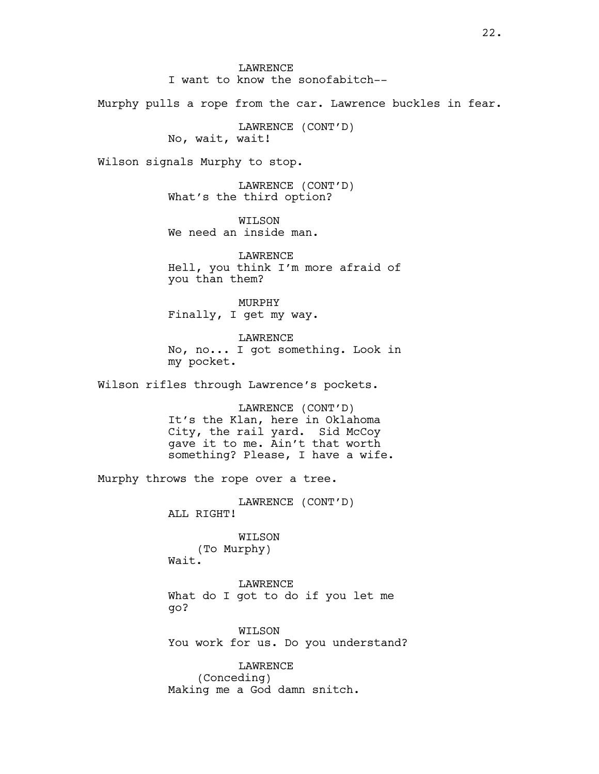LAWRENCE I want to know the sonofabitch--

Murphy pulls a rope from the car. Lawrence buckles in fear.

LAWRENCE (CONT'D) No, wait, wait!

Wilson signals Murphy to stop.

LAWRENCE (CONT'D) What's the third option?

WILSON We need an inside man.

**LAWRENCE** Hell, you think I'm more afraid of you than them?

MURPHY Finally, I get my way.

LAWRENCE No, no... I got something. Look in my pocket.

Wilson rifles through Lawrence's pockets.

LAWRENCE (CONT'D) It's the Klan, here in Oklahoma City, the rail yard. Sid McCoy gave it to me. Ain't that worth something? Please, I have a wife.

Murphy throws the rope over a tree.

LAWRENCE (CONT'D) ALL RIGHT!

WILSON (To Murphy) Wait.

LAWRENCE What do I got to do if you let me go?

WILSON You work for us. Do you understand?

LAWRENCE (Conceding) Making me a God damn snitch.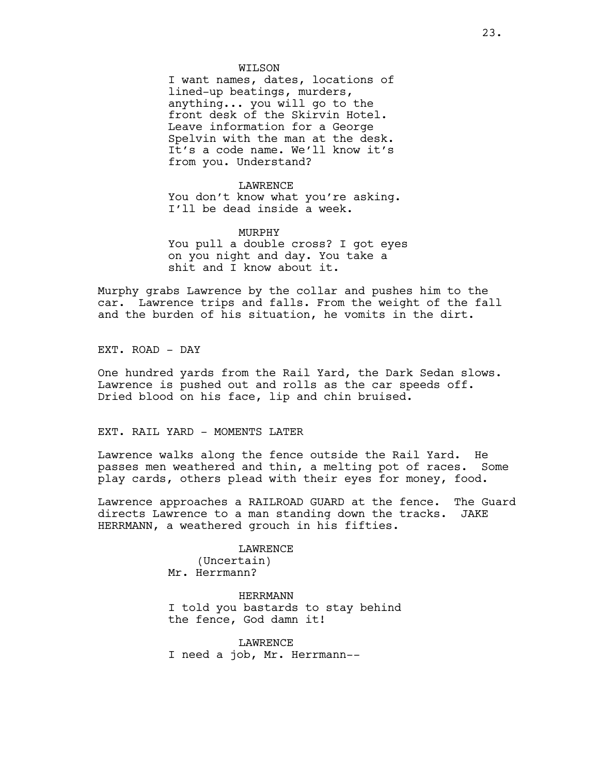#### WILSON

I want names, dates, locations of lined-up beatings, murders, anything... you will go to the front desk of the Skirvin Hotel. Leave information for a George Spelvin with the man at the desk. It's a code name. We'll know it's from you. Understand?

#### LAWRENCE

You don't know what you're asking. I'll be dead inside a week.

# MURPHY

You pull a double cross? I got eyes on you night and day. You take a shit and I know about it.

Murphy grabs Lawrence by the collar and pushes him to the car. Lawrence trips and falls. From the weight of the fall and the burden of his situation, he vomits in the dirt.

EXT. ROAD - DAY

One hundred yards from the Rail Yard, the Dark Sedan slows. Lawrence is pushed out and rolls as the car speeds off. Dried blood on his face, lip and chin bruised.

### EXT. RAIL YARD - MOMENTS LATER

Lawrence walks along the fence outside the Rail Yard. He passes men weathered and thin, a melting pot of races. Some play cards, others plead with their eyes for money, food.

Lawrence approaches a RAILROAD GUARD at the fence. The Guard directs Lawrence to a man standing down the tracks. JAKE HERRMANN, a weathered grouch in his fifties.

> LAWRENCE (Uncertain) Mr. Herrmann?

HERRMANN I told you bastards to stay behind the fence, God damn it!

**LAWRENCE** I need a job, Mr. Herrmann--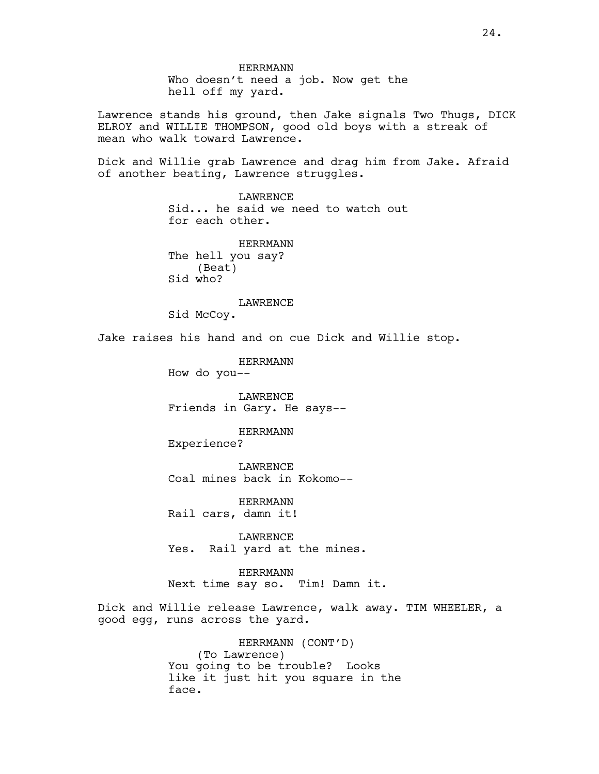HERRMANN Who doesn't need a job. Now get the hell off my yard. Lawrence stands his ground, then Jake signals Two Thugs, DICK ELROY and WILLIE THOMPSON, good old boys with a streak of mean who walk toward Lawrence. Dick and Willie grab Lawrence and drag him from Jake. Afraid of another beating, Lawrence struggles. LAWRENCE Sid... he said we need to watch out for each other. HERRMANN The hell you say? (Beat) Sid who? LAWRENCE Sid McCoy. Jake raises his hand and on cue Dick and Willie stop. HERRMANN How do you-- LAWRENCE Friends in Gary. He says-- HERRMANN Experience? LAWRENCE Coal mines back in Kokomo-- HERRMANN Rail cars, damn it! LAWRENCE Yes. Rail yard at the mines. HERRMANN Next time say so. Tim! Damn it. Dick and Willie release Lawrence, walk away. TIM WHEELER, a good egg, runs across the yard. HERRMANN (CONT'D) (To Lawrence)

You going to be trouble? Looks like it just hit you square in the face.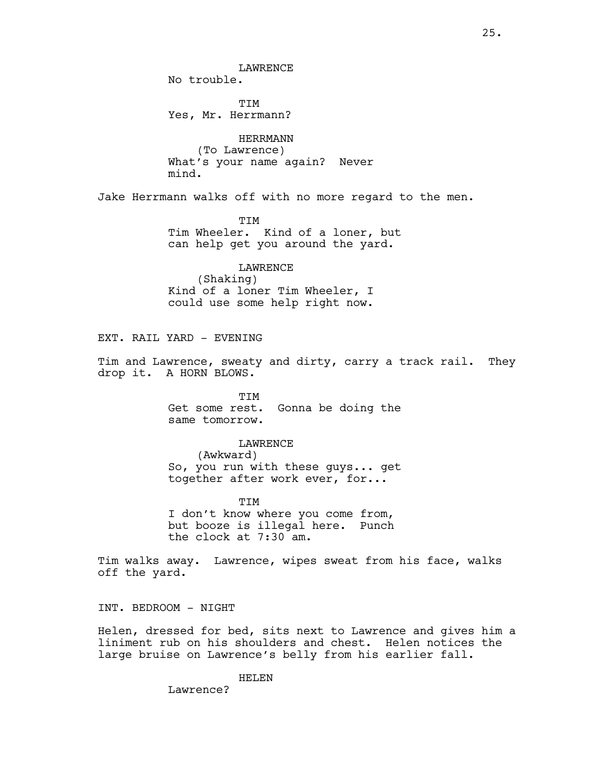LAWRENCE

No trouble.

TIM Yes, Mr. Herrmann?

HERRMANN (To Lawrence) What's your name again? Never mind.

Jake Herrmann walks off with no more regard to the men.

TIM Tim Wheeler. Kind of a loner, but can help get you around the yard.

LAWRENCE (Shaking) Kind of a loner Tim Wheeler, I could use some help right now.

EXT. RAIL YARD - EVENING

Tim and Lawrence, sweaty and dirty, carry a track rail. They drop it. A HORN BLOWS.

> TIM Get some rest. Gonna be doing the same tomorrow.

### LAWRENCE

(Awkward) So, you run with these guys... get together after work ever, for...

TIM I don't know where you come from, but booze is illegal here. Punch the clock at 7:30 am.

Tim walks away. Lawrence, wipes sweat from his face, walks off the yard.

INT. BEDROOM - NIGHT

Helen, dressed for bed, sits next to Lawrence and gives him a liniment rub on his shoulders and chest. Helen notices the large bruise on Lawrence's belly from his earlier fall.

HELEN

Lawrence?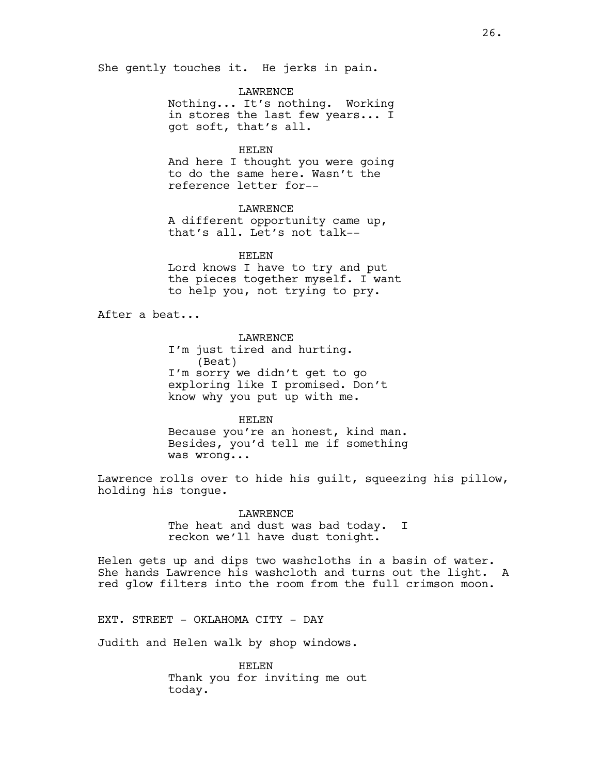She gently touches it. He jerks in pain.

LAWRENCE Nothing... It's nothing. Working in stores the last few years... I got soft, that's all.

HELEN And here I thought you were going to do the same here. Wasn't the reference letter for--

LAWRENCE A different opportunity came up, that's all. Let's not talk--

HELEN Lord knows I have to try and put the pieces together myself. I want to help you, not trying to pry.

After a beat...

LAWRENCE

I'm just tired and hurting. (Beat) I'm sorry we didn't get to go exploring like I promised. Don't know why you put up with me.

HELEN

Because you're an honest, kind man. Besides, you'd tell me if something was wrong...

Lawrence rolls over to hide his guilt, squeezing his pillow, holding his tongue.

> **LAWRENCE** The heat and dust was bad today. I reckon we'll have dust tonight.

Helen gets up and dips two washcloths in a basin of water. She hands Lawrence his washcloth and turns out the light. A red glow filters into the room from the full crimson moon.

EXT. STREET - OKLAHOMA CITY - DAY

Judith and Helen walk by shop windows.

HELEN Thank you for inviting me out today.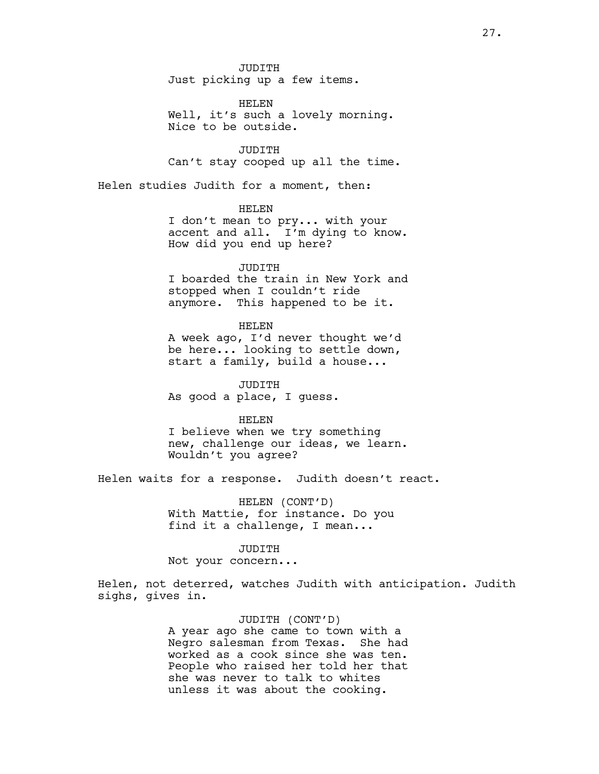JUDITH Just picking up a few items.

HELEN Well, it's such a lovely morning. Nice to be outside.

JUDITH Can't stay cooped up all the time.

Helen studies Judith for a moment, then:

HELEN

I don't mean to pry... with your accent and all. I'm dying to know. How did you end up here?

JUDITH

I boarded the train in New York and stopped when I couldn't ride anymore. This happened to be it.

HELEN

A week ago, I'd never thought we'd be here... looking to settle down, start a family, build a house...

JUDITH As good a place, I guess.

HELEN

I believe when we try something new, challenge our ideas, we learn. Wouldn't you agree?

Helen waits for a response. Judith doesn't react.

HELEN (CONT'D) With Mattie, for instance. Do you find it a challenge, I mean...

JUDITH Not your concern...

Helen, not deterred, watches Judith with anticipation. Judith sighs, gives in.

> JUDITH (CONT'D) A year ago she came to town with a Negro salesman from Texas. She had worked as a cook since she was ten. People who raised her told her that she was never to talk to whites unless it was about the cooking.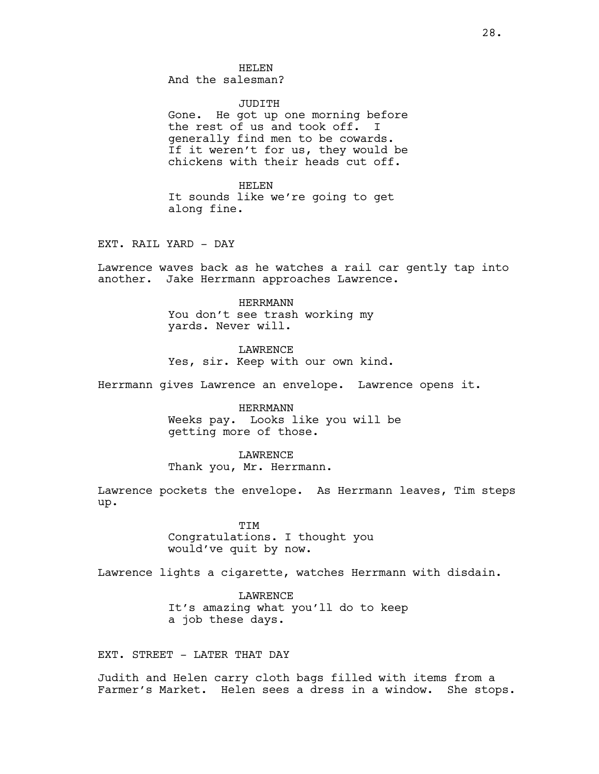HELEN And the salesman?

JUDITH Gone. He got up one morning before the rest of us and took off. I generally find men to be cowards. If it weren't for us, they would be chickens with their heads cut off.

HELEN It sounds like we're going to get along fine.

EXT. RAIL YARD - DAY

Lawrence waves back as he watches a rail car gently tap into another. Jake Herrmann approaches Lawrence.

> HERRMANN You don't see trash working my yards. Never will.

LAWRENCE Yes, sir. Keep with our own kind.

Herrmann gives Lawrence an envelope. Lawrence opens it.

HERRMANN Weeks pay. Looks like you will be getting more of those.

LAWRENCE Thank you, Mr. Herrmann.

Lawrence pockets the envelope. As Herrmann leaves, Tim steps up.

> TIM Congratulations. I thought you would've quit by now.

Lawrence lights a cigarette, watches Herrmann with disdain.

LAWRENCE It's amazing what you'll do to keep a job these days.

EXT. STREET - LATER THAT DAY

Judith and Helen carry cloth bags filled with items from a Farmer's Market. Helen sees a dress in a window. She stops.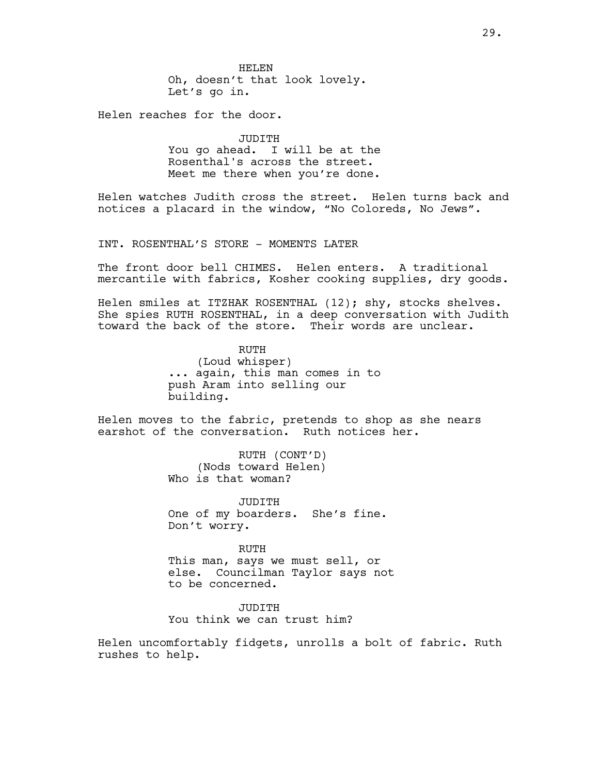HELEN Oh, doesn't that look lovely. Let's go in.

Helen reaches for the door.

JUDITH You go ahead. I will be at the Rosenthal's across the street. Meet me there when you're done.

Helen watches Judith cross the street. Helen turns back and notices a placard in the window, "No Coloreds, No Jews".

INT. ROSENTHAL'S STORE - MOMENTS LATER

The front door bell CHIMES. Helen enters. A traditional mercantile with fabrics, Kosher cooking supplies, dry goods.

Helen smiles at ITZHAK ROSENTHAL (12); shy, stocks shelves. She spies RUTH ROSENTHAL, in a deep conversation with Judith toward the back of the store. Their words are unclear.

> RUTH (Loud whisper) ... again, this man comes in to push Aram into selling our building.

Helen moves to the fabric, pretends to shop as she nears earshot of the conversation. Ruth notices her.

> RUTH (CONT'D) (Nods toward Helen) Who is that woman?

JUDITH One of my boarders. She's fine. Don't worry.

RUTH This man, says we must sell, or else. Councilman Taylor says not to be concerned.

JUDITH You think we can trust him?

Helen uncomfortably fidgets, unrolls a bolt of fabric. Ruth rushes to help.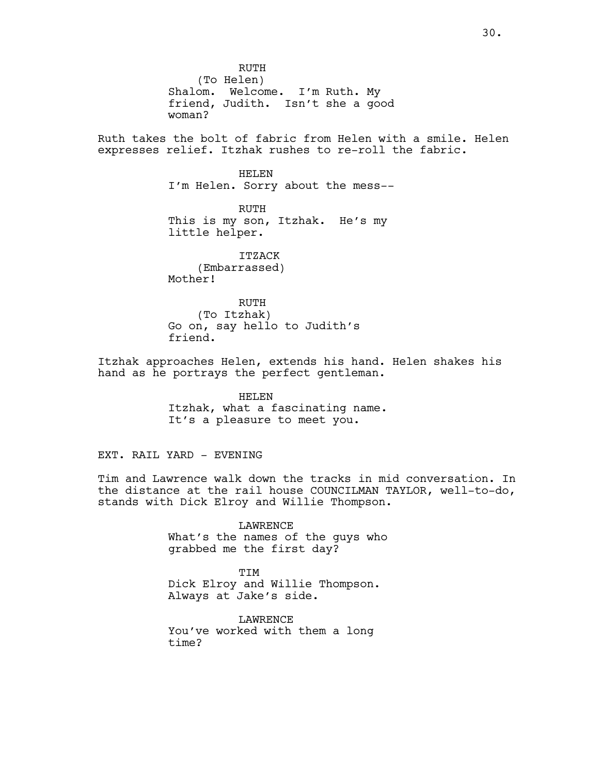RUTH (To Helen) Shalom. Welcome. I'm Ruth. My friend, Judith. Isn't she a good woman? Ruth takes the bolt of fabric from Helen with a smile. Helen expresses relief. Itzhak rushes to re-roll the fabric. HELEN I'm Helen. Sorry about the mess-- RUTH This is my son, Itzhak. He's my little helper. ITZACK (Embarrassed) Mother! RUTH (To Itzhak) Go on, say hello to Judith's friend. Itzhak approaches Helen, extends his hand. Helen shakes his hand as he portrays the perfect gentleman.

HELEN Itzhak, what a fascinating name. It's a pleasure to meet you.

EXT. RAIL YARD - EVENING

Tim and Lawrence walk down the tracks in mid conversation. In the distance at the rail house COUNCILMAN TAYLOR, well-to-do, stands with Dick Elroy and Willie Thompson.

> LAWRENCE What's the names of the guys who grabbed me the first day?

TIM Dick Elroy and Willie Thompson. Always at Jake's side.

LAWRENCE You've worked with them a long time?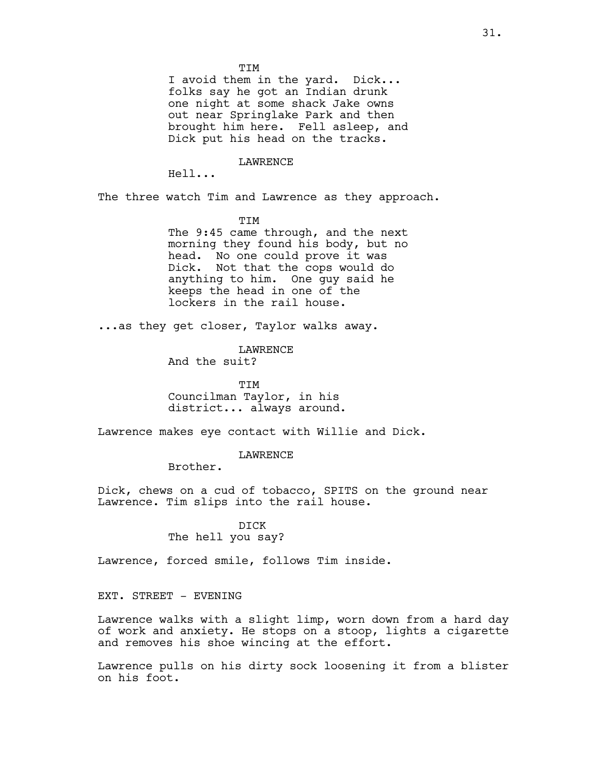I avoid them in the yard. Dick... folks say he got an Indian drunk one night at some shack Jake owns out near Springlake Park and then brought him here. Fell asleep, and Dick put his head on the tracks.

LAWRENCE

Hell...

The three watch Tim and Lawrence as they approach.

TIM

The 9:45 came through, and the next morning they found his body, but no head. No one could prove it was Dick. Not that the cops would do anything to him. One guy said he keeps the head in one of the lockers in the rail house.

...as they get closer, Taylor walks away.

LAWRENCE

And the suit?

**TTM** Councilman Taylor, in his district... always around.

Lawrence makes eye contact with Willie and Dick.

LAWRENCE

Brother.

Dick, chews on a cud of tobacco, SPITS on the ground near Lawrence. Tim slips into the rail house.

> DICK The hell you say?

Lawrence, forced smile, follows Tim inside.

EXT. STREET - EVENING

Lawrence walks with a slight limp, worn down from a hard day of work and anxiety. He stops on a stoop, lights a cigarette and removes his shoe wincing at the effort.

Lawrence pulls on his dirty sock loosening it from a blister on his foot.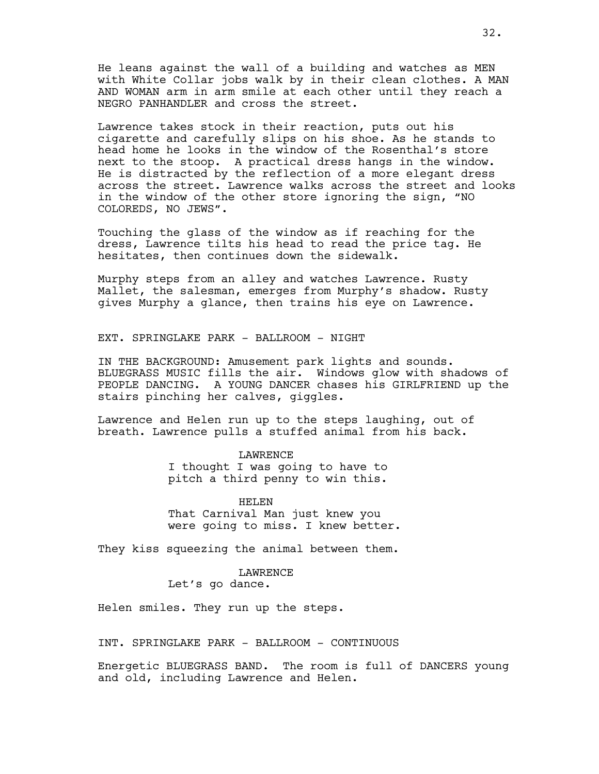He leans against the wall of a building and watches as MEN with White Collar jobs walk by in their clean clothes. A MAN AND WOMAN arm in arm smile at each other until they reach a NEGRO PANHANDLER and cross the street.

Lawrence takes stock in their reaction, puts out his cigarette and carefully slips on his shoe. As he stands to head home he looks in the window of the Rosenthal's store next to the stoop. A practical dress hangs in the window. He is distracted by the reflection of a more elegant dress across the street. Lawrence walks across the street and looks in the window of the other store ignoring the sign, "NO COLOREDS, NO JEWS".

Touching the glass of the window as if reaching for the dress, Lawrence tilts his head to read the price tag. He hesitates, then continues down the sidewalk.

Murphy steps from an alley and watches Lawrence. Rusty Mallet, the salesman, emerges from Murphy's shadow. Rusty gives Murphy a glance, then trains his eye on Lawrence.

EXT. SPRINGLAKE PARK - BALLROOM - NIGHT

IN THE BACKGROUND: Amusement park lights and sounds. BLUEGRASS MUSIC fills the air. Windows glow with shadows of PEOPLE DANCING. A YOUNG DANCER chases his GIRLFRIEND up the stairs pinching her calves, giggles.

Lawrence and Helen run up to the steps laughing, out of breath. Lawrence pulls a stuffed animal from his back.

> LAWRENCE I thought I was going to have to pitch a third penny to win this.

HELEN That Carnival Man just knew you were going to miss. I knew better.

They kiss squeezing the animal between them.

## LAWRENCE

Let's go dance.

Helen smiles. They run up the steps.

INT. SPRINGLAKE PARK - BALLROOM - CONTINUOUS

Energetic BLUEGRASS BAND. The room is full of DANCERS young and old, including Lawrence and Helen.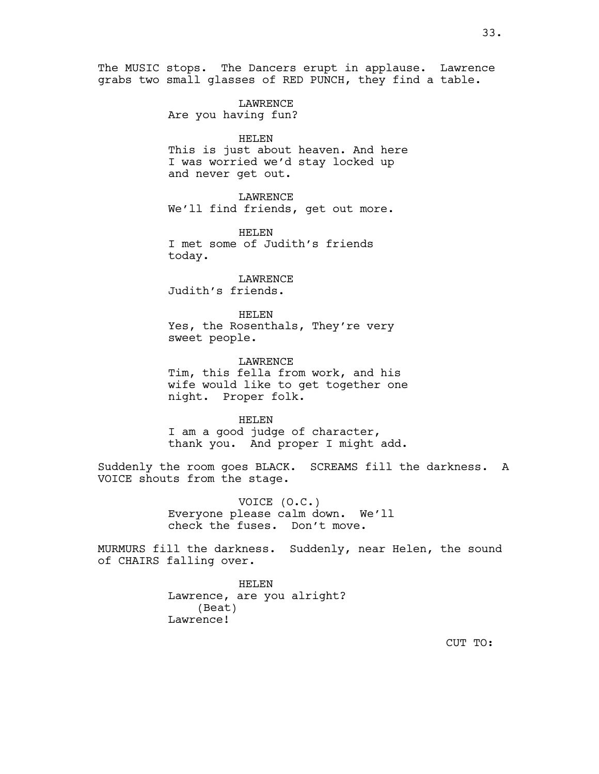The MUSIC stops. The Dancers erupt in applause. Lawrence grabs two small glasses of RED PUNCH, they find a table. LAWRENCE Are you having fun? HELEN This is just about heaven. And here I was worried we'd stay locked up and never get out. LAWRENCE We'll find friends, get out more. HELEN I met some of Judith's friends today. LAWRENCE Judith's friends. HELEN Yes, the Rosenthals, They're very sweet people. LAWRENCE Tim, this fella from work, and his wife would like to get together one night. Proper folk. HELEN I am a good judge of character, thank you. And proper I might add. Suddenly the room goes BLACK. SCREAMS fill the darkness. A VOICE shouts from the stage. VOICE (O.C.) Everyone please calm down. We'll check the fuses. Don't move. MURMURS fill the darkness. Suddenly, near Helen, the sound of CHAIRS falling over.

> HELEN Lawrence, are you alright? (Beat) Lawrence!

> > CUT TO: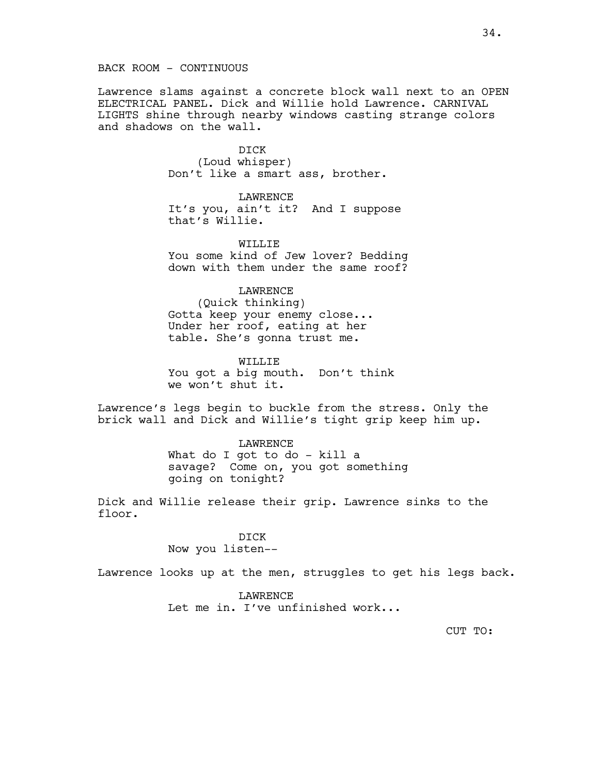BACK ROOM - CONTINUOUS

Lawrence slams against a concrete block wall next to an OPEN ELECTRICAL PANEL. Dick and Willie hold Lawrence. CARNIVAL LIGHTS shine through nearby windows casting strange colors and shadows on the wall.

> DICK (Loud whisper) Don't like a smart ass, brother.

LAWRENCE It's you, ain't it? And I suppose that's Willie.

WILLIF. You some kind of Jew lover? Bedding down with them under the same roof?

## LAWRENCE

(Quick thinking) Gotta keep your enemy close... Under her roof, eating at her table. She's gonna trust me.

WILLIE You got a big mouth. Don't think we won't shut it.

Lawrence's legs begin to buckle from the stress. Only the brick wall and Dick and Willie's tight grip keep him up.

> LAWRENCE What do I got to do - kill a savage? Come on, you got something going on tonight?

Dick and Willie release their grip. Lawrence sinks to the floor.

> DICK Now you listen--

Lawrence looks up at the men, struggles to get his legs back.

LAWRENCE Let me in. I've unfinished work...

CUT TO: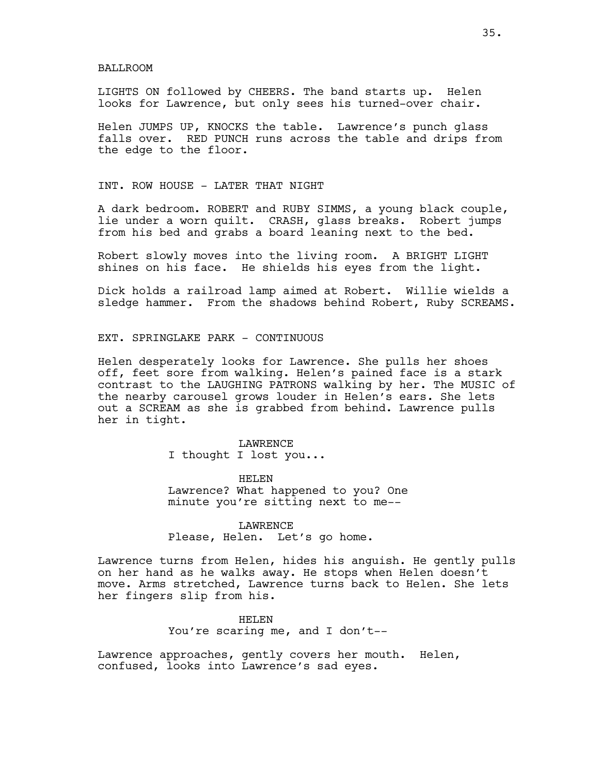#### BALLROOM

LIGHTS ON followed by CHEERS. The band starts up. Helen looks for Lawrence, but only sees his turned-over chair.

Helen JUMPS UP, KNOCKS the table. Lawrence's punch glass falls over. RED PUNCH runs across the table and drips from the edge to the floor.

INT. ROW HOUSE - LATER THAT NIGHT

A dark bedroom. ROBERT and RUBY SIMMS, a young black couple, lie under a worn quilt. CRASH, glass breaks. Robert jumps from his bed and grabs a board leaning next to the bed.

Robert slowly moves into the living room. A BRIGHT LIGHT shines on his face. He shields his eyes from the light.

Dick holds a railroad lamp aimed at Robert. Willie wields a sledge hammer. From the shadows behind Robert, Ruby SCREAMS.

## EXT. SPRINGLAKE PARK - CONTINUOUS

Helen desperately looks for Lawrence. She pulls her shoes off, feet sore from walking. Helen's pained face is a stark contrast to the LAUGHING PATRONS walking by her. The MUSIC of the nearby carousel grows louder in Helen's ears. She lets out a SCREAM as she is grabbed from behind. Lawrence pulls her in tight.

> LAWRENCE I thought I lost you...

HELEN Lawrence? What happened to you? One minute you're sitting next to me--

LAWRENCE Please, Helen. Let's go home.

Lawrence turns from Helen, hides his anguish. He gently pulls on her hand as he walks away. He stops when Helen doesn't move. Arms stretched, Lawrence turns back to Helen. She lets her fingers slip from his.

#### HELEN

You're scaring me, and I don't--

Lawrence approaches, gently covers her mouth. Helen, confused, looks into Lawrence's sad eyes.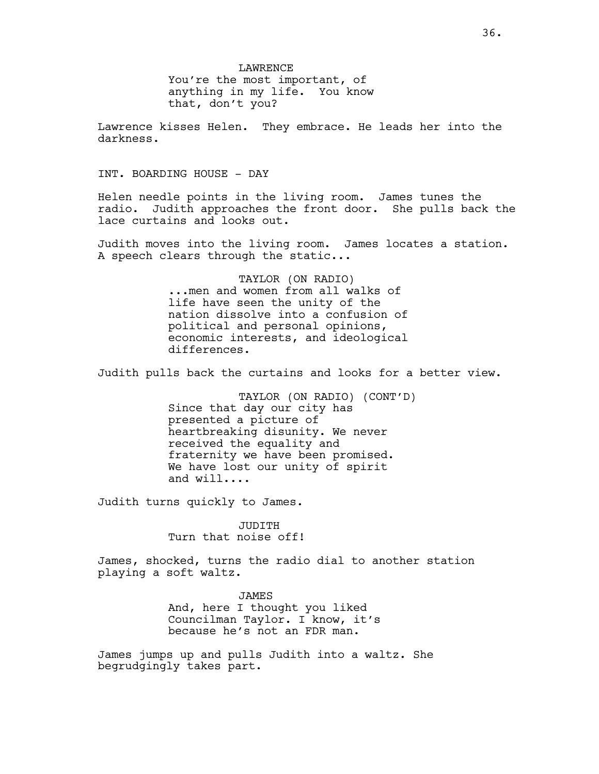LAWRENCE You're the most important, of anything in my life. You know that, don't you?

Lawrence kisses Helen. They embrace. He leads her into the darkness.

INT. BOARDING HOUSE - DAY

Helen needle points in the living room. James tunes the radio. Judith approaches the front door. She pulls back the lace curtains and looks out.

Judith moves into the living room. James locates a station. A speech clears through the static...

> TAYLOR (ON RADIO) ...men and women from all walks of life have seen the unity of the nation dissolve into a confusion of political and personal opinions, economic interests, and ideological differences.

Judith pulls back the curtains and looks for a better view.

TAYLOR (ON RADIO) (CONT'D) Since that day our city has presented a picture of heartbreaking disunity. We never received the equality and fraternity we have been promised. We have lost our unity of spirit and will....

Judith turns quickly to James.

JUDITH Turn that noise off!

James, shocked, turns the radio dial to another station playing a soft waltz.

JAMES

And, here I thought you liked Councilman Taylor. I know, it's because he's not an FDR man.

James jumps up and pulls Judith into a waltz. She begrudgingly takes part.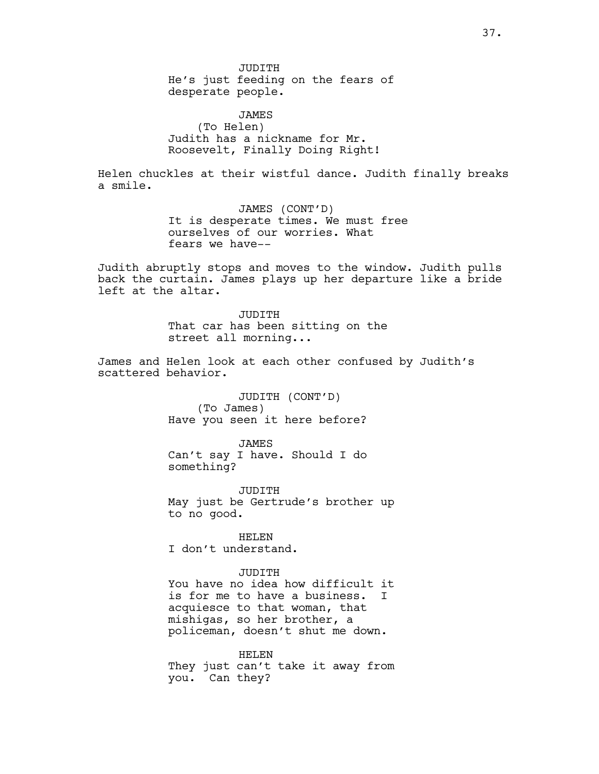JUDITH He's just feeding on the fears of desperate people.

JAMES (To Helen) Judith has a nickname for Mr. Roosevelt, Finally Doing Right!

Helen chuckles at their wistful dance. Judith finally breaks a smile.

> JAMES (CONT'D) It is desperate times. We must free ourselves of our worries. What fears we have--

Judith abruptly stops and moves to the window. Judith pulls back the curtain. James plays up her departure like a bride left at the altar.

> JUDITH That car has been sitting on the street all morning...

James and Helen look at each other confused by Judith's scattered behavior.

> JUDITH (CONT'D) (To James) Have you seen it here before?

> JAMES Can't say I have. Should I do something?

JUDITH May just be Gertrude's brother up to no good.

HELEN I don't understand.

JUDITH

You have no idea how difficult it is for me to have a business. I acquiesce to that woman, that mishigas, so her brother, a policeman, doesn't shut me down.

HELEN They just can't take it away from you. Can they?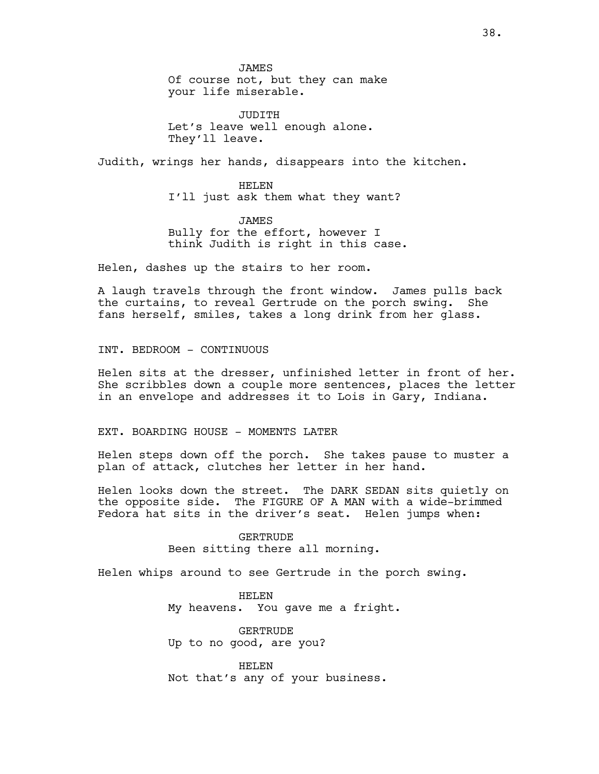JAMES Of course not, but they can make your life miserable.

JUDITH Let's leave well enough alone. They'll leave.

Judith, wrings her hands, disappears into the kitchen.

HELEN I'll just ask them what they want?

JAMES Bully for the effort, however I think Judith is right in this case.

Helen, dashes up the stairs to her room.

A laugh travels through the front window. James pulls back the curtains, to reveal Gertrude on the porch swing. She fans herself, smiles, takes a long drink from her glass.

INT. BEDROOM - CONTINUOUS

Helen sits at the dresser, unfinished letter in front of her. She scribbles down a couple more sentences, places the letter in an envelope and addresses it to Lois in Gary, Indiana.

EXT. BOARDING HOUSE - MOMENTS LATER

Helen steps down off the porch. She takes pause to muster a plan of attack, clutches her letter in her hand.

Helen looks down the street. The DARK SEDAN sits quietly on the opposite side. The FIGURE OF A MAN with a wide-brimmed Fedora hat sits in the driver's seat. Helen jumps when:

> GERTRUDE Been sitting there all morning.

Helen whips around to see Gertrude in the porch swing.

HELEN My heavens. You gave me a fright.

GERTRUDE Up to no good, are you?

HELEN Not that's any of your business.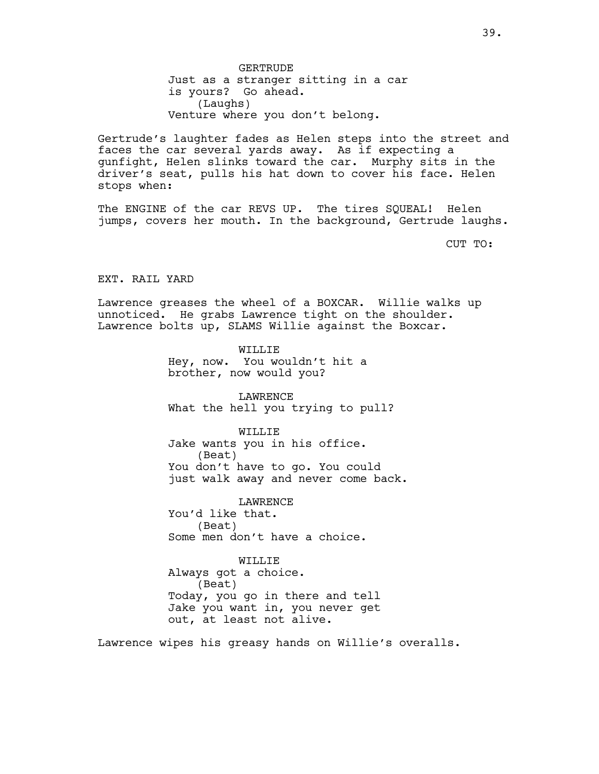GERTRUDE Just as a stranger sitting in a car is yours? Go ahead. (Laughs) Venture where you don't belong.

Gertrude's laughter fades as Helen steps into the street and faces the car several yards away. As if expecting a gunfight, Helen slinks toward the car. Murphy sits in the driver's seat, pulls his hat down to cover his face. Helen stops when:

The ENGINE of the car REVS UP. The tires SQUEAL! Helen jumps, covers her mouth. In the background, Gertrude laughs.

CUT TO:

EXT. RAIL YARD

Lawrence greases the wheel of a BOXCAR. Willie walks up unnoticed. He grabs Lawrence tight on the shoulder. Lawrence bolts up, SLAMS Willie against the Boxcar.

> WILLIE Hey, now. You wouldn't hit a brother, now would you?

LAWRENCE What the hell you trying to pull?

WILLIE Jake wants you in his office. (Beat) You don't have to go. You could just walk away and never come back.

LAWRENCE You'd like that. (Beat) Some men don't have a choice.

WILLIE Always got a choice. (Beat) Today, you go in there and tell Jake you want in, you never get out, at least not alive.

Lawrence wipes his greasy hands on Willie's overalls.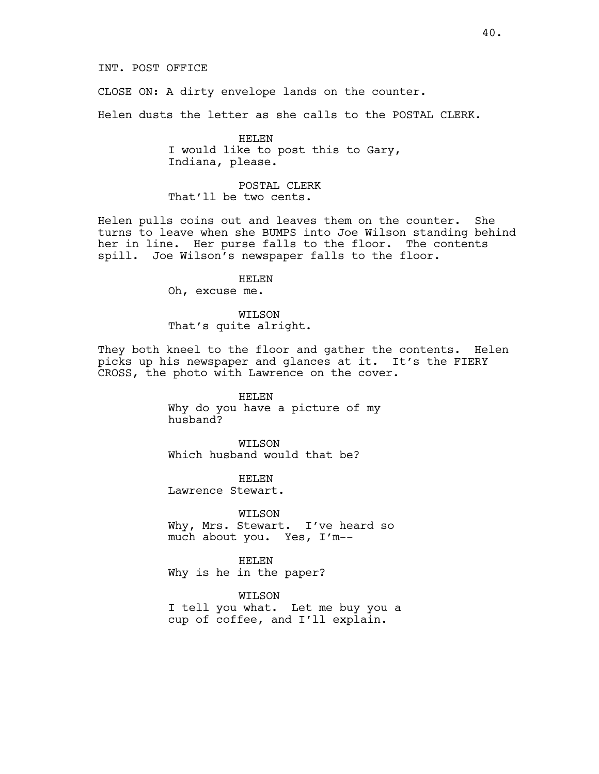CLOSE ON: A dirty envelope lands on the counter.

Helen dusts the letter as she calls to the POSTAL CLERK.

HELEN I would like to post this to Gary, Indiana, please.

POSTAL CLERK That'll be two cents.

Helen pulls coins out and leaves them on the counter. She turns to leave when she BUMPS into Joe Wilson standing behind her in line. Her purse falls to the floor. The contents spill. Joe Wilson's newspaper falls to the floor.

HELEN

Oh, excuse me.

WILSON That's quite alright.

They both kneel to the floor and gather the contents. Helen picks up his newspaper and glances at it. It's the FIERY CROSS, the photo with Lawrence on the cover.

# HELEN

Why do you have a picture of my husband?

WILSON Which husband would that be?

HELEN Lawrence Stewart.

WILSON Why, Mrs. Stewart. I've heard so much about you. Yes, I'm--

HELEN Why is he in the paper?

WILSON I tell you what. Let me buy you a cup of coffee, and I'll explain.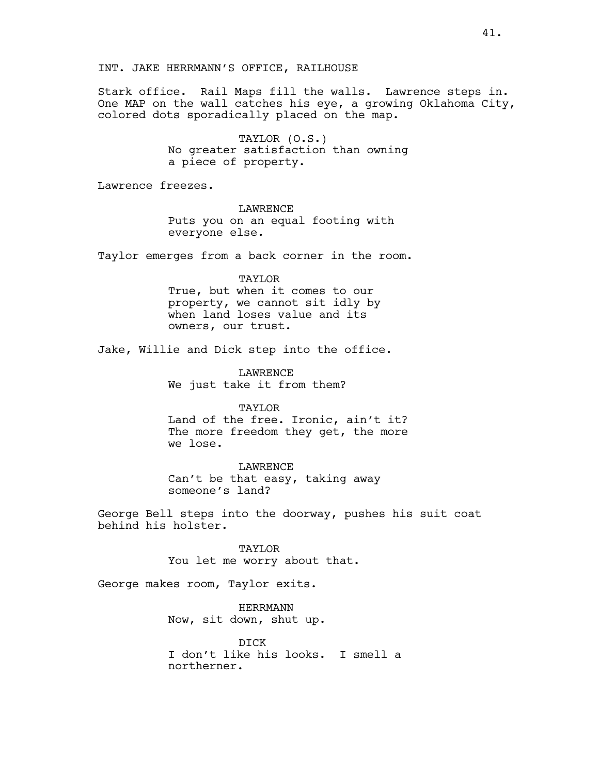INT. JAKE HERRMANN'S OFFICE, RAILHOUSE

Stark office. Rail Maps fill the walls. Lawrence steps in. One MAP on the wall catches his eye, a growing Oklahoma City, colored dots sporadically placed on the map.

> TAYLOR (O.S.) No greater satisfaction than owning a piece of property.

Lawrence freezes.

LAWRENCE Puts you on an equal footing with everyone else.

Taylor emerges from a back corner in the room.

# TAYLOR

True, but when it comes to our property, we cannot sit idly by when land loses value and its owners, our trust.

Jake, Willie and Dick step into the office.

LAWRENCE We just take it from them?

TAYLOR Land of the free. Ironic, ain't it? The more freedom they get, the more we lose.

LAWRENCE Can't be that easy, taking away someone's land?

George Bell steps into the doorway, pushes his suit coat behind his holster.

> TAYLOR You let me worry about that.

George makes room, Taylor exits.

HERRMANN Now, sit down, shut up.

DICK I don't like his looks. I smell a northerner.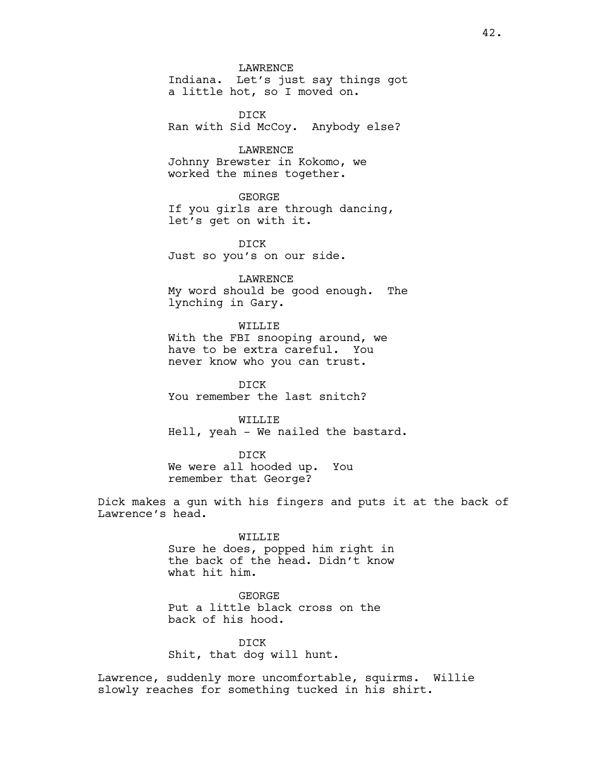LAWRENCE Indiana. Let's just say things got a little hot, so I moved on.

DICK Ran with Sid McCoy. Anybody else?

LAWRENCE Johnny Brewster in Kokomo, we worked the mines together.

GEORGE If you girls are through dancing, let's get on with it.

DICK Just so you's on our side.

LAWRENCE My word should be good enough. The lynching in Gary.

WILLIE With the FBI snooping around, we have to be extra careful. You never know who you can trust.

DICK You remember the last snitch?

WILLIE Hell, yeah - We nailed the bastard.

DICK We were all hooded up. You remember that George?

Dick makes a gun with his fingers and puts it at the back of Lawrence's head.

> WILLIE Sure he does, popped him right in the back of the head. Didn't know what hit him.

## GEORGE

Put a little black cross on the back of his hood.

DICK Shit, that dog will hunt.

Lawrence, suddenly more uncomfortable, squirms. Willie slowly reaches for something tucked in his shirt.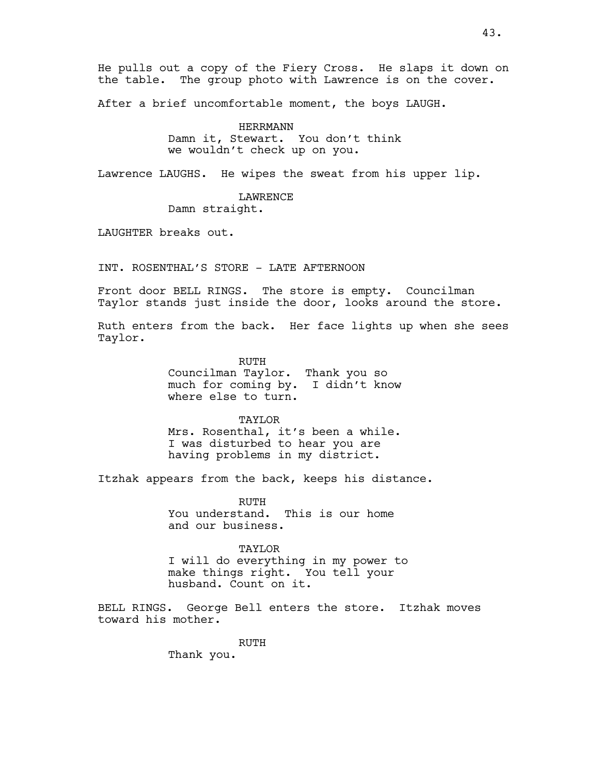He pulls out a copy of the Fiery Cross. He slaps it down on the table. The group photo with Lawrence is on the cover.

After a brief uncomfortable moment, the boys LAUGH.

# HERRMANN

Damn it, Stewart. You don't think we wouldn't check up on you.

Lawrence LAUGHS. He wipes the sweat from his upper lip.

LAWRENCE Damn straight.

LAUGHTER breaks out.

INT. ROSENTHAL'S STORE - LATE AFTERNOON

Front door BELL RINGS. The store is empty. Councilman Taylor stands just inside the door, looks around the store.

Ruth enters from the back. Her face lights up when she sees Taylor.

> RUTH Councilman Taylor. Thank you so much for coming by. I didn't know where else to turn.

# TAYLOR

Mrs. Rosenthal, it's been a while. I was disturbed to hear you are having problems in my district.

Itzhak appears from the back, keeps his distance.

RUTH You understand. This is our home and our business.

#### TAYLOR

I will do everything in my power to make things right. You tell your husband. Count on it.

BELL RINGS. George Bell enters the store. Itzhak moves toward his mother.

RUTH

Thank you.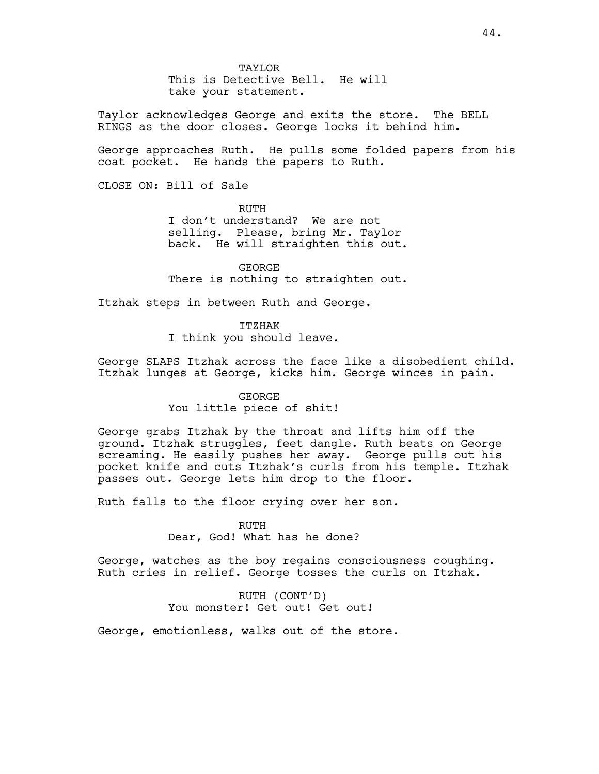TAYLOR This is Detective Bell. He will take your statement.

Taylor acknowledges George and exits the store. The BELL RINGS as the door closes. George locks it behind him.

George approaches Ruth. He pulls some folded papers from his coat pocket. He hands the papers to Ruth.

CLOSE ON: Bill of Sale

RUTH

I don't understand? We are not selling. Please, bring Mr. Taylor back. He will straighten this out.

GEORGE There is nothing to straighten out.

Itzhak steps in between Ruth and George.

ITZHAK I think you should leave.

George SLAPS Itzhak across the face like a disobedient child. Itzhak lunges at George, kicks him. George winces in pain.

GEORGE

You little piece of shit!

George grabs Itzhak by the throat and lifts him off the ground. Itzhak struggles, feet dangle. Ruth beats on George screaming. He easily pushes her away. George pulls out his pocket knife and cuts Itzhak's curls from his temple. Itzhak passes out. George lets him drop to the floor.

Ruth falls to the floor crying over her son.

RUTH Dear, God! What has he done?

George, watches as the boy regains consciousness coughing. Ruth cries in relief. George tosses the curls on Itzhak.

> RUTH (CONT'D) You monster! Get out! Get out!

George, emotionless, walks out of the store.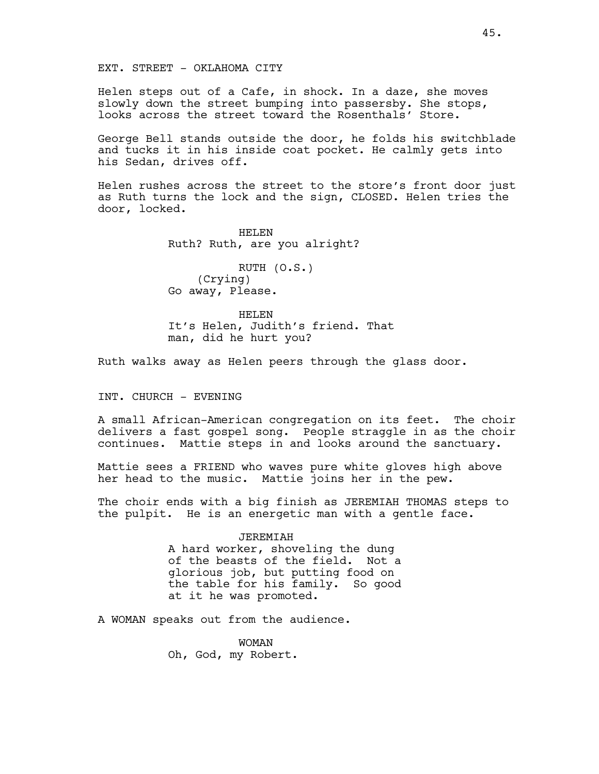EXT. STREET - OKLAHOMA CITY

Helen steps out of a Cafe, in shock. In a daze, she moves slowly down the street bumping into passersby. She stops, looks across the street toward the Rosenthals' Store.

George Bell stands outside the door, he folds his switchblade and tucks it in his inside coat pocket. He calmly gets into his Sedan, drives off.

Helen rushes across the street to the store's front door just as Ruth turns the lock and the sign, CLOSED. Helen tries the door, locked.

> HELEN Ruth? Ruth, are you alright?

RUTH (O.S.) (Crying) Go away, Please.

HELEN It's Helen, Judith's friend. That man, did he hurt you?

Ruth walks away as Helen peers through the glass door.

INT. CHURCH - EVENING

A small African-American congregation on its feet. The choir delivers a fast gospel song. People straggle in as the choir continues. Mattie steps in and looks around the sanctuary.

Mattie sees a FRIEND who waves pure white gloves high above her head to the music. Mattie joins her in the pew.

The choir ends with a big finish as JEREMIAH THOMAS steps to the pulpit. He is an energetic man with a gentle face.

> JEREMIAH A hard worker, shoveling the dung of the beasts of the field. Not a glorious job, but putting food on the table for his family. So good at it he was promoted.

A WOMAN speaks out from the audience.

WOMAN Oh, God, my Robert.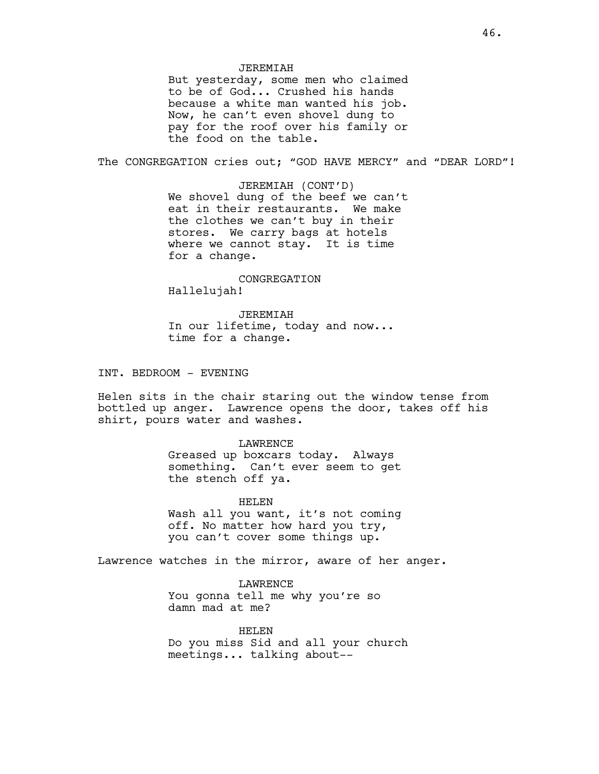# JEREMIAH

But yesterday, some men who claimed to be of God... Crushed his hands because a white man wanted his job. Now, he can't even shovel dung to pay for the roof over his family or the food on the table.

The CONGREGATION cries out; "GOD HAVE MERCY" and "DEAR LORD"!

JEREMIAH (CONT'D) We shovel dung of the beef we can't eat in their restaurants. We make the clothes we can't buy in their stores. We carry bags at hotels where we cannot stay. It is time for a change.

CONGREGATION Hallelujah!

JEREMIAH In our lifetime, today and now... time for a change.

INT. BEDROOM - EVENING

Helen sits in the chair staring out the window tense from bottled up anger. Lawrence opens the door, takes off his shirt, pours water and washes.

> LAWRENCE Greased up boxcars today. Always something. Can't ever seem to get the stench off ya.

HELEN Wash all you want, it's not coming off. No matter how hard you try, you can't cover some things up.

Lawrence watches in the mirror, aware of her anger.

LAWRENCE You gonna tell me why you're so damn mad at me?

HELEN Do you miss Sid and all your church meetings... talking about--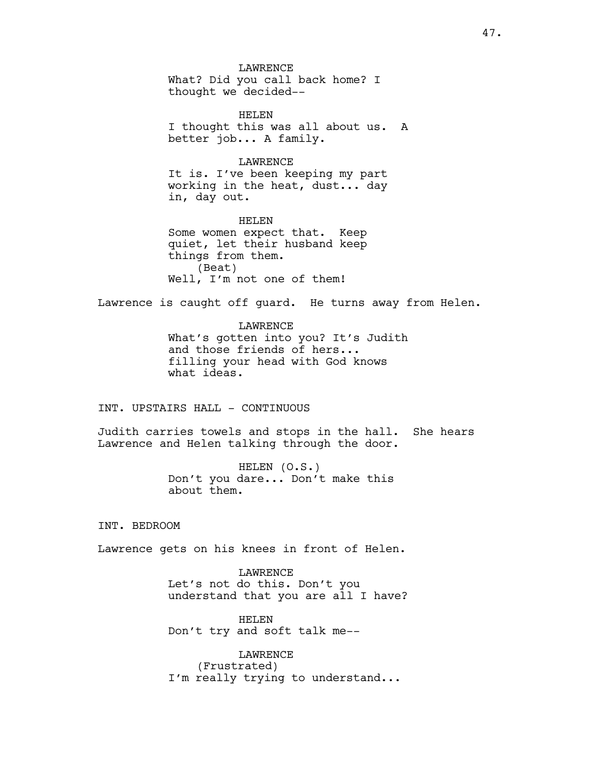LAWRENCE What? Did you call back home? I thought we decided--

HELEN I thought this was all about us. A better job... A family.

#### LAWRENCE

It is. I've been keeping my part working in the heat, dust... day in, day out.

HELEN Some women expect that. Keep quiet, let their husband keep things from them. (Beat) Well, I'm not one of them!

Lawrence is caught off guard. He turns away from Helen.

# LAWRENCE

What's gotten into you? It's Judith and those friends of hers... filling your head with God knows what ideas.

# INT. UPSTAIRS HALL - CONTINUOUS

Judith carries towels and stops in the hall. She hears Lawrence and Helen talking through the door.

> HELEN (O.S.) Don't you dare... Don't make this about them.

INT. BEDROOM

Lawrence gets on his knees in front of Helen.

LAWRENCE Let's not do this. Don't you understand that you are all I have?

HELEN Don't try and soft talk me--

LAWRENCE (Frustrated) I'm really trying to understand...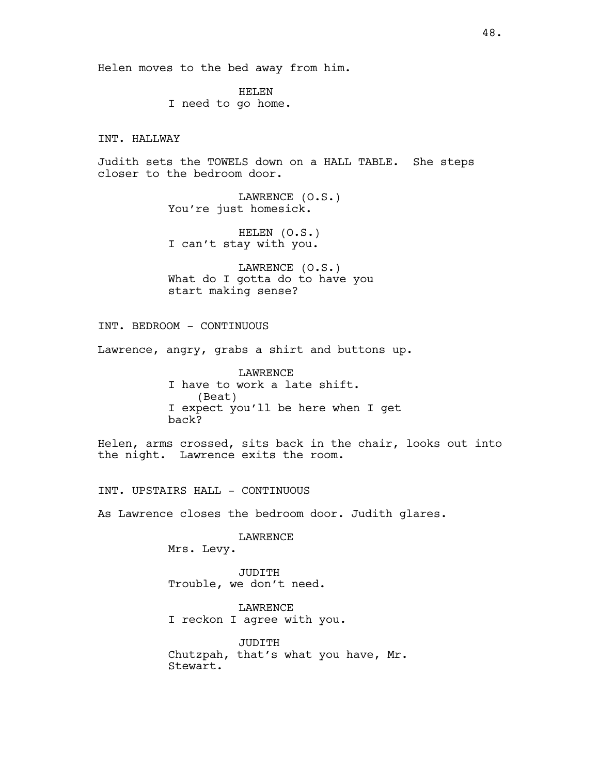Helen moves to the bed away from him.

HELEN I need to go home.

INT. HALLWAY

Judith sets the TOWELS down on a HALL TABLE. She steps closer to the bedroom door.

> LAWRENCE (O.S.) You're just homesick.

HELEN (O.S.) I can't stay with you.

LAWRENCE (O.S.) What do I gotta do to have you start making sense?

INT. BEDROOM - CONTINUOUS

Lawrence, angry, grabs a shirt and buttons up.

LAWRENCE I have to work a late shift. (Beat) I expect you'll be here when I get back?

Helen, arms crossed, sits back in the chair, looks out into the night. Lawrence exits the room.

INT. UPSTAIRS HALL - CONTINUOUS

As Lawrence closes the bedroom door. Judith glares.

LAWRENCE Mrs. Levy.

JUDITH Trouble, we don't need.

LAWRENCE I reckon I agree with you.

JUDITH Chutzpah, that's what you have, Mr. Stewart.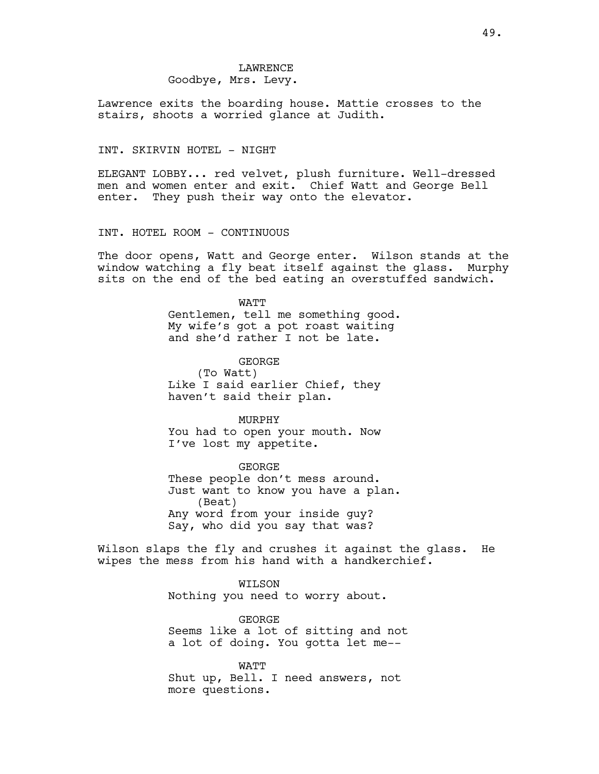# LAWRENCE Goodbye, Mrs. Levy.

Lawrence exits the boarding house. Mattie crosses to the stairs, shoots a worried glance at Judith.

# INT. SKIRVIN HOTEL - NIGHT

ELEGANT LOBBY... red velvet, plush furniture. Well-dressed men and women enter and exit. Chief Watt and George Bell enter. They push their way onto the elevator.

INT. HOTEL ROOM - CONTINUOUS

The door opens, Watt and George enter. Wilson stands at the window watching a fly beat itself against the glass. Murphy sits on the end of the bed eating an overstuffed sandwich.

# WATT

Gentlemen, tell me something good. My wife's got a pot roast waiting and she'd rather I not be late.

GEORGE (To Watt) Like I said earlier Chief, they haven't said their plan.

MURPHY You had to open your mouth. Now I've lost my appetite.

GEORGE These people don't mess around. Just want to know you have a plan. (Beat) Any word from your inside guy? Say, who did you say that was?

Wilson slaps the fly and crushes it against the glass. He wipes the mess from his hand with a handkerchief.

> WILSON Nothing you need to worry about.

GEORGE Seems like a lot of sitting and not a lot of doing. You gotta let me--

WATT Shut up, Bell. I need answers, not more questions.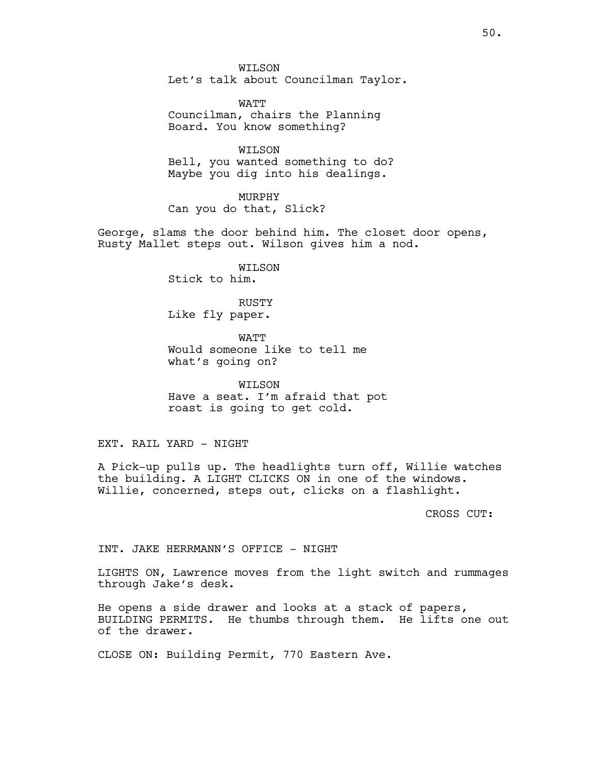WILSON Let's talk about Councilman Taylor.

WATT Councilman, chairs the Planning Board. You know something?

WILSON Bell, you wanted something to do? Maybe you dig into his dealings.

MURPHY Can you do that, Slick?

George, slams the door behind him. The closet door opens, Rusty Mallet steps out. Wilson gives him a nod.

> WILSON Stick to him.

RUSTY Like fly paper.

WATT Would someone like to tell me what's going on?

WILSON Have a seat. I'm afraid that pot roast is going to get cold.

EXT. RAIL YARD - NIGHT

A Pick-up pulls up. The headlights turn off, Willie watches the building. A LIGHT CLICKS ON in one of the windows. Willie, concerned, steps out, clicks on a flashlight.

CROSS CUT:

INT. JAKE HERRMANN'S OFFICE - NIGHT

LIGHTS ON, Lawrence moves from the light switch and rummages through Jake's desk.

He opens a side drawer and looks at a stack of papers, BUILDING PERMITS. He thumbs through them. He lifts one out of the drawer.

CLOSE ON: Building Permit, 770 Eastern Ave.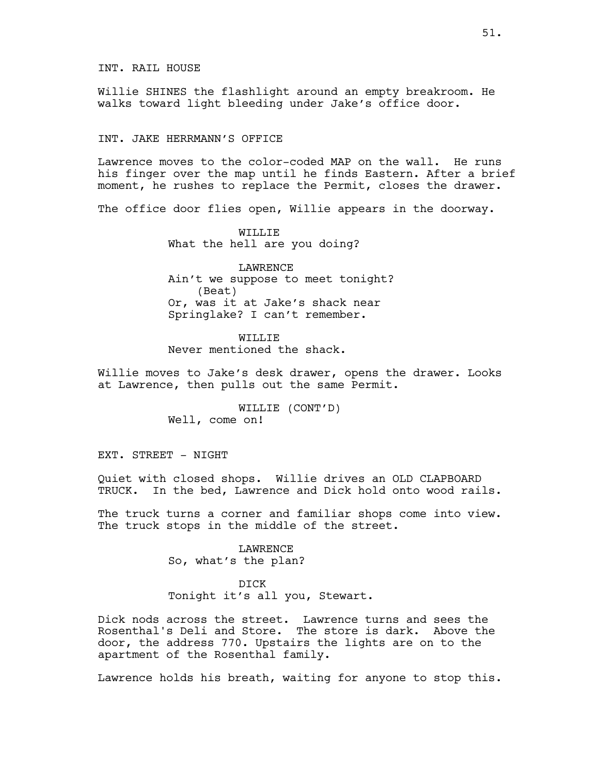INT. RAIL HOUSE

Willie SHINES the flashlight around an empty breakroom. He walks toward light bleeding under Jake's office door.

#### INT. JAKE HERRMANN'S OFFICE

Lawrence moves to the color-coded MAP on the wall. He runs his finger over the map until he finds Eastern. After a brief moment, he rushes to replace the Permit, closes the drawer.

The office door flies open, Willie appears in the doorway.

WILLIE What the hell are you doing?

LAWRENCE Ain't we suppose to meet tonight? (Beat) Or, was it at Jake's shack near Springlake? I can't remember.

WILLIE Never mentioned the shack.

Willie moves to Jake's desk drawer, opens the drawer. Looks at Lawrence, then pulls out the same Permit.

> WILLIE (CONT'D) Well, come on!

EXT. STREET - NIGHT

Quiet with closed shops. Willie drives an OLD CLAPBOARD TRUCK. In the bed, Lawrence and Dick hold onto wood rails.

The truck turns a corner and familiar shops come into view. The truck stops in the middle of the street.

> LAWRENCE So, what's the plan?

DICK Tonight it's all you, Stewart.

Dick nods across the street. Lawrence turns and sees the Rosenthal's Deli and Store. The store is dark. Above the door, the address 770. Upstairs the lights are on to the apartment of the Rosenthal family.

Lawrence holds his breath, waiting for anyone to stop this.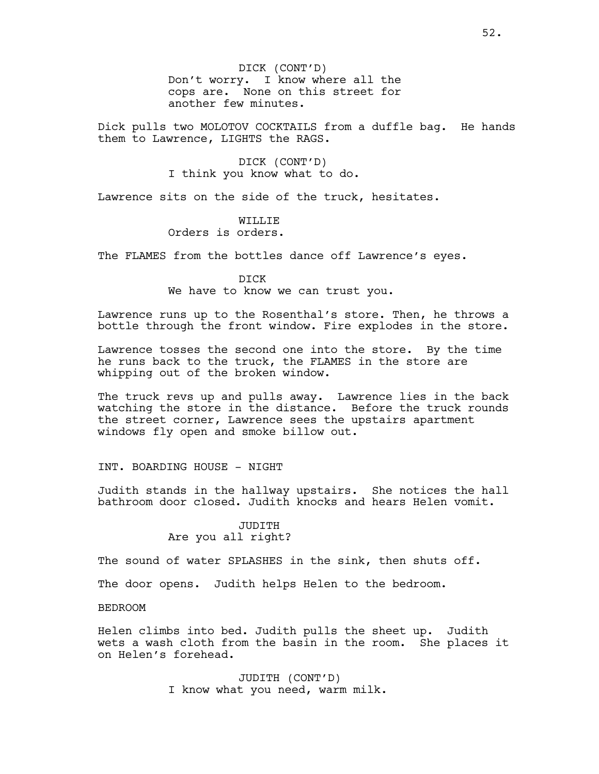DICK (CONT'D) Don't worry. I know where all the cops are. None on this street for another few minutes.

Dick pulls two MOLOTOV COCKTAILS from a duffle bag. He hands them to Lawrence, LIGHTS the RAGS.

> DICK (CONT'D) I think you know what to do.

Lawrence sits on the side of the truck, hesitates.

# WILLIE

# Orders is orders.

The FLAMES from the bottles dance off Lawrence's eyes.

DICK We have to know we can trust you.

Lawrence runs up to the Rosenthal's store. Then, he throws a bottle through the front window. Fire explodes in the store.

Lawrence tosses the second one into the store. By the time he runs back to the truck, the FLAMES in the store are whipping out of the broken window.

The truck revs up and pulls away. Lawrence lies in the back watching the store in the distance. Before the truck rounds the street corner, Lawrence sees the upstairs apartment windows fly open and smoke billow out.

# INT. BOARDING HOUSE - NIGHT

Judith stands in the hallway upstairs. She notices the hall bathroom door closed. Judith knocks and hears Helen vomit.

# JUDITH Are you all right?

The sound of water SPLASHES in the sink, then shuts off.

The door opens. Judith helps Helen to the bedroom.

# BEDROOM

Helen climbs into bed. Judith pulls the sheet up. Judith wets a wash cloth from the basin in the room. She places it on Helen's forehead.

> JUDITH (CONT'D) I know what you need, warm milk.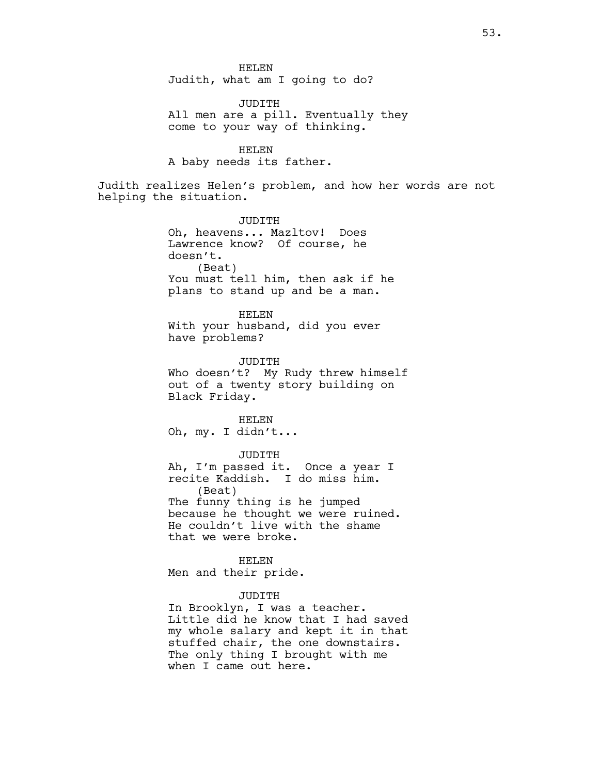HELEN Judith, what am I going to do?

JUDITH All men are a pill. Eventually they come to your way of thinking.

HELEN A baby needs its father.

Judith realizes Helen's problem, and how her words are not helping the situation.

> JUDITH Oh, heavens... Mazltov! Does Lawrence know? Of course, he doesn't. (Beat) You must tell him, then ask if he plans to stand up and be a man.

HELEN With your husband, did you ever have problems?

JUDITH Who doesn't? My Rudy threw himself out of a twenty story building on Black Friday.

HELEN Oh, my. I didn't...

JUDITH Ah, I'm passed it. Once a year I recite Kaddish. I do miss him. (Beat) The funny thing is he jumped because he thought we were ruined. He couldn't live with the shame that we were broke.

HELEN Men and their pride.

## JUDITH

In Brooklyn, I was a teacher. Little did he know that I had saved my whole salary and kept it in that stuffed chair, the one downstairs. The only thing I brought with me when I came out here.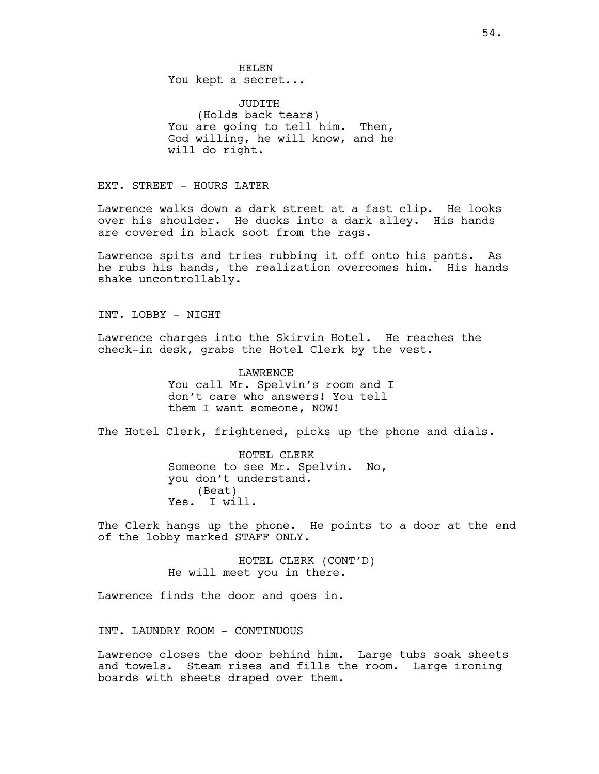HELEN You kept a secret...

JUDITH (Holds back tears) You are going to tell him. Then, God willing, he will know, and he will do right.

EXT. STREET - HOURS LATER

Lawrence walks down a dark street at a fast clip. He looks over his shoulder. He ducks into a dark alley. His hands are covered in black soot from the rags.

Lawrence spits and tries rubbing it off onto his pants. As he rubs his hands, the realization overcomes him. His hands shake uncontrollably.

INT. LOBBY - NIGHT

Lawrence charges into the Skirvin Hotel. He reaches the check-in desk, grabs the Hotel Clerk by the vest.

> LAWRENCE You call Mr. Spelvin's room and I don't care who answers! You tell them I want someone, NOW!

The Hotel Clerk, frightened, picks up the phone and dials.

HOTEL CLERK Someone to see Mr. Spelvin. No, you don't understand. (Beat) Yes. I will.

The Clerk hangs up the phone. He points to a door at the end of the lobby marked STAFF ONLY.

> HOTEL CLERK (CONT'D) He will meet you in there.

Lawrence finds the door and goes in.

INT. LAUNDRY ROOM - CONTINUOUS

Lawrence closes the door behind him. Large tubs soak sheets and towels. Steam rises and fills the room. Large ironing boards with sheets draped over them.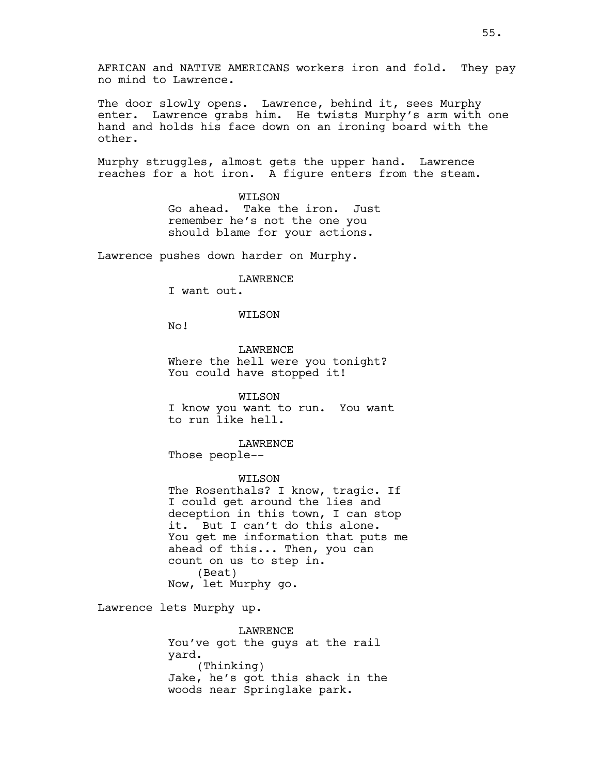AFRICAN and NATIVE AMERICANS workers iron and fold. They pay no mind to Lawrence.

The door slowly opens. Lawrence, behind it, sees Murphy enter. Lawrence grabs him. He twists Murphy's arm with one hand and holds his face down on an ironing board with the other.

Murphy struggles, almost gets the upper hand. Lawrence reaches for a hot iron. A figure enters from the steam.

> WILSON Go ahead. Take the iron. Just remember he's not the one you should blame for your actions.

Lawrence pushes down harder on Murphy.

# LAWRENCE

I want out.

#### WILSON

No!

LAWRENCE Where the hell were you tonight? You could have stopped it!

WILSON I know you want to run. You want to run like hell.

#### LAWRENCE

Those people--

# WILSON

The Rosenthals? I know, tragic. If I could get around the lies and deception in this town, I can stop it. But I can't do this alone. You get me information that puts me ahead of this... Then, you can count on us to step in. (Beat) Now, let Murphy go.

Lawrence lets Murphy up.

LAWRENCE You've got the guys at the rail yard. (Thinking) Jake, he's got this shack in the woods near Springlake park.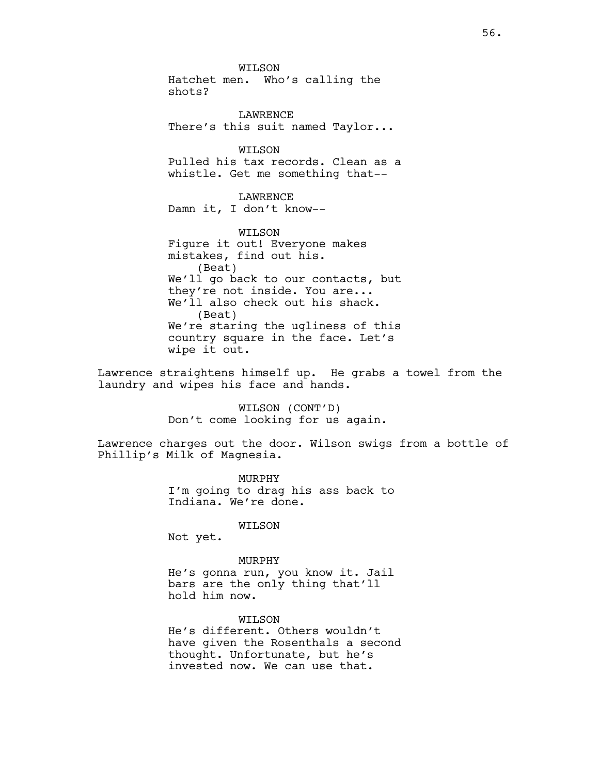WILSON Hatchet men. Who's calling the shots?

LAWRENCE There's this suit named Taylor...

WILSON Pulled his tax records. Clean as a whistle. Get me something that--

LAWRENCE Damn it, I don't know--

WILSON Figure it out! Everyone makes mistakes, find out his. (Beat) We'll go back to our contacts, but they're not inside. You are... We'll also check out his shack. (Beat) We're staring the ugliness of this country square in the face. Let's wipe it out.

Lawrence straightens himself up. He grabs a towel from the laundry and wipes his face and hands.

> WILSON (CONT'D) Don't come looking for us again.

Lawrence charges out the door. Wilson swigs from a bottle of Phillip's Milk of Magnesia.

> MURPHY I'm going to drag his ass back to Indiana. We're done.

## WILSON

Not yet.

#### MURPHY

He's gonna run, you know it. Jail bars are the only thing that'll hold him now.

WILSON He's different. Others wouldn't have given the Rosenthals a second thought. Unfortunate, but he's invested now. We can use that.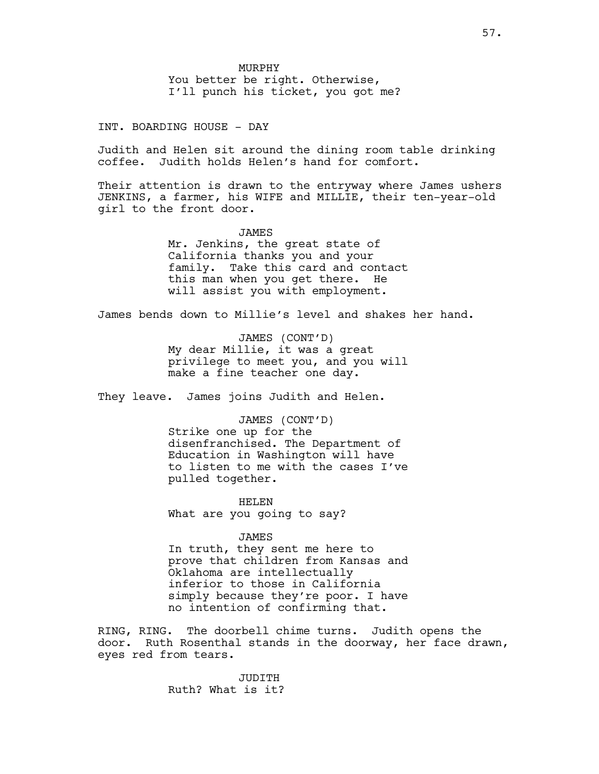INT. BOARDING HOUSE - DAY

Judith and Helen sit around the dining room table drinking coffee. Judith holds Helen's hand for comfort.

Their attention is drawn to the entryway where James ushers JENKINS, a farmer, his WIFE and MILLIE, their ten-year-old girl to the front door.

> JAMES Mr. Jenkins, the great state of California thanks you and your family. Take this card and contact this man when you get there. He will assist you with employment.

James bends down to Millie's level and shakes her hand.

JAMES (CONT'D) My dear Millie, it was a great privilege to meet you, and you will make a fine teacher one day.

They leave. James joins Judith and Helen.

JAMES (CONT'D) Strike one up for the disenfranchised. The Department of Education in Washington will have to listen to me with the cases I've pulled together.

HELEN What are you going to say?

JAMES In truth, they sent me here to prove that children from Kansas and Oklahoma are intellectually inferior to those in California simply because they're poor. I have no intention of confirming that.

RING, RING. The doorbell chime turns. Judith opens the door. Ruth Rosenthal stands in the doorway, her face drawn, eyes red from tears.

> JUDITH Ruth? What is it?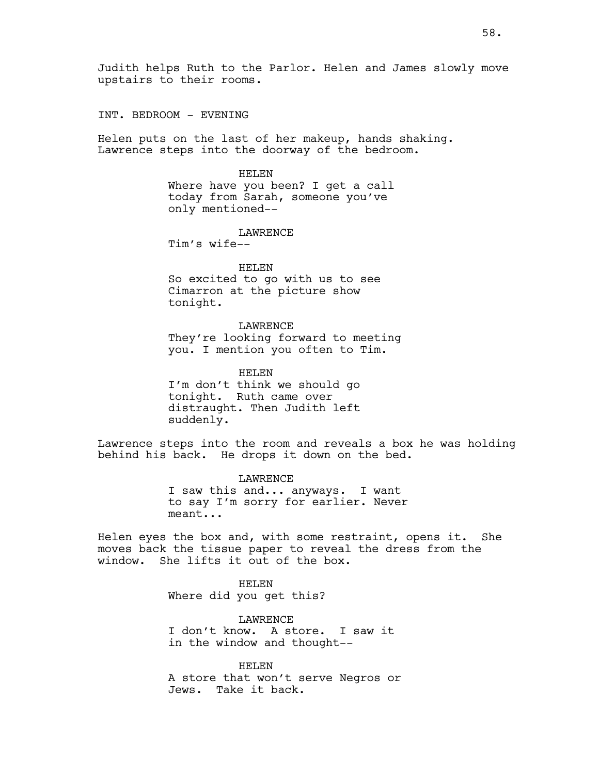INT. BEDROOM - EVENING

Helen puts on the last of her makeup, hands shaking. Lawrence steps into the doorway of the bedroom.

HELEN

Where have you been? I get a call today from Sarah, someone you've only mentioned--

LAWRENCE

Tim's wife--

HELEN So excited to go with us to see Cimarron at the picture show tonight.

LAWRENCE They're looking forward to meeting you. I mention you often to Tim.

HELEN I'm don't think we should go tonight. Ruth came over distraught. Then Judith left suddenly.

Lawrence steps into the room and reveals a box he was holding behind his back. He drops it down on the bed.

> LAWRENCE I saw this and... anyways. I want to say I'm sorry for earlier. Never meant...

Helen eyes the box and, with some restraint, opens it. She moves back the tissue paper to reveal the dress from the window. She lifts it out of the box.

> HELEN Where did you get this?

LAWRENCE I don't know. A store. I saw it in the window and thought--

HELEN A store that won't serve Negros or Jews. Take it back.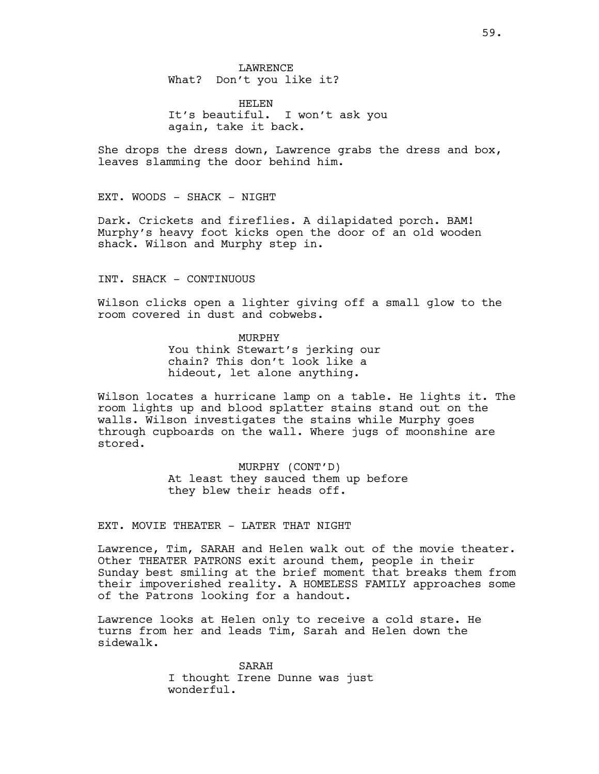LAWRENCE What? Don't you like it?

HELEN It's beautiful. I won't ask you again, take it back.

She drops the dress down, Lawrence grabs the dress and box, leaves slamming the door behind him.

EXT. WOODS - SHACK - NIGHT

Dark. Crickets and fireflies. A dilapidated porch. BAM! Murphy's heavy foot kicks open the door of an old wooden shack. Wilson and Murphy step in.

INT. SHACK - CONTINUOUS

Wilson clicks open a lighter giving off a small glow to the room covered in dust and cobwebs.

> MURPHY You think Stewart's jerking our chain? This don't look like a hideout, let alone anything.

Wilson locates a hurricane lamp on a table. He lights it. The room lights up and blood splatter stains stand out on the walls. Wilson investigates the stains while Murphy goes through cupboards on the wall. Where jugs of moonshine are stored.

> MURPHY (CONT'D) At least they sauced them up before they blew their heads off.

EXT. MOVIE THEATER - LATER THAT NIGHT

Lawrence, Tim, SARAH and Helen walk out of the movie theater. Other THEATER PATRONS exit around them, people in their Sunday best smiling at the brief moment that breaks them from their impoverished reality. A HOMELESS FAMILY approaches some of the Patrons looking for a handout.

Lawrence looks at Helen only to receive a cold stare. He turns from her and leads Tim, Sarah and Helen down the sidewalk.

> SARAH I thought Irene Dunne was just wonderful.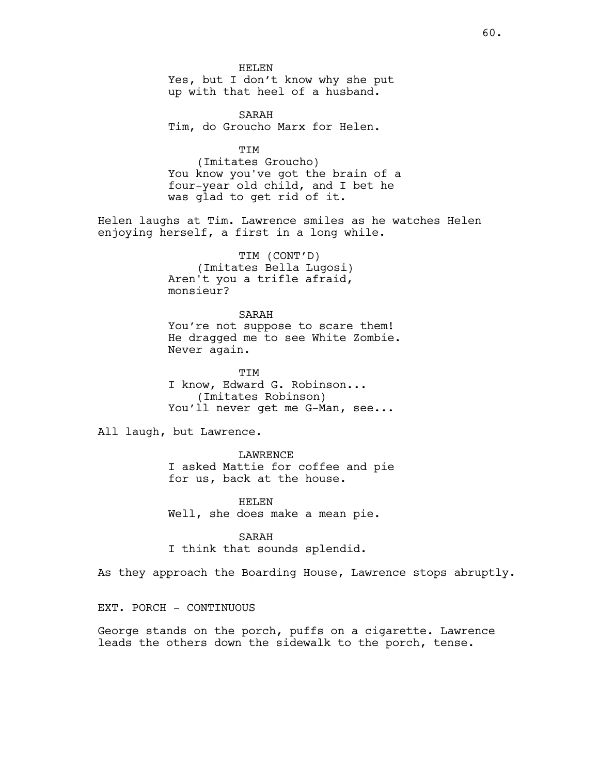HELEN Yes, but I don't know why she put up with that heel of a husband.

SARAH Tim, do Groucho Marx for Helen.

TIM (Imitates Groucho) You know you've got the brain of a four-year old child, and I bet he was glad to get rid of it.

Helen laughs at Tim. Lawrence smiles as he watches Helen enjoying herself, a first in a long while.

> TIM (CONT'D) (Imitates Bella Lugosi) Aren't you a trifle afraid, monsieur?

SARAH You're not suppose to scare them! He dragged me to see White Zombie. Never again.

TIM I know, Edward G. Robinson... (Imitates Robinson) You'll never get me G-Man, see...

All laugh, but Lawrence.

LAWRENCE I asked Mattie for coffee and pie for us, back at the house.

HELEN Well, she does make a mean pie.

SARAH I think that sounds splendid.

As they approach the Boarding House, Lawrence stops abruptly.

EXT. PORCH - CONTINUOUS

George stands on the porch, puffs on a cigarette. Lawrence leads the others down the sidewalk to the porch, tense.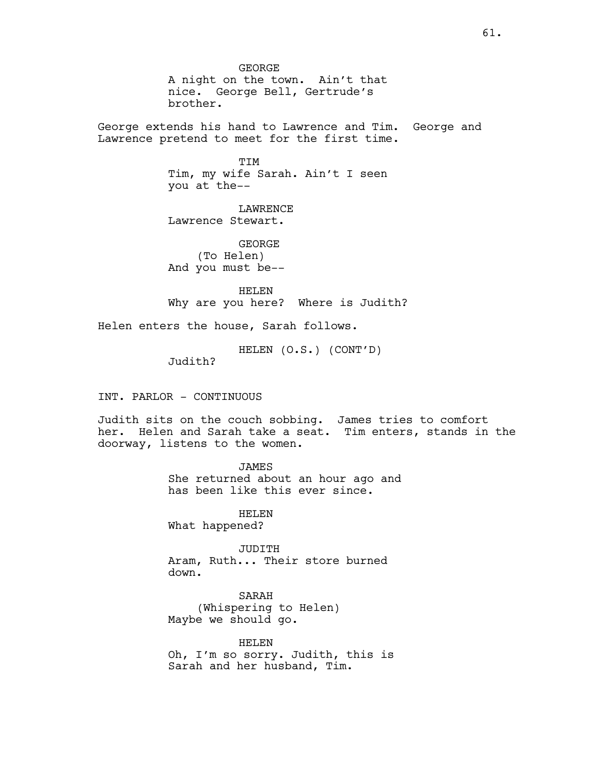GEORGE A night on the town. Ain't that nice. George Bell, Gertrude's brother.

George extends his hand to Lawrence and Tim. George and Lawrence pretend to meet for the first time.

> TIM Tim, my wife Sarah. Ain't I seen you at the--

LAWRENCE Lawrence Stewart.

GEORGE (To Helen) And you must be--

HELEN Why are you here? Where is Judith?

Helen enters the house, Sarah follows.

HELEN (O.S.) (CONT'D)

Judith?

INT. PARLOR - CONTINUOUS

Judith sits on the couch sobbing. James tries to comfort her. Helen and Sarah take a seat. Tim enters, stands in the doorway, listens to the women.

> JAMES She returned about an hour ago and has been like this ever since.

HELEN What happened?

JUDITH Aram, Ruth... Their store burned down.

SARAH (Whispering to Helen) Maybe we should go.

HELEN Oh, I'm so sorry. Judith, this is Sarah and her husband, Tim.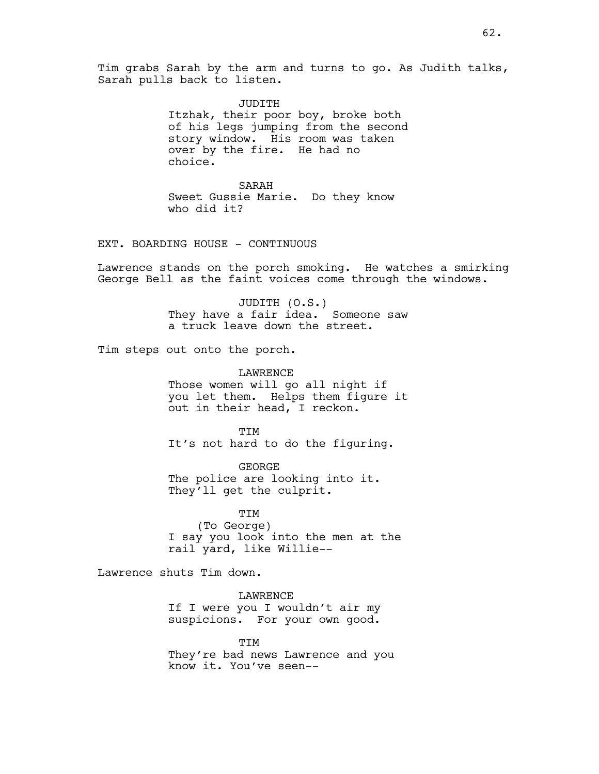Tim grabs Sarah by the arm and turns to go. As Judith talks, Sarah pulls back to listen.

> JUDITH Itzhak, their poor boy, broke both of his legs jumping from the second story window. His room was taken over by the fire. He had no choice.

SARAH Sweet Gussie Marie. Do they know who did it?

# EXT. BOARDING HOUSE - CONTINUOUS

Lawrence stands on the porch smoking. He watches a smirking George Bell as the faint voices come through the windows.

> JUDITH (O.S.) They have a fair idea. Someone saw a truck leave down the street.

Tim steps out onto the porch.

LAWRENCE Those women will go all night if you let them. Helps them figure it out in their head, I reckon.

TIM It's not hard to do the figuring.

GEORGE The police are looking into it. They'll get the culprit.

TIM (To George) I say you look into the men at the rail yard, like Willie--

Lawrence shuts Tim down.

LAWRENCE If I were you I wouldn't air my suspicions. For your own good.

**TTM** They're bad news Lawrence and you know it. You've seen--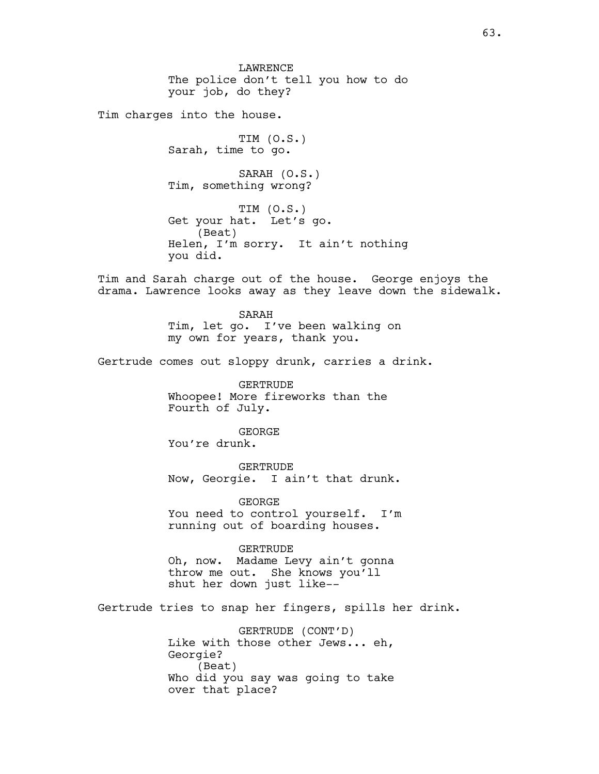LAWRENCE The police don't tell you how to do your job, do they?

Tim charges into the house.

TIM (O.S.) Sarah, time to go.

SARAH (O.S.) Tim, something wrong?

TIM (O.S.) Get your hat. Let's go. (Beat) Helen, I'm sorry. It ain't nothing you did.

Tim and Sarah charge out of the house. George enjoys the drama. Lawrence looks away as they leave down the sidewalk.

> SARAH Tim, let go. I've been walking on my own for years, thank you.

Gertrude comes out sloppy drunk, carries a drink.

GERTRUDE Whoopee! More fireworks than the Fourth of July.

GEORGE You're drunk.

GERTRUDE Now, Georgie. I ain't that drunk.

GEORGE You need to control yourself. I'm running out of boarding houses.

#### GERTRUDE

Oh, now. Madame Levy ain't gonna throw me out. She knows you'll shut her down just like--

Gertrude tries to snap her fingers, spills her drink.

GERTRUDE (CONT'D) Like with those other Jews... eh, Georgie? (Beat) Who did you say was going to take over that place?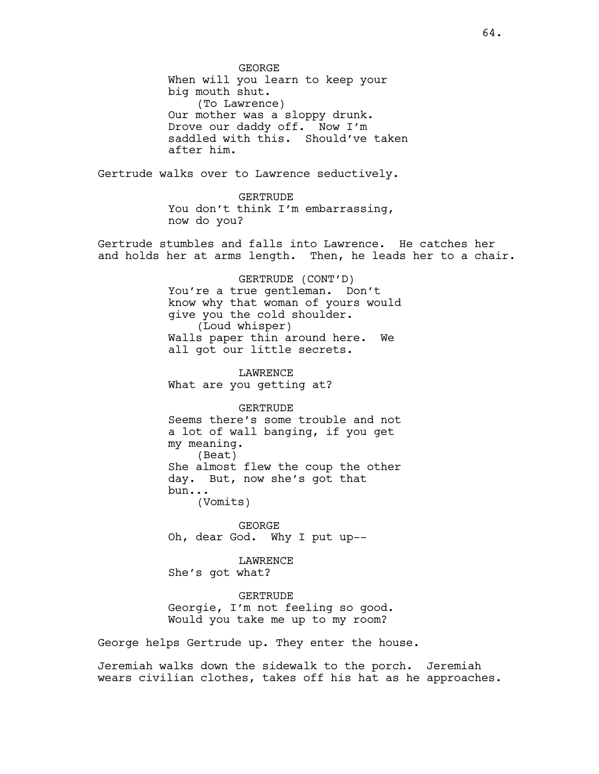GEORGE When will you learn to keep your big mouth shut. (To Lawrence) Our mother was a sloppy drunk. Drove our daddy off. Now I'm saddled with this. Should've taken after him. Gertrude walks over to Lawrence seductively. GERTRUDE You don't think I'm embarrassing, now do you? Gertrude stumbles and falls into Lawrence. He catches her and holds her at arms length. Then, he leads her to a chair. GERTRUDE (CONT'D) You're a true gentleman. Don't know why that woman of yours would give you the cold shoulder. (Loud whisper) Walls paper thin around here. We all got our little secrets. LAWRENCE What are you getting at? GERTRUDE Seems there's some trouble and not a lot of wall banging, if you get my meaning. (Beat) She almost flew the coup the other day. But, now she's got that bun... (Vomits) GEORGE Oh, dear God. Why I put up-- LAWRENCE She's got what? GERTRUDE Georgie, I'm not feeling so good. Would you take me up to my room?

George helps Gertrude up. They enter the house.

Jeremiah walks down the sidewalk to the porch. Jeremiah wears civilian clothes, takes off his hat as he approaches.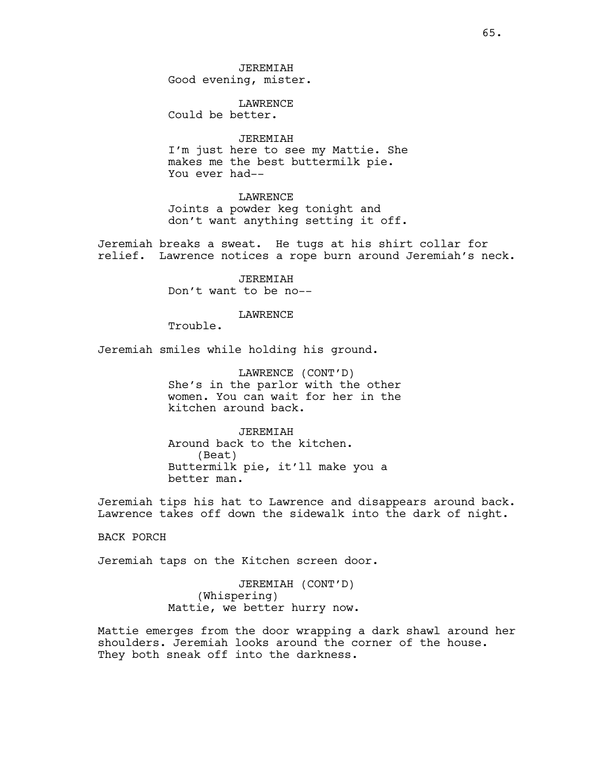JEREMIAH Good evening, mister.

LAWRENCE Could be better.

# JEREMIAH

I'm just here to see my Mattie. She makes me the best buttermilk pie. You ever had--

**LAWRENCE** Joints a powder keg tonight and don't want anything setting it off.

Jeremiah breaks a sweat. He tugs at his shirt collar for relief. Lawrence notices a rope burn around Jeremiah's neck.

> JEREMIAH Don't want to be no--

## LAWRENCE

Trouble.

Jeremiah smiles while holding his ground.

LAWRENCE (CONT'D) She's in the parlor with the other women. You can wait for her in the kitchen around back.

JEREMIAH Around back to the kitchen. (Beat) Buttermilk pie, it'll make you a better man.

Jeremiah tips his hat to Lawrence and disappears around back. Lawrence takes off down the sidewalk into the dark of night.

BACK PORCH

Jeremiah taps on the Kitchen screen door.

JEREMIAH (CONT'D) (Whispering) Mattie, we better hurry now.

Mattie emerges from the door wrapping a dark shawl around her shoulders. Jeremiah looks around the corner of the house. They both sneak off into the darkness.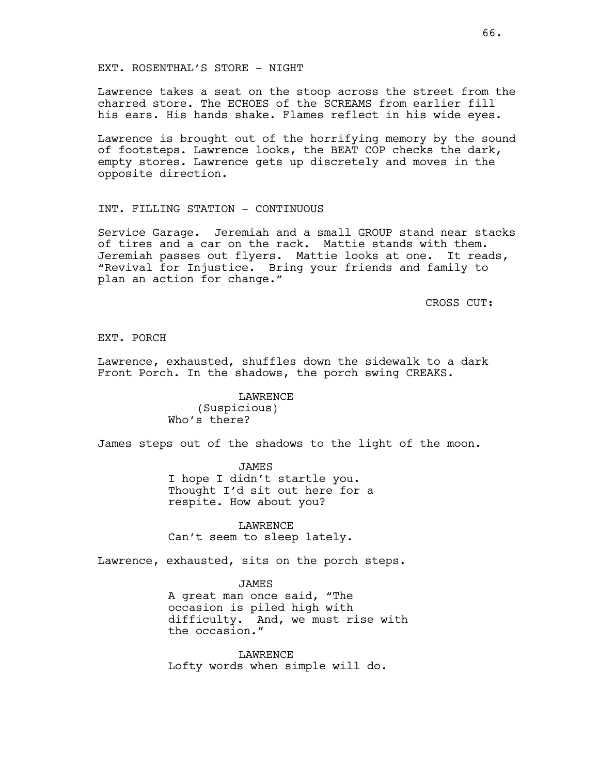## EXT. ROSENTHAL'S STORE - NIGHT

Lawrence takes a seat on the stoop across the street from the charred store. The ECHOES of the SCREAMS from earlier fill his ears. His hands shake. Flames reflect in his wide eyes.

Lawrence is brought out of the horrifying memory by the sound of footsteps. Lawrence looks, the BEAT COP checks the dark, empty stores. Lawrence gets up discretely and moves in the opposite direction.

# INT. FILLING STATION - CONTINUOUS

Service Garage. Jeremiah and a small GROUP stand near stacks of tires and a car on the rack. Mattie stands with them. Jeremiah passes out flyers. Mattie looks at one. It reads, "Revival for Injustice. Bring your friends and family to plan an action for change."

CROSS CUT:

EXT. PORCH

Lawrence, exhausted, shuffles down the sidewalk to a dark Front Porch. In the shadows, the porch swing CREAKS.

> LAWRENCE (Suspicious) Who's there?

James steps out of the shadows to the light of the moon.

JAMES I hope I didn't startle you. Thought I'd sit out here for a respite. How about you?

LAWRENCE Can't seem to sleep lately.

Lawrence, exhausted, sits on the porch steps.

JAMES

A great man once said, "The occasion is piled high with difficulty. And, we must rise with the occasion."

LAWRENCE Lofty words when simple will do.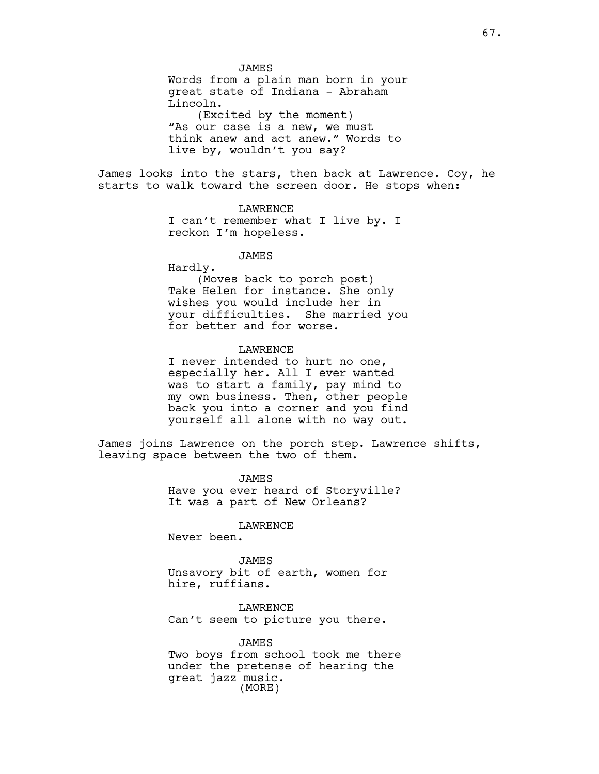JAMES Words from a plain man born in your great state of Indiana - Abraham Lincoln. (Excited by the moment) "As our case is a new, we must think anew and act anew." Words to live by, wouldn't you say?

James looks into the stars, then back at Lawrence. Coy, he starts to walk toward the screen door. He stops when:

# LAWRENCE

I can't remember what I live by. I reckon I'm hopeless.

JAMES

Hardly.

(Moves back to porch post) Take Helen for instance. She only wishes you would include her in your difficulties. She married you for better and for worse.

# LAWRENCE

I never intended to hurt no one, especially her. All I ever wanted was to start a family, pay mind to my own business. Then, other people back you into a corner and you find yourself all alone with no way out.

James joins Lawrence on the porch step. Lawrence shifts, leaving space between the two of them.

> JAMES Have you ever heard of Storyville? It was a part of New Orleans?

> > LAWRENCE

Never been.

#### JAMES

Unsavory bit of earth, women for hire, ruffians.

LAWRENCE Can't seem to picture you there.

JAMES Two boys from school took me there under the pretense of hearing the great jazz music. (MORE)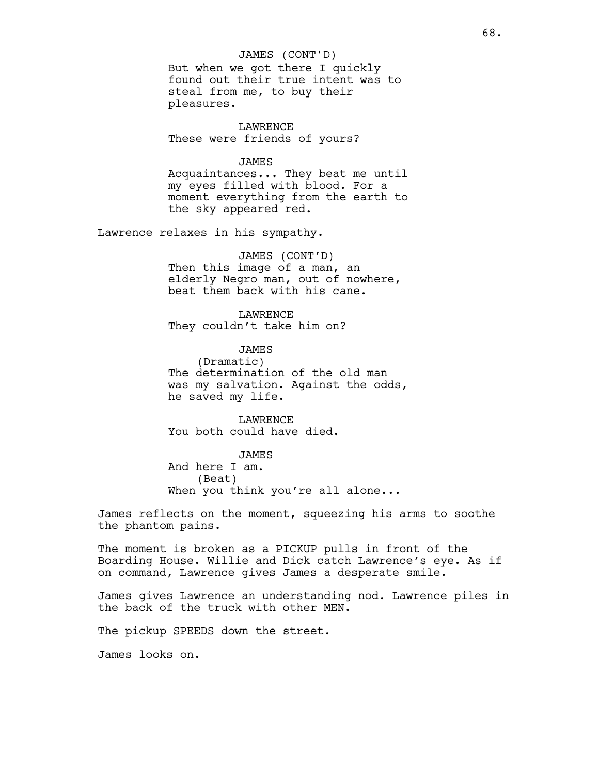# JAMES (CONT'D)

But when we got there I quickly found out their true intent was to steal from me, to buy their pleasures.

**LAWRENCE** These were friends of yours?

#### JAMES

Acquaintances... They beat me until my eyes filled with blood. For a moment everything from the earth to the sky appeared red.

Lawrence relaxes in his sympathy.

## JAMES (CONT'D)

Then this image of a man, an elderly Negro man, out of nowhere, beat them back with his cane.

**LAWRENCE** They couldn't take him on?

#### JAMES

(Dramatic) The determination of the old man was my salvation. Against the odds, he saved my life.

LAWRENCE You both could have died.

JAMES And here I am. (Beat) When you think you're all alone...

James reflects on the moment, squeezing his arms to soothe the phantom pains.

The moment is broken as a PICKUP pulls in front of the Boarding House. Willie and Dick catch Lawrence's eye. As if on command, Lawrence gives James a desperate smile.

James gives Lawrence an understanding nod. Lawrence piles in the back of the truck with other MEN.

The pickup SPEEDS down the street.

James looks on.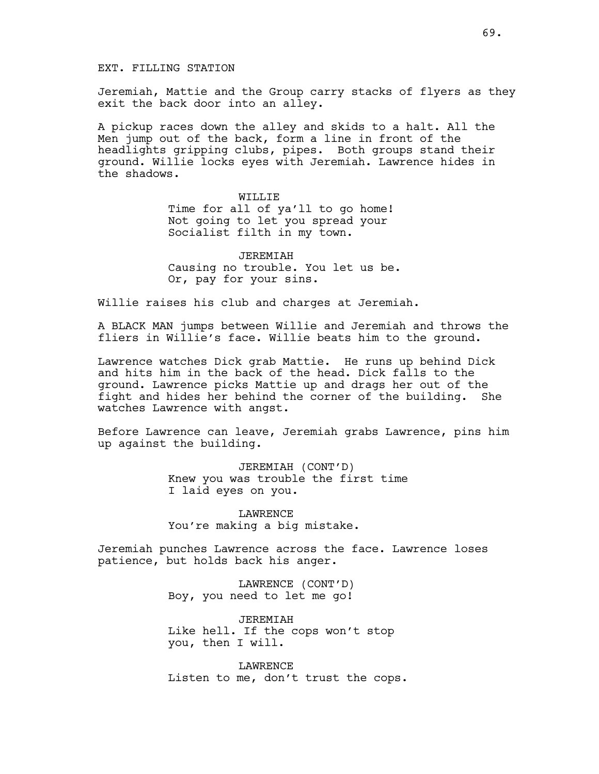EXT. FILLING STATION

Jeremiah, Mattie and the Group carry stacks of flyers as they exit the back door into an alley.

A pickup races down the alley and skids to a halt. All the Men jump out of the back, form a line in front of the headlights gripping clubs, pipes. Both groups stand their ground. Willie locks eyes with Jeremiah. Lawrence hides in the shadows.

> WILLIF. Time for all of ya'll to go home! Not going to let you spread your Socialist filth in my town.

JEREMIAH Causing no trouble. You let us be. Or, pay for your sins.

Willie raises his club and charges at Jeremiah.

A BLACK MAN jumps between Willie and Jeremiah and throws the fliers in Willie's face. Willie beats him to the ground.

Lawrence watches Dick grab Mattie. He runs up behind Dick and hits him in the back of the head. Dick falls to the ground. Lawrence picks Mattie up and drags her out of the fight and hides her behind the corner of the building. She watches Lawrence with angst.

Before Lawrence can leave, Jeremiah grabs Lawrence, pins him up against the building.

> JEREMIAH (CONT'D) Knew you was trouble the first time I laid eyes on you.

LAWRENCE You're making a big mistake.

Jeremiah punches Lawrence across the face. Lawrence loses patience, but holds back his anger.

> LAWRENCE (CONT'D) Boy, you need to let me go!

JEREMIAH Like hell. If the cops won't stop you, then I will.

LAWRENCE Listen to me, don't trust the cops.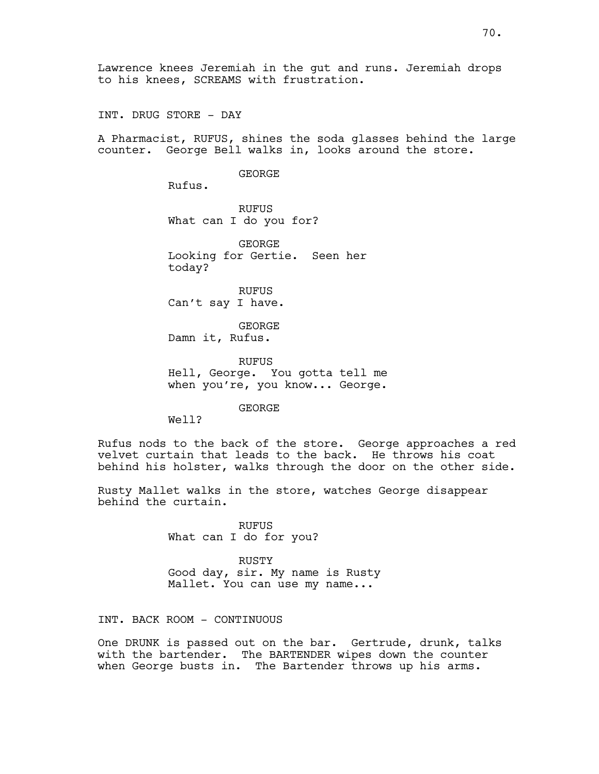INT. DRUG STORE - DAY

A Pharmacist, RUFUS, shines the soda glasses behind the large counter. George Bell walks in, looks around the store.

#### GEORGE

Rufus.

RUFUS What can I do you for?

GEORGE Looking for Gertie. Seen her today?

RUFUS Can't say I have.

GEORGE Damn it, Rufus.

RUFUS Hell, George. You gotta tell me when you're, you know... George.

GEORGE

Well?

Rufus nods to the back of the store. George approaches a red velvet curtain that leads to the back. He throws his coat behind his holster, walks through the door on the other side.

Rusty Mallet walks in the store, watches George disappear behind the curtain.

> RUFUS What can I do for you?

> > RUSTY

Good day, sir. My name is Rusty Mallet. You can use my name...

INT. BACK ROOM - CONTINUOUS

One DRUNK is passed out on the bar. Gertrude, drunk, talks with the bartender. The BARTENDER wipes down the counter when George busts in. The Bartender throws up his arms.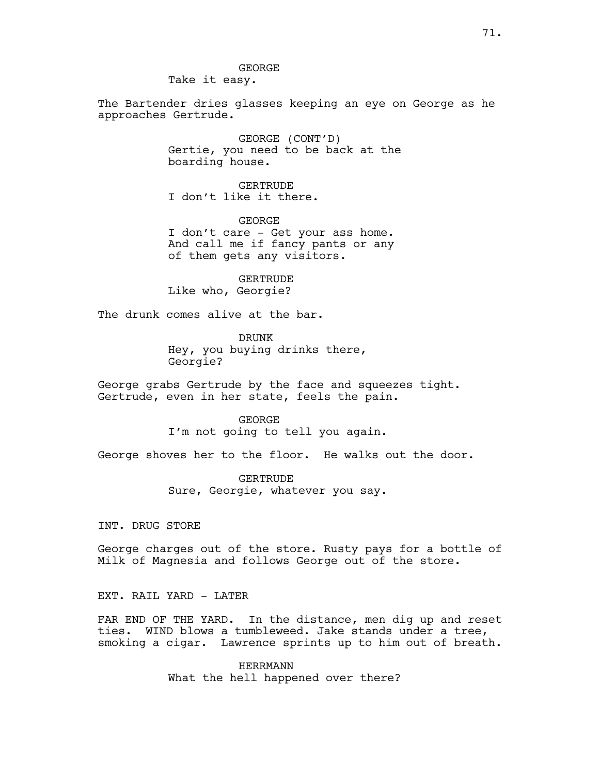Take it easy.

The Bartender dries glasses keeping an eye on George as he approaches Gertrude.

> GEORGE (CONT'D) Gertie, you need to be back at the boarding house.

GERTRUDE I don't like it there.

GEORGE I don't care - Get your ass home. And call me if fancy pants or any of them gets any visitors.

GERTRUDE Like who, Georgie?

The drunk comes alive at the bar.

DRUNK Hey, you buying drinks there, Georgie?

George grabs Gertrude by the face and squeezes tight. Gertrude, even in her state, feels the pain.

> GEORGE I'm not going to tell you again.

George shoves her to the floor. He walks out the door.

GERTRUDE Sure, Georgie, whatever you say.

INT. DRUG STORE

George charges out of the store. Rusty pays for a bottle of Milk of Magnesia and follows George out of the store.

EXT. RAIL YARD - LATER

FAR END OF THE YARD. In the distance, men dig up and reset ties. WIND blows a tumbleweed. Jake stands under a tree, smoking a cigar. Lawrence sprints up to him out of breath.

> HERRMANN What the hell happened over there?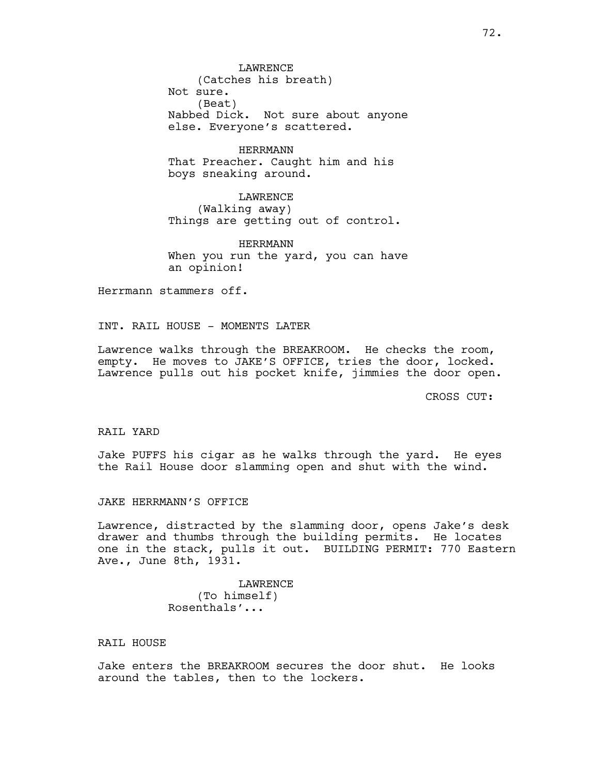LAWRENCE (Catches his breath) Not sure. (Beat) Nabbed Dick. Not sure about anyone else. Everyone's scattered.

HERRMANN That Preacher. Caught him and his boys sneaking around.

LAWRENCE (Walking away) Things are getting out of control.

HERRMANN When you run the yard, you can have an opinion!

Herrmann stammers off.

INT. RAIL HOUSE - MOMENTS LATER

Lawrence walks through the BREAKROOM. He checks the room, empty. He moves to JAKE'S OFFICE, tries the door, locked. Lawrence pulls out his pocket knife, jimmies the door open.

CROSS CUT:

RAIL YARD

Jake PUFFS his cigar as he walks through the yard. He eyes the Rail House door slamming open and shut with the wind.

JAKE HERRMANN'S OFFICE

Lawrence, distracted by the slamming door, opens Jake's desk drawer and thumbs through the building permits. He locates one in the stack, pulls it out. BUILDING PERMIT: 770 Eastern Ave., June 8th, 1931.

> LAWRENCE (To himself) Rosenthals'...

# RAIL HOUSE

Jake enters the BREAKROOM secures the door shut. He looks around the tables, then to the lockers.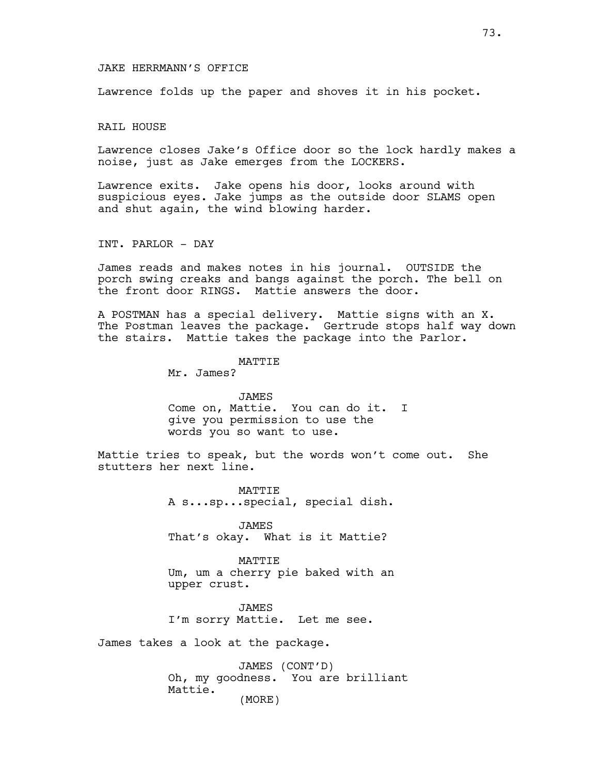#### JAKE HERRMANN'S OFFICE

Lawrence folds up the paper and shoves it in his pocket.

RAIL HOUSE

Lawrence closes Jake's Office door so the lock hardly makes a noise, just as Jake emerges from the LOCKERS.

Lawrence exits. Jake opens his door, looks around with suspicious eyes. Jake jumps as the outside door SLAMS open and shut again, the wind blowing harder.

INT. PARLOR - DAY

James reads and makes notes in his journal. OUTSIDE the porch swing creaks and bangs against the porch. The bell on the front door RINGS. Mattie answers the door.

A POSTMAN has a special delivery. Mattie signs with an X. The Postman leaves the package. Gertrude stops half way down the stairs. Mattie takes the package into the Parlor.

# MATTIE

Mr. James?

JAMES Come on, Mattie. You can do it. I give you permission to use the words you so want to use.

Mattie tries to speak, but the words won't come out. She stutters her next line.

> MATTIE A s...sp...special, special dish.

JAMES That's okay. What is it Mattie?

#### MATTIE

Um, um a cherry pie baked with an upper crust.

JAMES I'm sorry Mattie. Let me see.

James takes a look at the package.

JAMES (CONT'D) Oh, my goodness. You are brilliant Mattie. (MORE)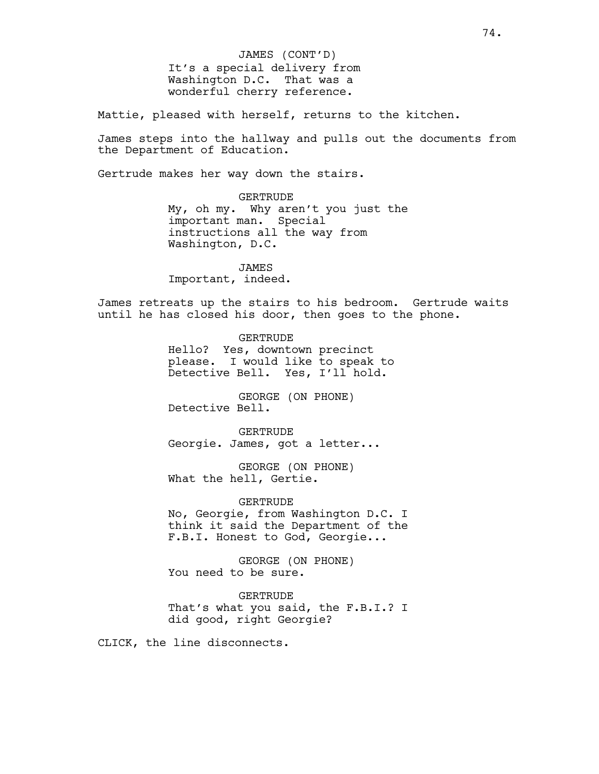It's a special delivery from Washington D.C. That was a wonderful cherry reference. JAMES (CONT'D)

Mattie, pleased with herself, returns to the kitchen.

James steps into the hallway and pulls out the documents from the Department of Education.

Gertrude makes her way down the stairs.

GERTRUDE My, oh my. Why aren't you just the important man. Special instructions all the way from Washington, D.C.

JAMES Important, indeed.

James retreats up the stairs to his bedroom. Gertrude waits until he has closed his door, then goes to the phone.

> GERTRUDE Hello? Yes, downtown precinct please. I would like to speak to Detective Bell. Yes, I'll hold.

GEORGE (ON PHONE) Detective Bell.

**GERTRUDE** Georgie. James, got a letter...

GEORGE (ON PHONE) What the hell, Gertie.

GERTRUDE No, Georgie, from Washington D.C. I think it said the Department of the F.B.I. Honest to God, Georgie...

GEORGE (ON PHONE) You need to be sure.

GERTRUDE That's what you said, the F.B.I.? I did good, right Georgie?

CLICK, the line disconnects.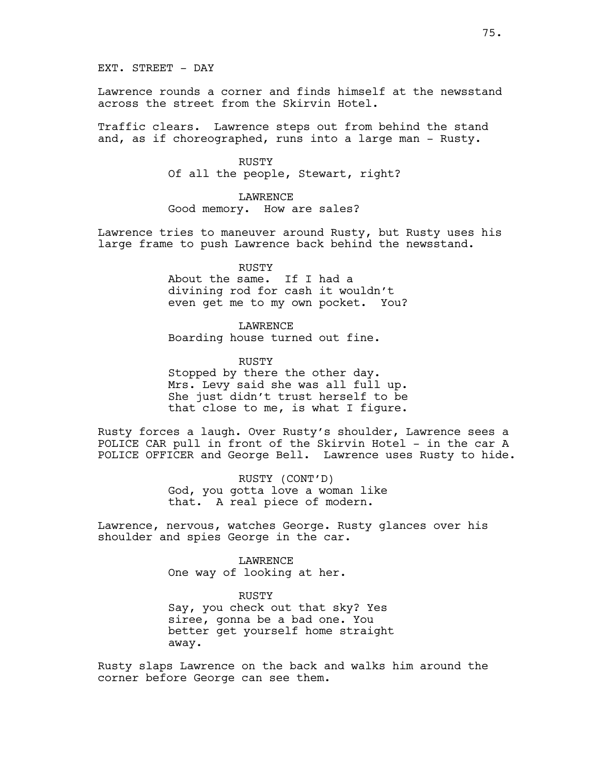EXT. STREET - DAY

Lawrence rounds a corner and finds himself at the newsstand across the street from the Skirvin Hotel.

Traffic clears. Lawrence steps out from behind the stand and, as if choreographed, runs into a large man - Rusty.

> RUSTY Of all the people, Stewart, right?

LAWRENCE Good memory. How are sales?

Lawrence tries to maneuver around Rusty, but Rusty uses his large frame to push Lawrence back behind the newsstand.

> RUSTY About the same. If I had a divining rod for cash it wouldn't even get me to my own pocket. You?

LAWRENCE Boarding house turned out fine.

RUSTY Stopped by there the other day. Mrs. Levy said she was all full up. She just didn't trust herself to be that close to me, is what I figure.

Rusty forces a laugh. Over Rusty's shoulder, Lawrence sees a POLICE CAR pull in front of the Skirvin Hotel - in the car A POLICE OFFICER and George Bell. Lawrence uses Rusty to hide.

> RUSTY (CONT'D) God, you gotta love a woman like that. A real piece of modern.

Lawrence, nervous, watches George. Rusty glances over his shoulder and spies George in the car.

> LAWRENCE One way of looking at her.

RUSTY Say, you check out that sky? Yes siree, gonna be a bad one. You better get yourself home straight away.

Rusty slaps Lawrence on the back and walks him around the corner before George can see them.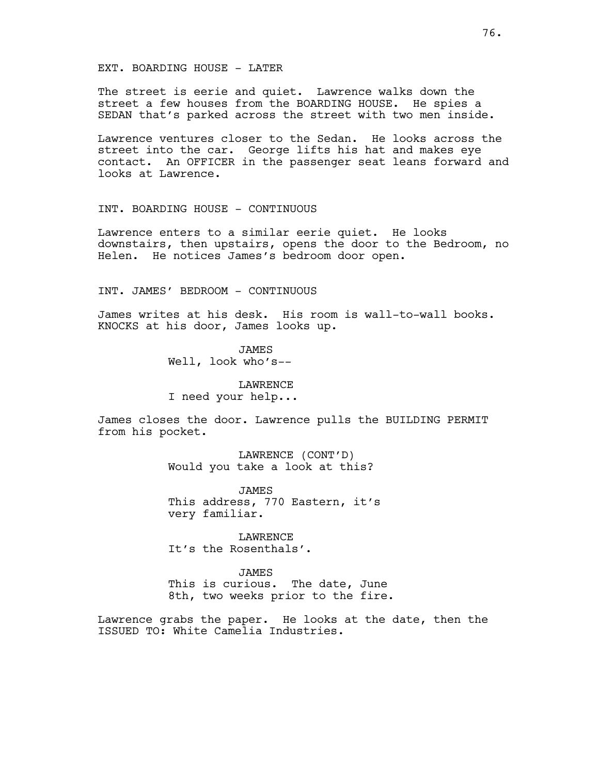#### EXT. BOARDING HOUSE - LATER

The street is eerie and quiet. Lawrence walks down the street a few houses from the BOARDING HOUSE. He spies a SEDAN that's parked across the street with two men inside.

Lawrence ventures closer to the Sedan. He looks across the street into the car. George lifts his hat and makes eye contact. An OFFICER in the passenger seat leans forward and looks at Lawrence.

#### INT. BOARDING HOUSE - CONTINUOUS

Lawrence enters to a similar eerie quiet. He looks downstairs, then upstairs, opens the door to the Bedroom, no Helen. He notices James's bedroom door open.

INT. JAMES' BEDROOM - CONTINUOUS

James writes at his desk. His room is wall-to-wall books. KNOCKS at his door, James looks up.

> JAMES Well, look who's--

**LAWRENCE** I need your help...

James closes the door. Lawrence pulls the BUILDING PERMIT from his pocket.

> LAWRENCE (CONT'D) Would you take a look at this?

JAMES This address, 770 Eastern, it's very familiar.

LAWRENCE It's the Rosenthals'.

JAMES This is curious. The date, June 8th, two weeks prior to the fire.

Lawrence grabs the paper. He looks at the date, then the ISSUED TO: White Camelia Industries.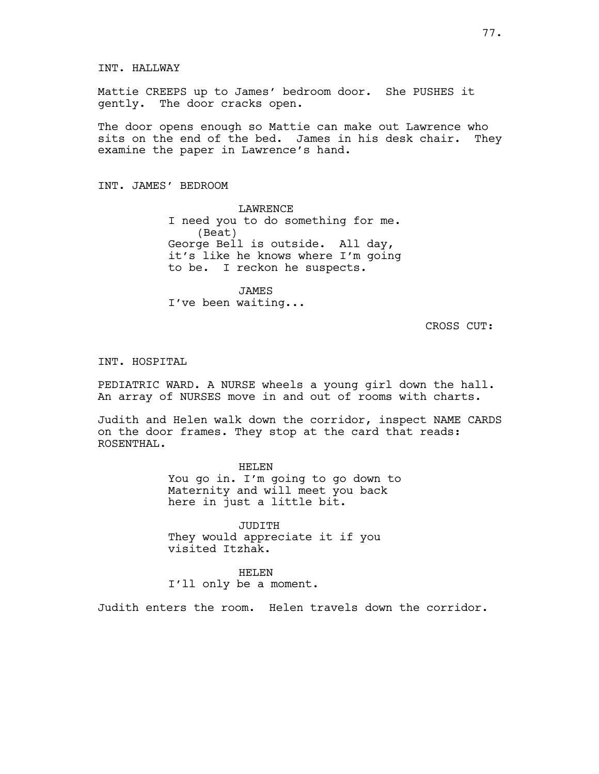INT. HALLWAY

Mattie CREEPS up to James' bedroom door. She PUSHES it gently. The door cracks open.

The door opens enough so Mattie can make out Lawrence who sits on the end of the bed. James in his desk chair. They examine the paper in Lawrence's hand.

INT. JAMES' BEDROOM

LAWRENCE I need you to do something for me. (Beat) George Bell is outside. All day, it's like he knows where I'm going to be. I reckon he suspects.

JAMES I've been waiting...

CROSS CUT:

INT. HOSPITAL

PEDIATRIC WARD. A NURSE wheels a young girl down the hall. An array of NURSES move in and out of rooms with charts.

Judith and Helen walk down the corridor, inspect NAME CARDS on the door frames. They stop at the card that reads: ROSENTHAL.

HELEN

You go in. I'm going to go down to Maternity and will meet you back here in just a little bit.

JUDITH They would appreciate it if you visited Itzhak.

HELEN I'll only be a moment.

Judith enters the room. Helen travels down the corridor.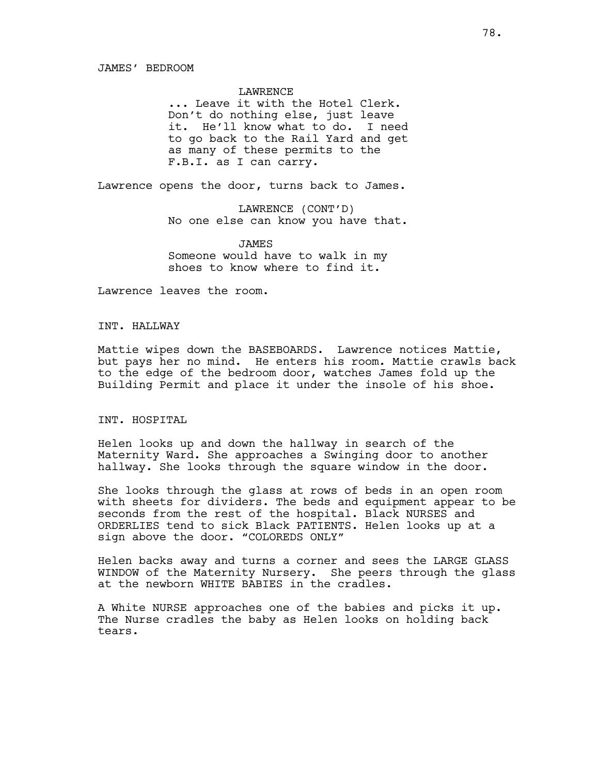#### JAMES' BEDROOM

#### LAWRENCE

... Leave it with the Hotel Clerk. Don't do nothing else, just leave it. He'll know what to do. I need to go back to the Rail Yard and get as many of these permits to the F.B.I. as I can carry.

Lawrence opens the door, turns back to James.

LAWRENCE (CONT'D) No one else can know you have that.

JAMES Someone would have to walk in my shoes to know where to find it.

Lawrence leaves the room.

## INT. HALLWAY

Mattie wipes down the BASEBOARDS. Lawrence notices Mattie, but pays her no mind. He enters his room. Mattie crawls back to the edge of the bedroom door, watches James fold up the Building Permit and place it under the insole of his shoe.

## INT. HOSPITAL

Helen looks up and down the hallway in search of the Maternity Ward. She approaches a Swinging door to another hallway. She looks through the square window in the door.

She looks through the glass at rows of beds in an open room with sheets for dividers. The beds and equipment appear to be seconds from the rest of the hospital. Black NURSES and ORDERLIES tend to sick Black PATIENTS. Helen looks up at a sign above the door. "COLOREDS ONLY"

Helen backs away and turns a corner and sees the LARGE GLASS WINDOW of the Maternity Nursery. She peers through the glass at the newborn WHITE BABIES in the cradles.

A White NURSE approaches one of the babies and picks it up. The Nurse cradles the baby as Helen looks on holding back tears.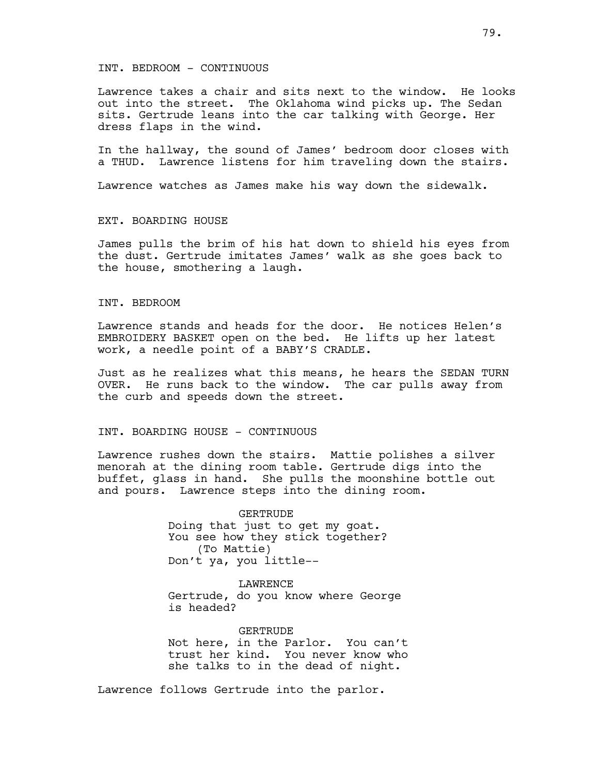#### INT. BEDROOM - CONTINUOUS

Lawrence takes a chair and sits next to the window. He looks out into the street. The Oklahoma wind picks up. The Sedan sits. Gertrude leans into the car talking with George. Her dress flaps in the wind.

In the hallway, the sound of James' bedroom door closes with a THUD. Lawrence listens for him traveling down the stairs.

Lawrence watches as James make his way down the sidewalk.

# EXT. BOARDING HOUSE

James pulls the brim of his hat down to shield his eyes from the dust. Gertrude imitates James' walk as she goes back to the house, smothering a laugh.

## INT. BEDROOM

Lawrence stands and heads for the door. He notices Helen's EMBROIDERY BASKET open on the bed. He lifts up her latest work, a needle point of a BABY'S CRADLE.

Just as he realizes what this means, he hears the SEDAN TURN OVER. He runs back to the window. The car pulls away from the curb and speeds down the street.

# INT. BOARDING HOUSE - CONTINUOUS

Lawrence rushes down the stairs. Mattie polishes a silver menorah at the dining room table. Gertrude digs into the buffet, glass in hand. She pulls the moonshine bottle out and pours. Lawrence steps into the dining room.

> GERTRUDE Doing that just to get my goat. You see how they stick together? (To Mattie) Don't ya, you little--

LAWRENCE Gertrude, do you know where George is headed?

GERTRUDE Not here, in the Parlor. You can't trust her kind. You never know who she talks to in the dead of night.

Lawrence follows Gertrude into the parlor.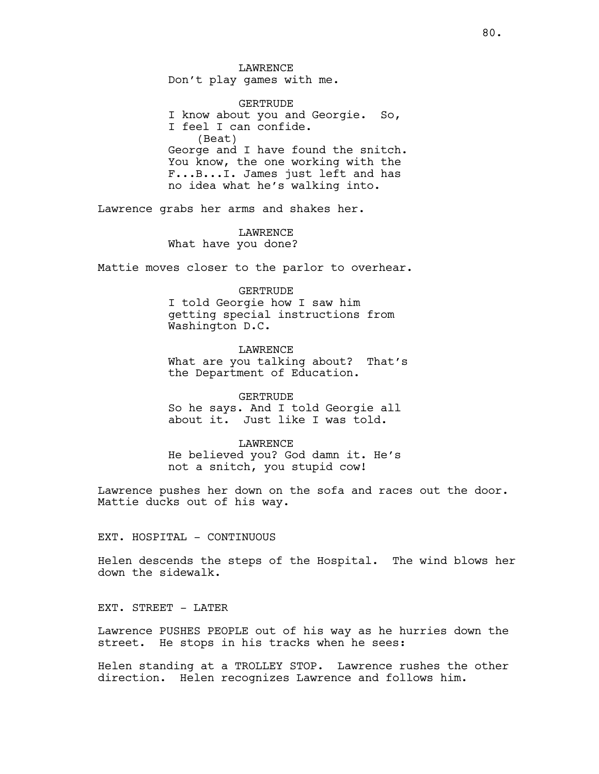LAWRENCE Don't play games with me.

GERTRUDE I know about you and Georgie. So, I feel I can confide. (Beat) George and I have found the snitch. You know, the one working with the F...B...I. James just left and has no idea what he's walking into.

Lawrence grabs her arms and shakes her.

LAWRENCE What have you done?

Mattie moves closer to the parlor to overhear.

## GERTRUDE

I told Georgie how I saw him getting special instructions from Washington D.C.

LAWRENCE

What are you talking about? That's the Department of Education.

GERTRUDE

So he says. And I told Georgie all about it. Just like I was told.

### **LAWRENCE**

He believed you? God damn it. He's not a snitch, you stupid cow!

Lawrence pushes her down on the sofa and races out the door. Mattie ducks out of his way.

# EXT. HOSPITAL - CONTINUOUS

Helen descends the steps of the Hospital. The wind blows her down the sidewalk.

EXT. STREET - LATER

Lawrence PUSHES PEOPLE out of his way as he hurries down the street. He stops in his tracks when he sees:

Helen standing at a TROLLEY STOP. Lawrence rushes the other direction. Helen recognizes Lawrence and follows him.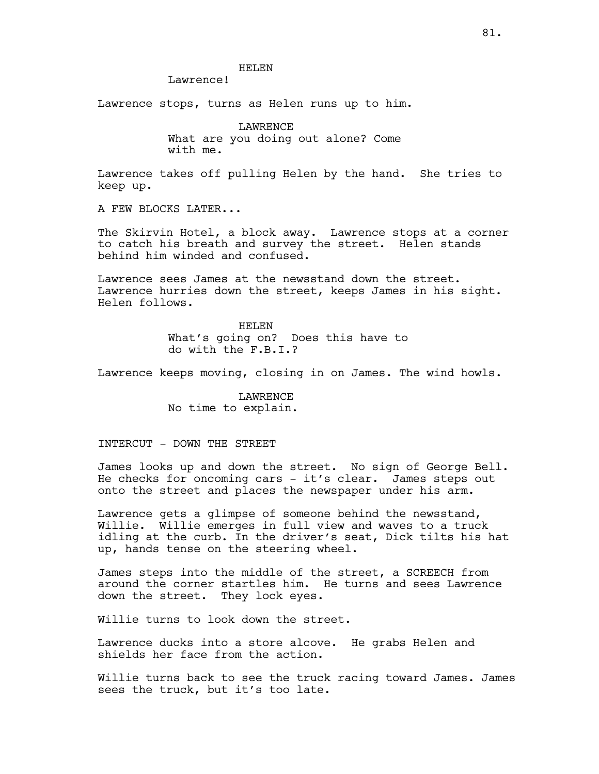## HELEN

Lawrence!

Lawrence stops, turns as Helen runs up to him.

**LAWRENCE** What are you doing out alone? Come with me.

Lawrence takes off pulling Helen by the hand. She tries to keep up.

A FEW BLOCKS LATER...

The Skirvin Hotel, a block away. Lawrence stops at a corner to catch his breath and survey the street. Helen stands behind him winded and confused.

Lawrence sees James at the newsstand down the street. Lawrence hurries down the street, keeps James in his sight. Helen follows.

> HELEN What's going on? Does this have to do with the F.B.I.?

Lawrence keeps moving, closing in on James. The wind howls.

LAWRENCE No time to explain.

INTERCUT - DOWN THE STREET

James looks up and down the street. No sign of George Bell. He checks for oncoming cars - it's clear. James steps out onto the street and places the newspaper under his arm.

Lawrence gets a glimpse of someone behind the newsstand, Willie. Willie emerges in full view and waves to a truck idling at the curb. In the driver's seat, Dick tilts his hat up, hands tense on the steering wheel.

James steps into the middle of the street, a SCREECH from around the corner startles him. He turns and sees Lawrence down the street. They lock eyes.

Willie turns to look down the street.

Lawrence ducks into a store alcove. He grabs Helen and shields her face from the action.

Willie turns back to see the truck racing toward James. James sees the truck, but it's too late.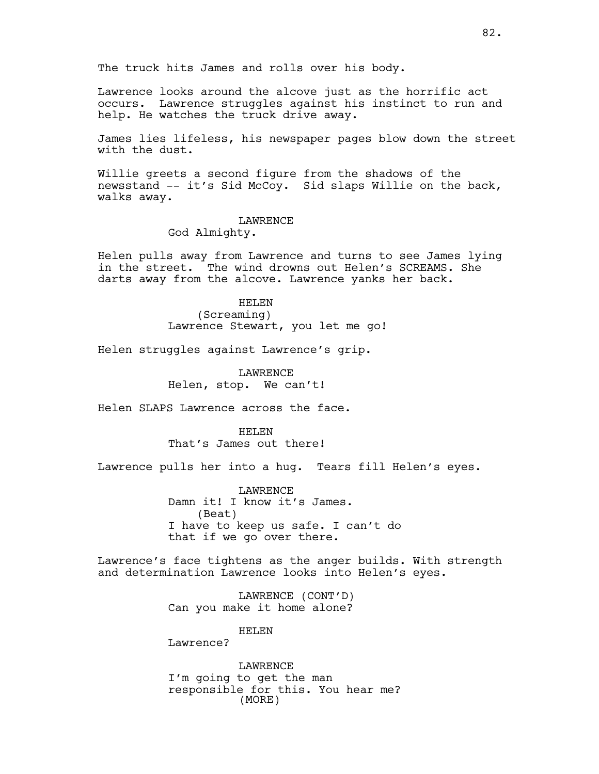The truck hits James and rolls over his body.

Lawrence looks around the alcove just as the horrific act occurs. Lawrence struggles against his instinct to run and help. He watches the truck drive away.

James lies lifeless, his newspaper pages blow down the street with the dust.

Willie greets a second figure from the shadows of the newsstand -- it's Sid McCoy. Sid slaps Willie on the back, walks away.

## LAWRENCE

God Almighty.

Helen pulls away from Lawrence and turns to see James lying in the street. The wind drowns out Helen's SCREAMS. She darts away from the alcove. Lawrence yanks her back.

> HELEN (Screaming) Lawrence Stewart, you let me go!

Helen struggles against Lawrence's grip.

LAWRENCE Helen, stop. We can't!

Helen SLAPS Lawrence across the face.

HELEN That's James out there!

Lawrence pulls her into a hug. Tears fill Helen's eyes.

LAWRENCE Damn it! I know it's James. (Beat) I have to keep us safe. I can't do that if we go over there.

Lawrence's face tightens as the anger builds. With strength and determination Lawrence looks into Helen's eyes.

> LAWRENCE (CONT'D) Can you make it home alone?

> > HELEN

Lawrence?

LAWRENCE I'm going to get the man responsible for this. You hear me? (MORE)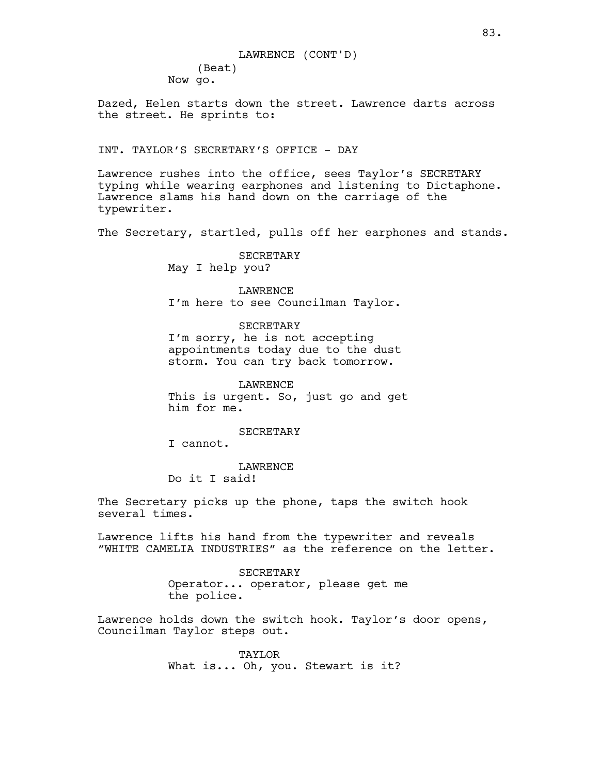# LAWRENCE (CONT'D)

(Beat) Now go.

Dazed, Helen starts down the street. Lawrence darts across the street. He sprints to:

# INT. TAYLOR'S SECRETARY'S OFFICE - DAY

Lawrence rushes into the office, sees Taylor's SECRETARY typing while wearing earphones and listening to Dictaphone. Lawrence slams his hand down on the carriage of the typewriter.

The Secretary, startled, pulls off her earphones and stands.

SECRETARY May I help you?

LAWRENCE I'm here to see Councilman Taylor.

SECRETARY I'm sorry, he is not accepting appointments today due to the dust storm. You can try back tomorrow.

LAWRENCE This is urgent. So, just go and get him for me.

SECRETARY

I cannot.

LAWRENCE Do it I said!

The Secretary picks up the phone, taps the switch hook several times.

Lawrence lifts his hand from the typewriter and reveals "WHITE CAMELIA INDUSTRIES" as the reference on the letter.

> SECRETARY Operator... operator, please get me the police.

Lawrence holds down the switch hook. Taylor's door opens, Councilman Taylor steps out.

> TAYLOR What is... Oh, you. Stewart is it?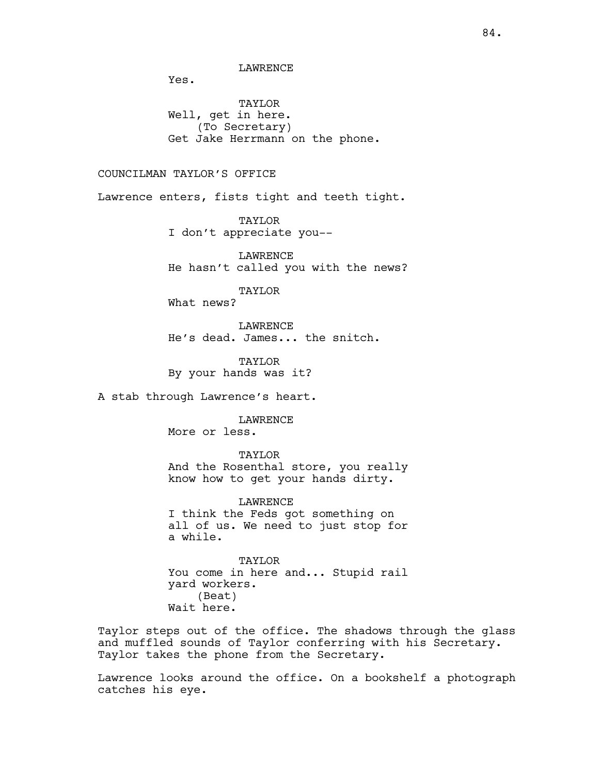LAWRENCE

Yes.

TAYLOR Well, get in here. (To Secretary) Get Jake Herrmann on the phone.

# COUNCILMAN TAYLOR'S OFFICE

Lawrence enters, fists tight and teeth tight.

TAYLOR I don't appreciate you--

LAWRENCE He hasn't called you with the news?

TAYLOR

What news?

LAWRENCE He's dead. James... the snitch.

TAYLOR By your hands was it?

A stab through Lawrence's heart.

LAWRENCE More or less.

TAYLOR And the Rosenthal store, you really know how to get your hands dirty.

LAWRENCE I think the Feds got something on all of us. We need to just stop for a while.

TAYLOR You come in here and... Stupid rail yard workers. (Beat) Wait here.

Taylor steps out of the office. The shadows through the glass and muffled sounds of Taylor conferring with his Secretary. Taylor takes the phone from the Secretary.

Lawrence looks around the office. On a bookshelf a photograph catches his eye.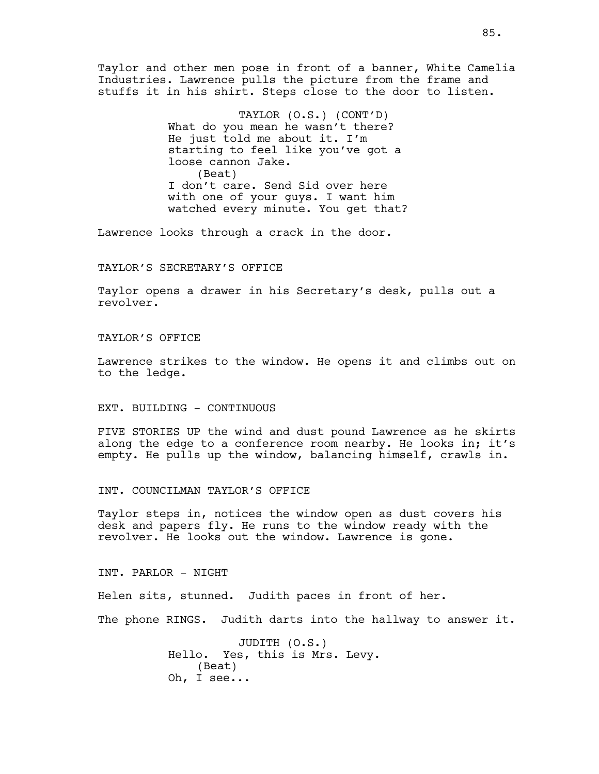Taylor and other men pose in front of a banner, White Camelia Industries. Lawrence pulls the picture from the frame and stuffs it in his shirt. Steps close to the door to listen.

> TAYLOR (O.S.) (CONT'D) What do you mean he wasn't there? He just told me about it. I'm starting to feel like you've got a loose cannon Jake. (Beat) I don't care. Send Sid over here with one of your guys. I want him watched every minute. You get that?

Lawrence looks through a crack in the door.

## TAYLOR'S SECRETARY'S OFFICE

Taylor opens a drawer in his Secretary's desk, pulls out a revolver.

## TAYLOR'S OFFICE

Lawrence strikes to the window. He opens it and climbs out on to the ledge.

## EXT. BUILDING - CONTINUOUS

FIVE STORIES UP the wind and dust pound Lawrence as he skirts along the edge to a conference room nearby. He looks in; it's empty. He pulls up the window, balancing himself, crawls in.

INT. COUNCILMAN TAYLOR'S OFFICE

Taylor steps in, notices the window open as dust covers his desk and papers fly. He runs to the window ready with the revolver. He looks out the window. Lawrence is gone.

INT. PARLOR - NIGHT

Helen sits, stunned. Judith paces in front of her.

The phone RINGS. Judith darts into the hallway to answer it.

JUDITH (O.S.) Hello. Yes, this is Mrs. Levy. (Beat) Oh, I see...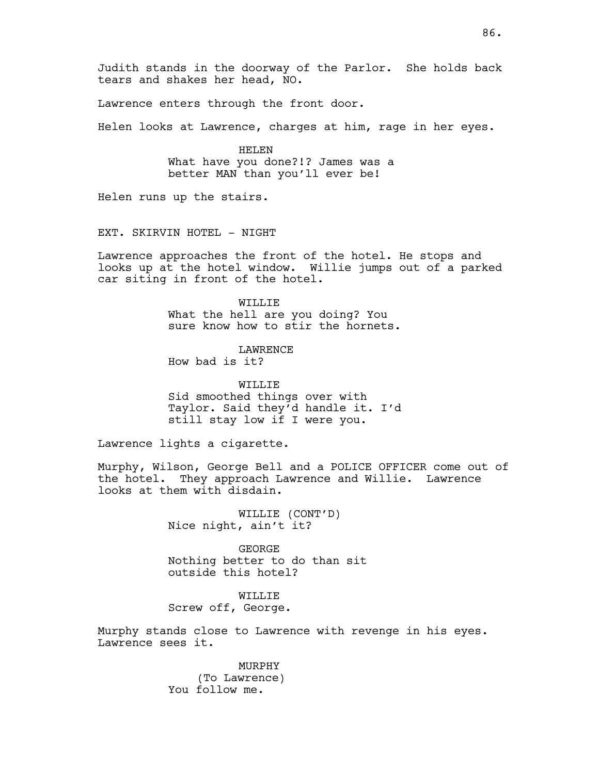Lawrence enters through the front door.

Helen looks at Lawrence, charges at him, rage in her eyes.

HELEN What have you done?!? James was a better MAN than you'll ever be!

Helen runs up the stairs.

EXT. SKIRVIN HOTEL - NIGHT

Lawrence approaches the front of the hotel. He stops and looks up at the hotel window. Willie jumps out of a parked car siting in front of the hotel.

> WILLIE What the hell are you doing? You sure know how to stir the hornets.

LAWRENCE How bad is it?

WILLIF. Sid smoothed things over with Taylor. Said they'd handle it. I'd still stay low if I were you.

Lawrence lights a cigarette.

Murphy, Wilson, George Bell and a POLICE OFFICER come out of the hotel. They approach Lawrence and Willie. Lawrence looks at them with disdain.

> WILLIE (CONT'D) Nice night, ain't it?

GEORGE Nothing better to do than sit outside this hotel?

WILLIE Screw off, George.

Murphy stands close to Lawrence with revenge in his eyes. Lawrence sees it.

> MURPHY (To Lawrence) You follow me.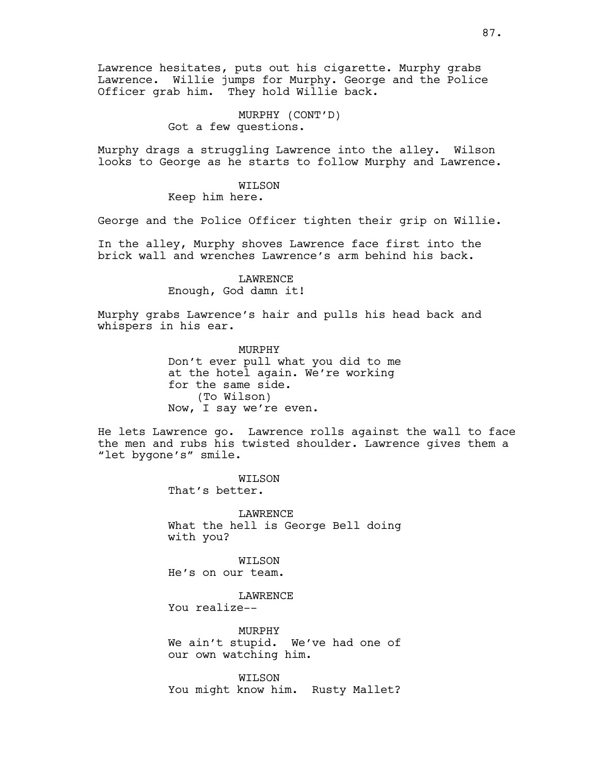Lawrence hesitates, puts out his cigarette. Murphy grabs Lawrence. Willie jumps for Murphy. George and the Police Officer grab him. They hold Willie back.

> MURPHY (CONT'D) Got a few questions.

Murphy drags a struggling Lawrence into the alley. Wilson looks to George as he starts to follow Murphy and Lawrence.

## WILSON

Keep him here.

George and the Police Officer tighten their grip on Willie.

In the alley, Murphy shoves Lawrence face first into the brick wall and wrenches Lawrence's arm behind his back.

# **LAWRENCE**

Enough, God damn it!

Murphy grabs Lawrence's hair and pulls his head back and whispers in his ear.

> MURPHY Don't ever pull what you did to me at the hotel again. We're working for the same side. (To Wilson) Now, I say we're even.

He lets Lawrence go. Lawrence rolls against the wall to face the men and rubs his twisted shoulder. Lawrence gives them a "let bygone's" smile.

> WILSON That's better.

**LAWRENCE** What the hell is George Bell doing with you?

WILSON He's on our team.

LAWRENCE You realize--

MURPHY We ain't stupid. We've had one of our own watching him.

WILSON You might know him. Rusty Mallet?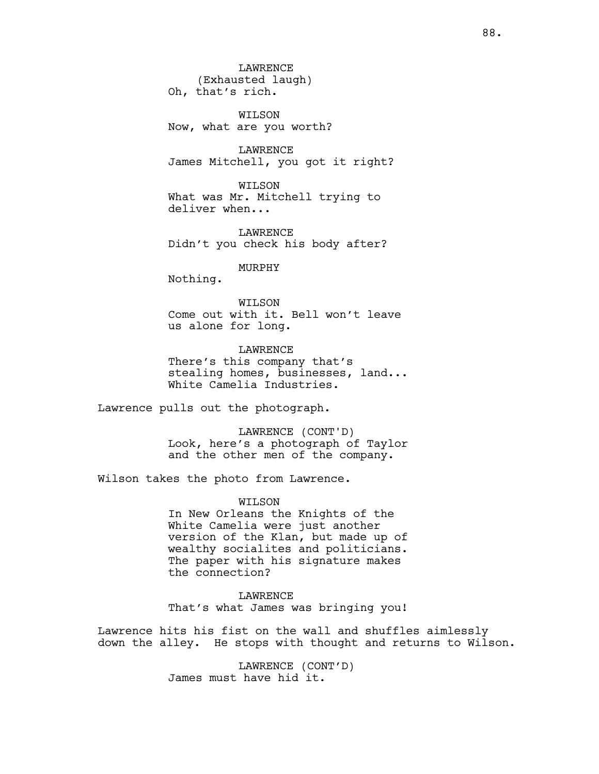LAWRENCE (Exhausted laugh) Oh, that's rich.

WILSON Now, what are you worth?

LAWRENCE James Mitchell, you got it right?

WILSON What was Mr. Mitchell trying to deliver when...

LAWRENCE Didn't you check his body after?

MURPHY

Nothing.

WILSON Come out with it. Bell won't leave us alone for long.

LAWRENCE There's this company that's stealing homes, businesses, land... White Camelia Industries.

Lawrence pulls out the photograph.

LAWRENCE (CONT'D) Look, here's a photograph of Taylor and the other men of the company.

Wilson takes the photo from Lawrence.

WILSON In New Orleans the Knights of the White Camelia were just another version of the Klan, but made up of wealthy socialites and politicians. The paper with his signature makes the connection?

LAWRENCE That's what James was bringing you!

Lawrence hits his fist on the wall and shuffles aimlessly down the alley. He stops with thought and returns to Wilson.

> LAWRENCE (CONT'D) James must have hid it.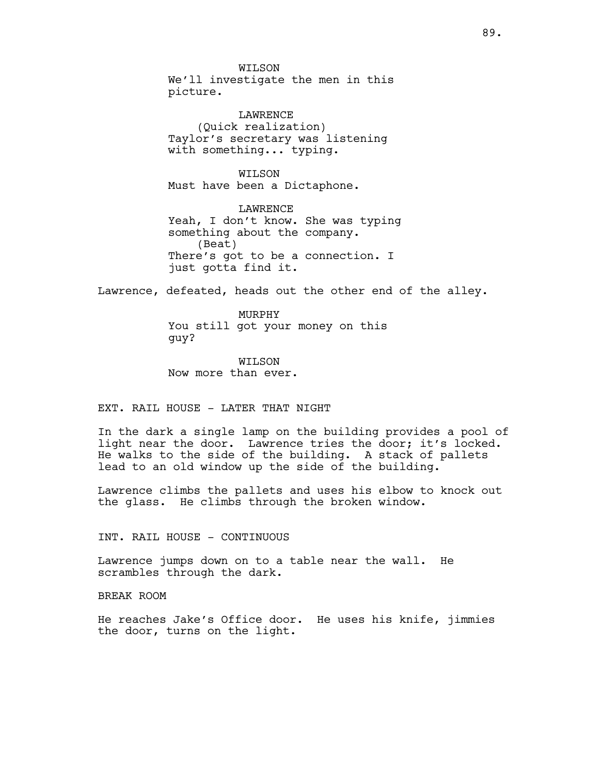WILSON We'll investigate the men in this picture.

LAWRENCE (Quick realization) Taylor's secretary was listening with something... typing.

WILSON Must have been a Dictaphone.

LAWRENCE Yeah, I don't know. She was typing something about the company. (Beat) There's got to be a connection. I just gotta find it.

Lawrence, defeated, heads out the other end of the alley.

MURPHY You still got your money on this guy?

WILSON Now more than ever.

EXT. RAIL HOUSE - LATER THAT NIGHT

In the dark a single lamp on the building provides a pool of light near the door. Lawrence tries the door; it's locked. He walks to the side of the building. A stack of pallets lead to an old window up the side of the building.

Lawrence climbs the pallets and uses his elbow to knock out the glass. He climbs through the broken window.

INT. RAIL HOUSE - CONTINUOUS

Lawrence jumps down on to a table near the wall. He scrambles through the dark.

BREAK ROOM

He reaches Jake's Office door. He uses his knife, jimmies the door, turns on the light.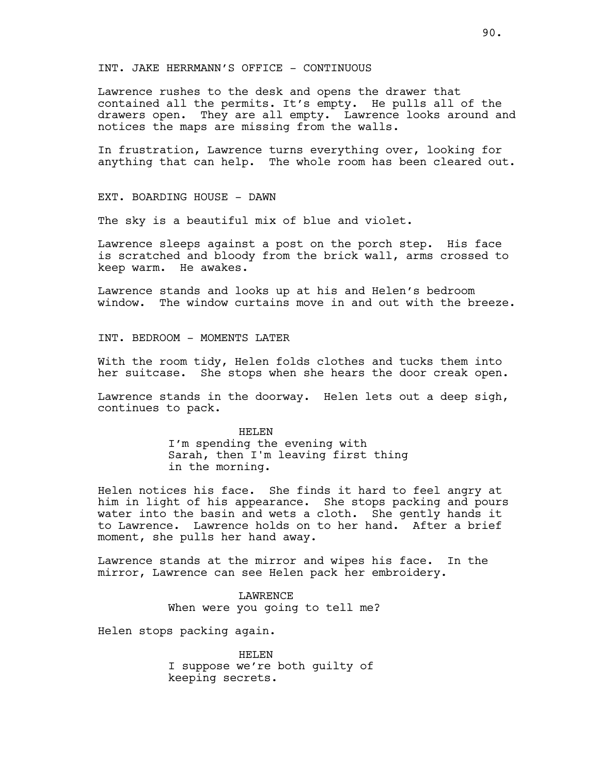INT. JAKE HERRMANN'S OFFICE - CONTINUOUS

Lawrence rushes to the desk and opens the drawer that contained all the permits. It's empty. He pulls all of the drawers open. They are all empty. Lawrence looks around and notices the maps are missing from the walls.

In frustration, Lawrence turns everything over, looking for anything that can help. The whole room has been cleared out.

EXT. BOARDING HOUSE - DAWN

The sky is a beautiful mix of blue and violet.

Lawrence sleeps against a post on the porch step. His face is scratched and bloody from the brick wall, arms crossed to keep warm. He awakes.

Lawrence stands and looks up at his and Helen's bedroom window. The window curtains move in and out with the breeze.

INT. BEDROOM - MOMENTS LATER

With the room tidy, Helen folds clothes and tucks them into her suitcase. She stops when she hears the door creak open.

Lawrence stands in the doorway. Helen lets out a deep sigh, continues to pack.

> HELEN I'm spending the evening with Sarah, then I'm leaving first thing in the morning.

Helen notices his face. She finds it hard to feel angry at him in light of his appearance. She stops packing and pours water into the basin and wets a cloth. She gently hands it to Lawrence. Lawrence holds on to her hand. After a brief moment, she pulls her hand away.

Lawrence stands at the mirror and wipes his face. In the mirror, Lawrence can see Helen pack her embroidery.

> LAWRENCE When were you going to tell me?

Helen stops packing again.

HELEN I suppose we're both guilty of keeping secrets.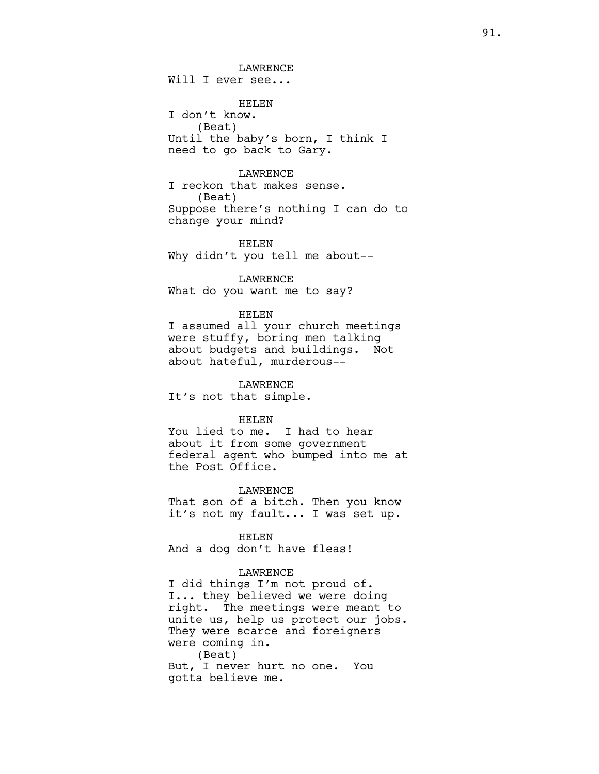LAWRENCE Will I ever see...

HELEN I don't know. (Beat) Until the baby's born, I think I need to go back to Gary.

## **LAWRENCE**

I reckon that makes sense. (Beat) Suppose there's nothing I can do to change your mind?

HELEN Why didn't you tell me about--

LAWRENCE What do you want me to say?

#### HELEN

I assumed all your church meetings were stuffy, boring men talking about budgets and buildings. Not about hateful, murderous--

LAWRENCE It's not that simple.

#### HELEN

You lied to me. I had to hear about it from some government federal agent who bumped into me at the Post Office.

LAWRENCE

That son of a bitch. Then you know it's not my fault... I was set up.

HELEN

And a dog don't have fleas!

#### LAWRENCE

I did things I'm not proud of. I... they believed we were doing right. The meetings were meant to unite us, help us protect our jobs. They were scarce and foreigners were coming in. (Beat) But, I never hurt no one. You gotta believe me.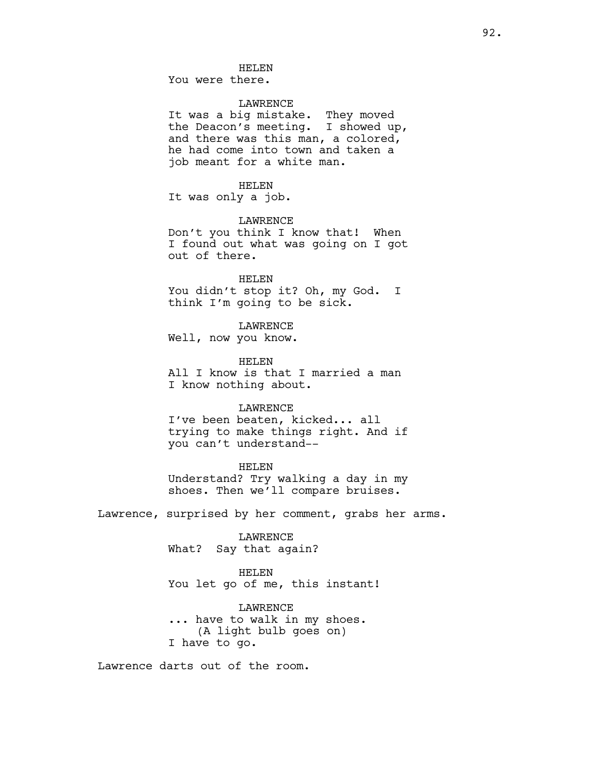You were there.

## LAWRENCE

It was a big mistake. They moved the Deacon's meeting. I showed up, and there was this man, a colored, he had come into town and taken a job meant for a white man.

#### HELEN

It was only a job.

## LAWRENCE

Don't you think I know that! When I found out what was going on I got out of there.

# HELEN

You didn't stop it? Oh, my God. I think I'm going to be sick.

LAWRENCE

Well, now you know.

#### HELEN

All I know is that I married a man I know nothing about.

#### LAWRENCE

I've been beaten, kicked... all trying to make things right. And if you can't understand--

## HELEN

Understand? Try walking a day in my shoes. Then we'll compare bruises.

Lawrence, surprised by her comment, grabs her arms.

## LAWRENCE What? Say that again?

HELEN

You let go of me, this instant!

LAWRENCE ... have to walk in my shoes. (A light bulb goes on) I have to go.

Lawrence darts out of the room.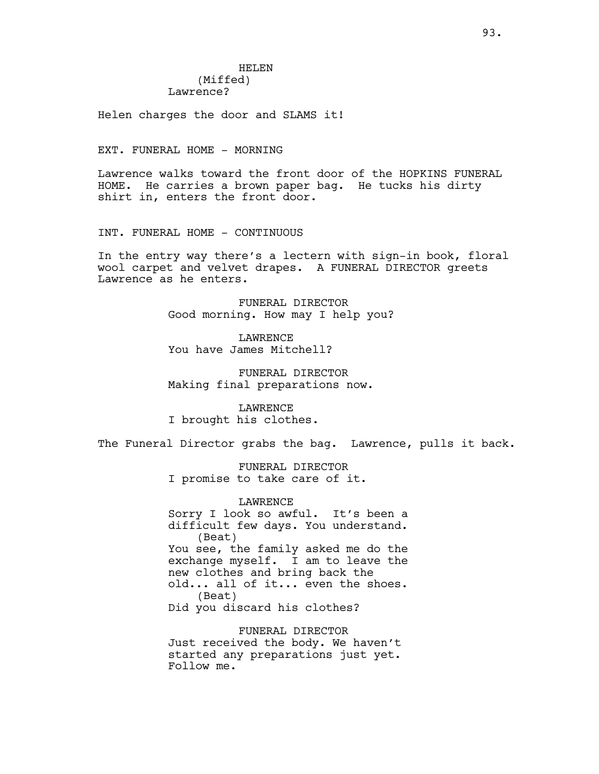# HELEN (Miffed) Lawrence?

Helen charges the door and SLAMS it!

EXT. FUNERAL HOME - MORNING

Lawrence walks toward the front door of the HOPKINS FUNERAL HOME. He carries a brown paper bag. He tucks his dirty shirt in, enters the front door.

INT. FUNERAL HOME - CONTINUOUS

In the entry way there's a lectern with sign-in book, floral wool carpet and velvet drapes. A FUNERAL DIRECTOR greets Lawrence as he enters.

> FUNERAL DIRECTOR Good morning. How may I help you?

LAWRENCE You have James Mitchell?

FUNERAL DIRECTOR Making final preparations now.

LAWRENCE I brought his clothes.

The Funeral Director grabs the bag. Lawrence, pulls it back.

FUNERAL DIRECTOR I promise to take care of it.

LAWRENCE Sorry I look so awful. It's been a difficult few days. You understand. (Beat) You see, the family asked me do the exchange myself. I am to leave the new clothes and bring back the old... all of it... even the shoes. (Beat) Did you discard his clothes?

FUNERAL DIRECTOR Just received the body. We haven't started any preparations just yet. Follow me.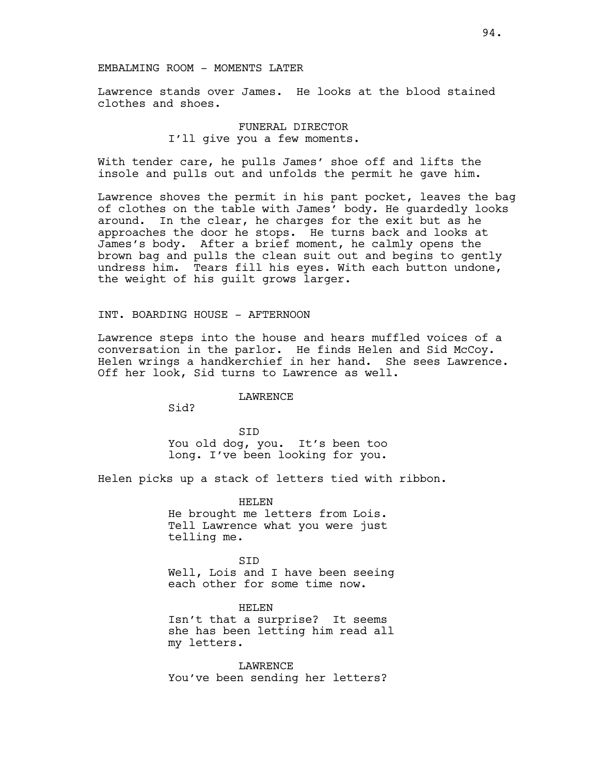#### EMBALMING ROOM - MOMENTS LATER

Lawrence stands over James. He looks at the blood stained clothes and shoes.

> FUNERAL DIRECTOR I'll give you a few moments.

With tender care, he pulls James' shoe off and lifts the insole and pulls out and unfolds the permit he gave him.

Lawrence shoves the permit in his pant pocket, leaves the bag of clothes on the table with James' body. He guardedly looks around. In the clear, he charges for the exit but as he approaches the door he stops. He turns back and looks at James's body. After a brief moment, he calmly opens the brown bag and pulls the clean suit out and begins to gently undress him. Tears fill his eyes. With each button undone, the weight of his guilt grows larger.

## INT. BOARDING HOUSE - AFTERNOON

Lawrence steps into the house and hears muffled voices of a conversation in the parlor. He finds Helen and Sid McCoy. Helen wrings a handkerchief in her hand. She sees Lawrence. Off her look, Sid turns to Lawrence as well.

#### LAWRENCE

Sid?

SID You old dog, you. It's been too long. I've been looking for you.

Helen picks up a stack of letters tied with ribbon.

HELEN He brought me letters from Lois. Tell Lawrence what you were just telling me.

SID Well, Lois and I have been seeing each other for some time now.

HELEN Isn't that a surprise? It seems she has been letting him read all my letters.

LAWRENCE You've been sending her letters?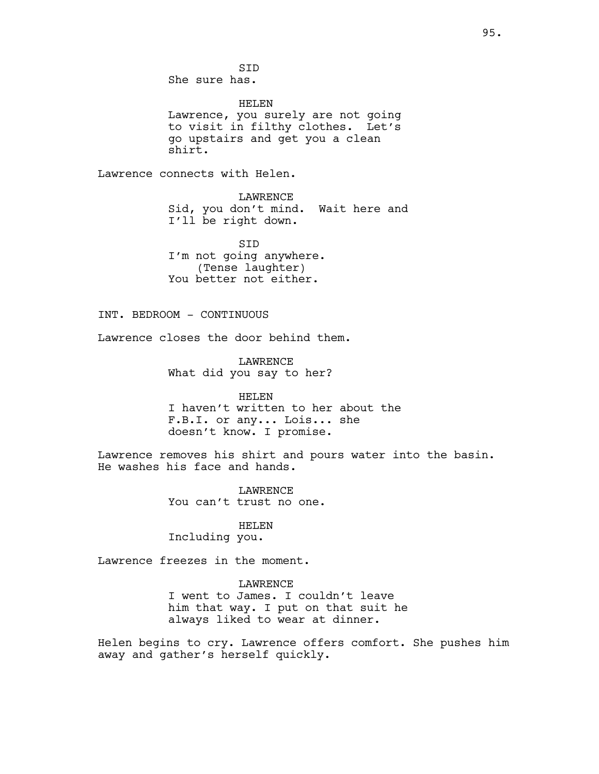SID She sure has.

HELEN Lawrence, you surely are not going to visit in filthy clothes. Let's go upstairs and get you a clean shirt.

Lawrence connects with Helen.

LAWRENCE Sid, you don't mind. Wait here and I'll be right down.

SID I'm not going anywhere. (Tense laughter) You better not either.

INT. BEDROOM - CONTINUOUS

Lawrence closes the door behind them.

LAWRENCE What did you say to her?

HELEN I haven't written to her about the F.B.I. or any... Lois... she doesn't know. I promise.

Lawrence removes his shirt and pours water into the basin. He washes his face and hands.

> LAWRENCE You can't trust no one.

HELEN Including you.

Lawrence freezes in the moment.

LAWRENCE I went to James. I couldn't leave him that way. I put on that suit he always liked to wear at dinner.

Helen begins to cry. Lawrence offers comfort. She pushes him away and gather's herself quickly.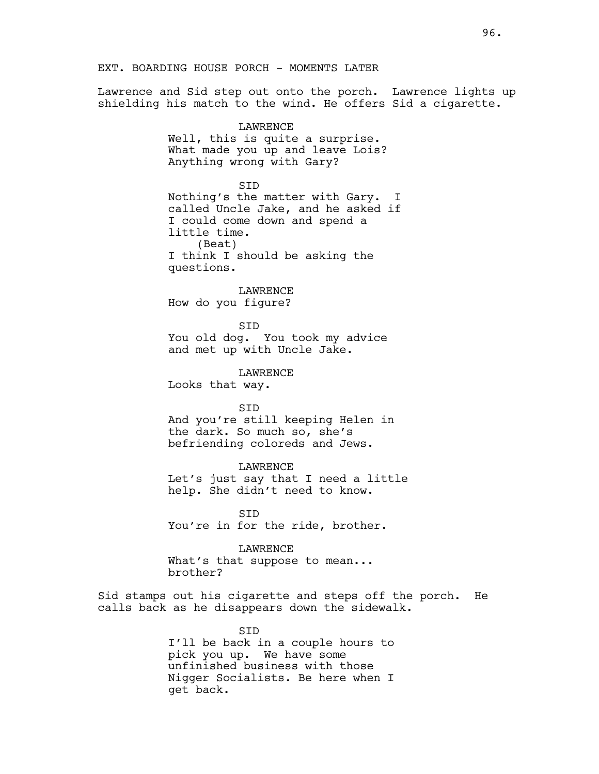EXT. BOARDING HOUSE PORCH - MOMENTS LATER

Lawrence and Sid step out onto the porch. Lawrence lights up shielding his match to the wind. He offers Sid a cigarette.

> LAWRENCE Well, this is quite a surprise. What made you up and leave Lois? Anything wrong with Gary?

SID Nothing's the matter with Gary. I called Uncle Jake, and he asked if I could come down and spend a little time. (Beat) I think I should be asking the questions.

LAWRENCE How do you figure?

SID You old dog. You took my advice and met up with Uncle Jake.

LAWRENCE

Looks that way.

SID

And you're still keeping Helen in the dark. So much so, she's befriending coloreds and Jews.

LAWRENCE Let's just say that I need a little help. She didn't need to know.

SID You're in for the ride, brother.

LAWRENCE What's that suppose to mean... brother?

Sid stamps out his cigarette and steps off the porch. He calls back as he disappears down the sidewalk.

> SID I'll be back in a couple hours to pick you up. We have some unfinished business with those Nigger Socialists. Be here when I get back.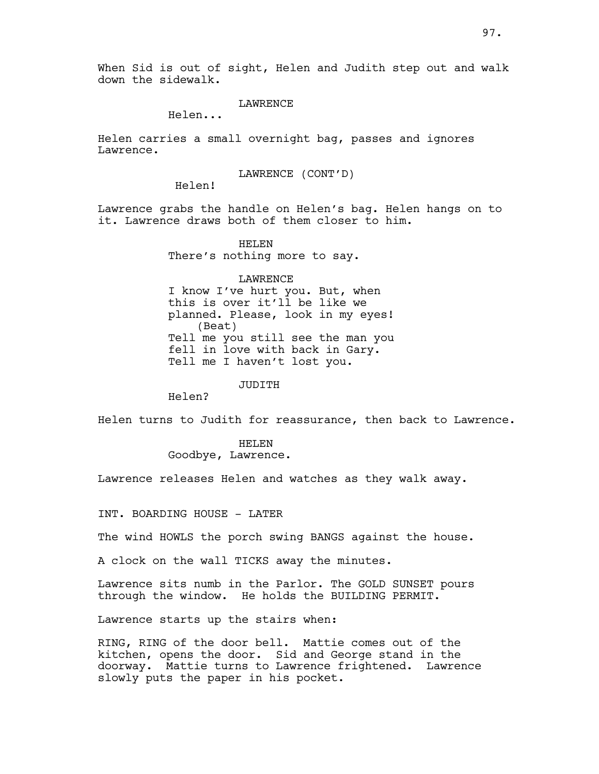# LAWRENCE

Helen...

Helen carries a small overnight bag, passes and ignores Lawrence.

LAWRENCE (CONT'D)

Helen!

Lawrence grabs the handle on Helen's bag. Helen hangs on to it. Lawrence draws both of them closer to him.

> HELEN There's nothing more to say.

LAWRENCE I know I've hurt you. But, when this is over it'll be like we planned. Please, look in my eyes! (Beat) Tell me you still see the man you fell in love with back in Gary. Tell me I haven't lost you.

JUDITH

Helen?

Helen turns to Judith for reassurance, then back to Lawrence.

HELEN Goodbye, Lawrence.

Lawrence releases Helen and watches as they walk away.

INT. BOARDING HOUSE - LATER

The wind HOWLS the porch swing BANGS against the house.

A clock on the wall TICKS away the minutes.

Lawrence sits numb in the Parlor. The GOLD SUNSET pours through the window. He holds the BUILDING PERMIT.

Lawrence starts up the stairs when:

RING, RING of the door bell. Mattie comes out of the kitchen, opens the door. Sid and George stand in the doorway. Mattie turns to Lawrence frightened. Lawrence slowly puts the paper in his pocket.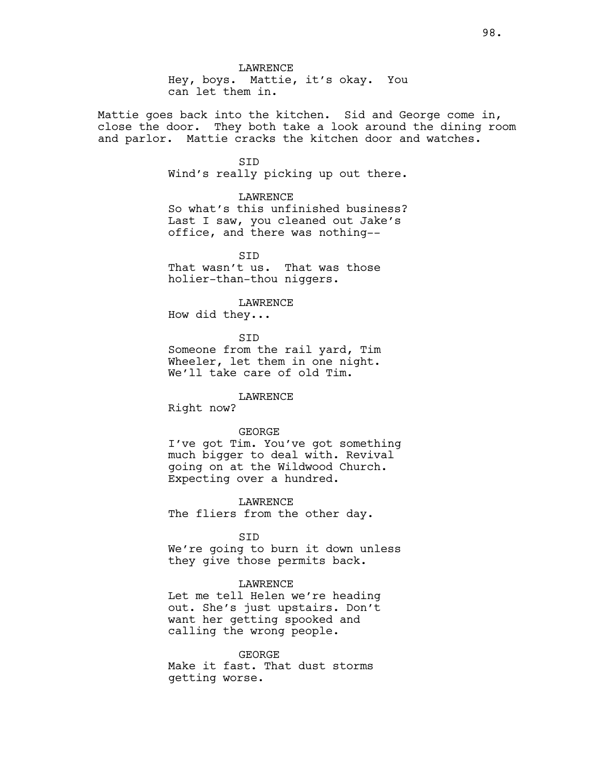LAWRENCE Hey, boys. Mattie, it's okay. You can let them in.

Mattie goes back into the kitchen. Sid and George come in, close the door. They both take a look around the dining room and parlor. Mattie cracks the kitchen door and watches.

> SID Wind's really picking up out there.

> > LAWRENCE

So what's this unfinished business? Last I saw, you cleaned out Jake's office, and there was nothing--

**STD** That wasn't us. That was those holier-than-thou niggers.

LAWRENCE

How did they...

SID Someone from the rail yard, Tim

Wheeler, let them in one night. We'll take care of old Tim.

LAWRENCE

Right now?

#### GEORGE

I've got Tim. You've got something much bigger to deal with. Revival going on at the Wildwood Church. Expecting over a hundred.

LAWRENCE The fliers from the other day.

**STD** 

We're going to burn it down unless they give those permits back.

#### LAWRENCE

Let me tell Helen we're heading out. She's just upstairs. Don't want her getting spooked and calling the wrong people.

GEORGE Make it fast. That dust storms getting worse.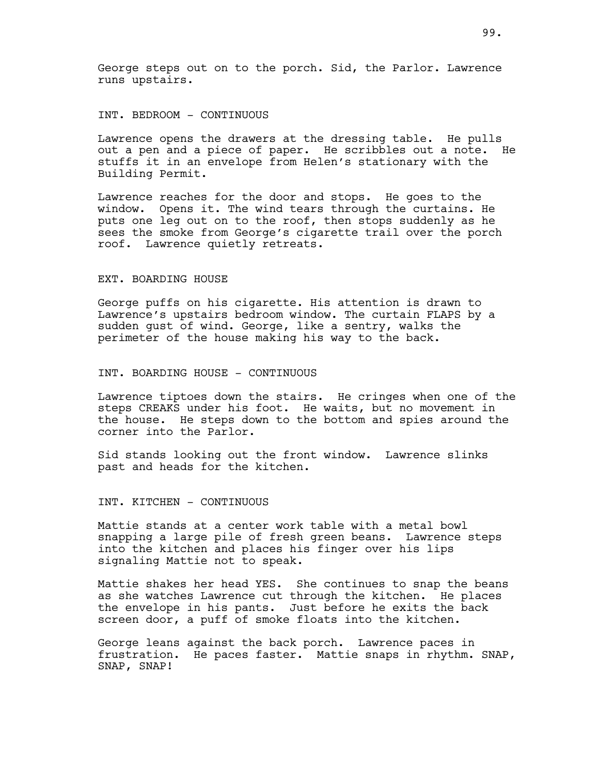George steps out on to the porch. Sid, the Parlor. Lawrence runs upstairs.

## INT. BEDROOM - CONTINUOUS

Lawrence opens the drawers at the dressing table. He pulls out a pen and a piece of paper. He scribbles out a note. He stuffs it in an envelope from Helen's stationary with the Building Permit.

Lawrence reaches for the door and stops. He goes to the window. Opens it. The wind tears through the curtains. He puts one leg out on to the roof, then stops suddenly as he sees the smoke from George's cigarette trail over the porch roof. Lawrence quietly retreats.

#### EXT. BOARDING HOUSE

George puffs on his cigarette. His attention is drawn to Lawrence's upstairs bedroom window. The curtain FLAPS by a sudden gust of wind. George, like a sentry, walks the perimeter of the house making his way to the back.

#### INT. BOARDING HOUSE - CONTINUOUS

Lawrence tiptoes down the stairs. He cringes when one of the steps CREAKS under his foot. He waits, but no movement in the house. He steps down to the bottom and spies around the corner into the Parlor.

Sid stands looking out the front window. Lawrence slinks past and heads for the kitchen.

#### INT. KITCHEN - CONTINUOUS

Mattie stands at a center work table with a metal bowl snapping a large pile of fresh green beans. Lawrence steps into the kitchen and places his finger over his lips signaling Mattie not to speak.

Mattie shakes her head YES. She continues to snap the beans as she watches Lawrence cut through the kitchen. He places the envelope in his pants. Just before he exits the back screen door, a puff of smoke floats into the kitchen.

George leans against the back porch. Lawrence paces in frustration. He paces faster. Mattie snaps in rhythm. SNAP, SNAP, SNAP!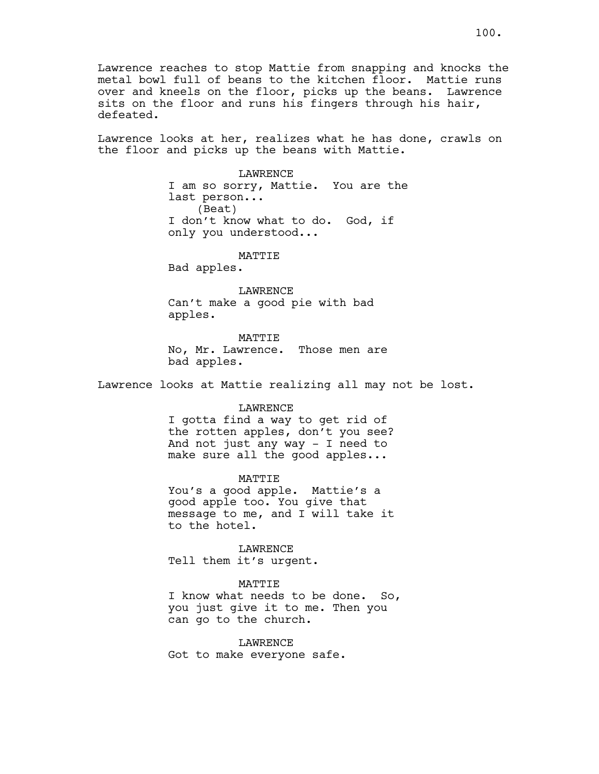Lawrence reaches to stop Mattie from snapping and knocks the metal bowl full of beans to the kitchen floor. Mattie runs over and kneels on the floor, picks up the beans. Lawrence sits on the floor and runs his fingers through his hair, defeated.

Lawrence looks at her, realizes what he has done, crawls on the floor and picks up the beans with Mattie.

> **LAWRENCE** I am so sorry, Mattie. You are the last person... (Beat) I don't know what to do. God, if only you understood...

> > MATTIE

Bad apples.

LAWRENCE Can't make a good pie with bad apples.

MATTIE

No, Mr. Lawrence. Those men are bad apples.

Lawrence looks at Mattie realizing all may not be lost.

#### LAWRENCE

I gotta find a way to get rid of the rotten apples, don't you see? And not just any way - I need to make sure all the good apples...

# MATTIE

You's a good apple. Mattie's a good apple too. You give that message to me, and I will take it to the hotel.

LAWRENCE Tell them it's urgent.

#### MATTIE

I know what needs to be done. So, you just give it to me. Then you can go to the church.

**LAWRENCE** Got to make everyone safe.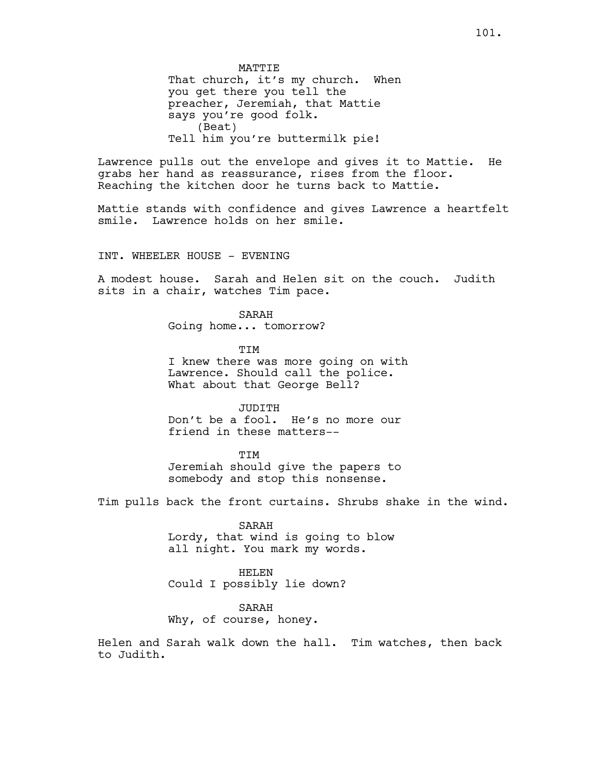MATTIE That church, it's my church. When you get there you tell the preacher, Jeremiah, that Mattie says you're good folk. (Beat) Tell him you're buttermilk pie!

Lawrence pulls out the envelope and gives it to Mattie. He grabs her hand as reassurance, rises from the floor. Reaching the kitchen door he turns back to Mattie.

Mattie stands with confidence and gives Lawrence a heartfelt smile. Lawrence holds on her smile.

INT. WHEELER HOUSE - EVENING

A modest house. Sarah and Helen sit on the couch. Judith sits in a chair, watches Tim pace.

SARAH

Going home... tomorrow?

TIM

I knew there was more going on with Lawrence. Should call the police. What about that George Bell?

JUDITH Don't be a fool. He's no more our friend in these matters--

**TTM** Jeremiah should give the papers to somebody and stop this nonsense.

Tim pulls back the front curtains. Shrubs shake in the wind.

SARAH

Lordy, that wind is going to blow all night. You mark my words.

HELEN Could I possibly lie down?

SARAH

Why, of course, honey.

Helen and Sarah walk down the hall. Tim watches, then back to Judith.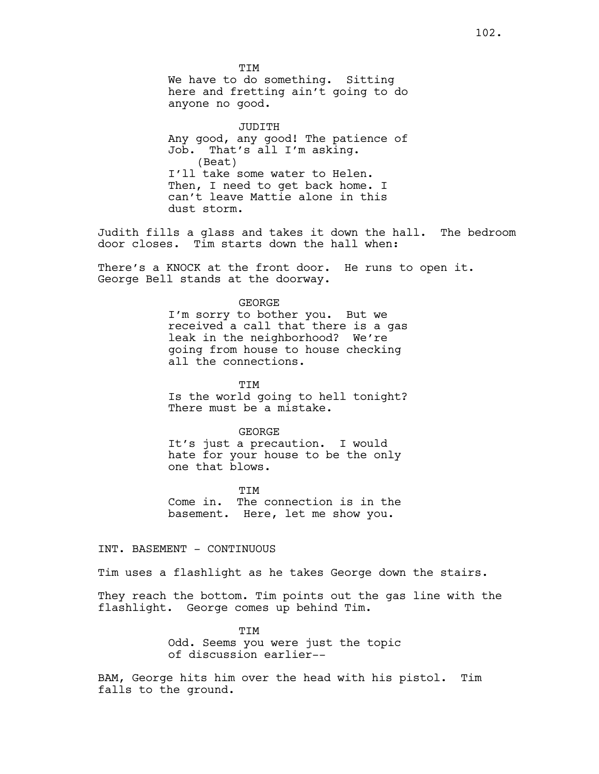**TTM** We have to do something. Sitting here and fretting ain't going to do anyone no good.

JUDITH Any good, any good! The patience of Job. That's all I'm asking. (Beat) I'll take some water to Helen. Then, I need to get back home. I can't leave Mattie alone in this dust storm.

Judith fills a glass and takes it down the hall. The bedroom door closes. Tim starts down the hall when:

There's a KNOCK at the front door. He runs to open it. George Bell stands at the doorway.

#### GEORGE

I'm sorry to bother you. But we received a call that there is a gas leak in the neighborhood? We're going from house to house checking all the connections.

**TTM** Is the world going to hell tonight? There must be a mistake.

#### GEORGE

It's just a precaution. I would hate for your house to be the only one that blows.

**TTM** Come in. The connection is in the basement. Here, let me show you.

## INT. BASEMENT - CONTINUOUS

Tim uses a flashlight as he takes George down the stairs.

They reach the bottom. Tim points out the gas line with the flashlight. George comes up behind Tim.

> TIM Odd. Seems you were just the topic of discussion earlier--

BAM, George hits him over the head with his pistol. Tim falls to the ground.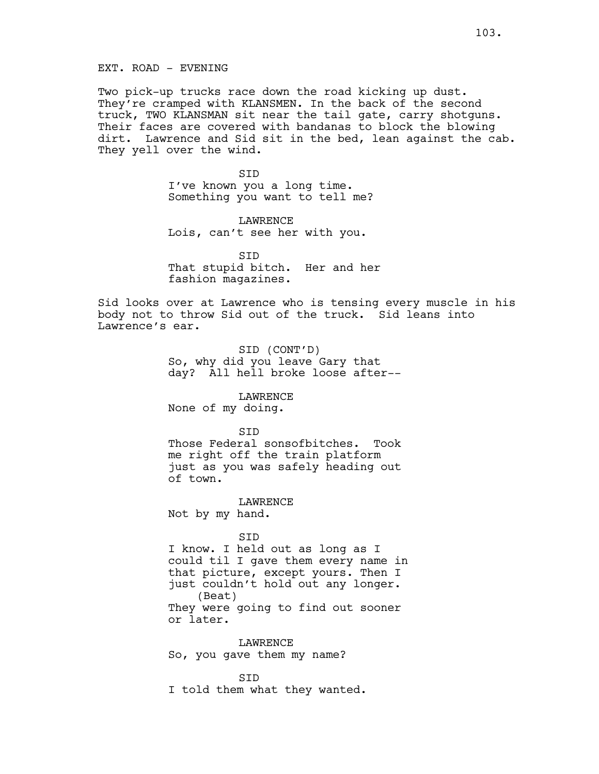Two pick-up trucks race down the road kicking up dust. They're cramped with KLANSMEN. In the back of the second truck, TWO KLANSMAN sit near the tail gate, carry shotguns. Their faces are covered with bandanas to block the blowing dirt. Lawrence and Sid sit in the bed, lean against the cab. They yell over the wind.

> SID I've known you a long time. Something you want to tell me?

LAWRENCE Lois, can't see her with you.

**STD** That stupid bitch. Her and her fashion magazines.

Sid looks over at Lawrence who is tensing every muscle in his body not to throw Sid out of the truck. Sid leans into Lawrence's ear.

> SID (CONT'D) So, why did you leave Gary that day? All hell broke loose after--

LAWRENCE None of my doing.

**STD** 

Those Federal sonsofbitches. Took me right off the train platform just as you was safely heading out of town.

LAWRENCE Not by my hand.

SID

I know. I held out as long as I could til I gave them every name in that picture, except yours. Then I just couldn't hold out any longer. (Beat) They were going to find out sooner or later.

**LAWRENCE** So, you gave them my name?

SID I told them what they wanted.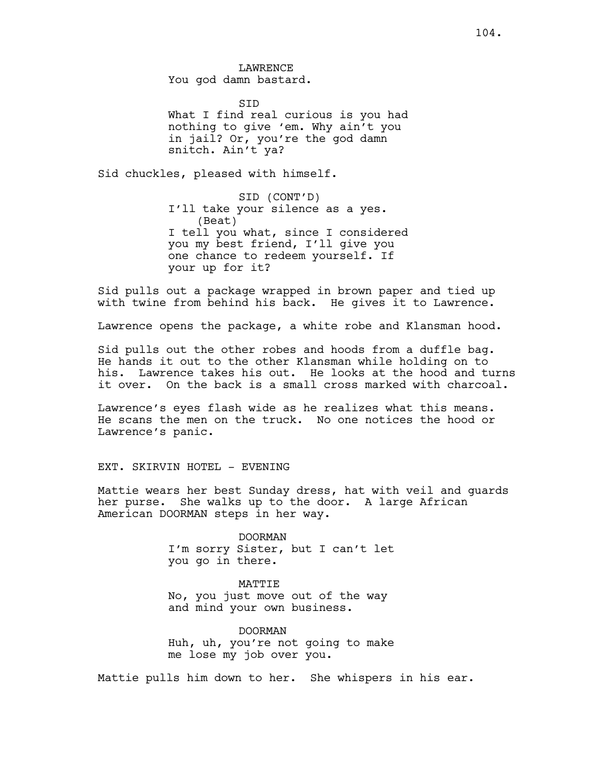SID What I find real curious is you had nothing to give 'em. Why ain't you in jail? Or, you're the god damn snitch. Ain't ya?

Sid chuckles, pleased with himself.

SID (CONT'D) I'll take your silence as a yes. (Beat) I tell you what, since I considered you my best friend, I'll give you one chance to redeem yourself. If your up for it?

Sid pulls out a package wrapped in brown paper and tied up with twine from behind his back. He gives it to Lawrence.

Lawrence opens the package, a white robe and Klansman hood.

Sid pulls out the other robes and hoods from a duffle bag. He hands it out to the other Klansman while holding on to his. Lawrence takes his out. He looks at the hood and turns it over. On the back is a small cross marked with charcoal.

Lawrence's eyes flash wide as he realizes what this means. He scans the men on the truck. No one notices the hood or Lawrence's panic.

#### EXT. SKIRVIN HOTEL - EVENING

Mattie wears her best Sunday dress, hat with veil and guards her purse. She walks up to the door. A large African American DOORMAN steps in her way.

> DOORMAN I'm sorry Sister, but I can't let you go in there.

MATTIE No, you just move out of the way and mind your own business.

DOORMAN Huh, uh, you're not going to make me lose my job over you.

Mattie pulls him down to her. She whispers in his ear.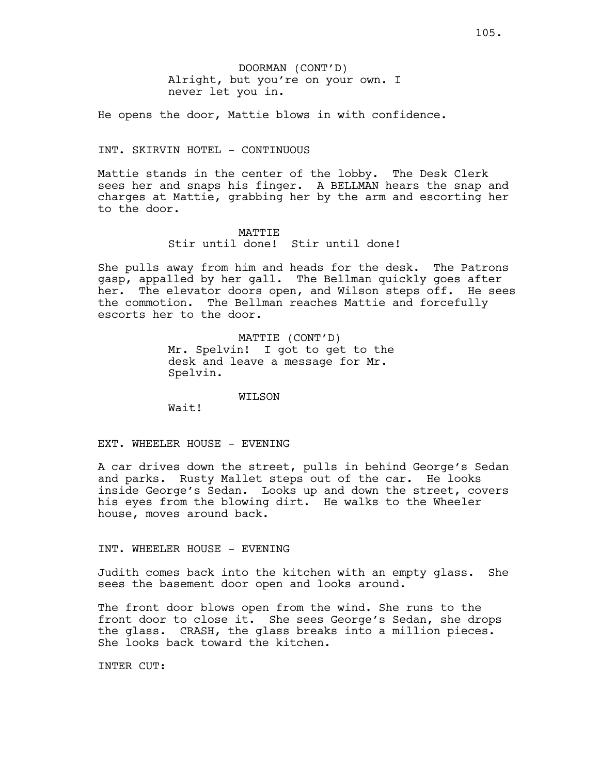He opens the door, Mattie blows in with confidence.

# INT. SKIRVIN HOTEL - CONTINUOUS

Mattie stands in the center of the lobby. The Desk Clerk sees her and snaps his finger. A BELLMAN hears the snap and charges at Mattie, grabbing her by the arm and escorting her to the door.

#### MATTIE

Stir until done! Stir until done!

She pulls away from him and heads for the desk. The Patrons gasp, appalled by her gall. The Bellman quickly goes after her. The elevator doors open, and Wilson steps off. He sees the commotion. The Bellman reaches Mattie and forcefully escorts her to the door.

> MATTIE (CONT'D) Mr. Spelvin! I got to get to the desk and leave a message for Mr. Spelvin.

> > WILSON

Wait!

EXT. WHEELER HOUSE - EVENING

A car drives down the street, pulls in behind George's Sedan and parks. Rusty Mallet steps out of the car. He looks inside George's Sedan. Looks up and down the street, covers his eyes from the blowing dirt. He walks to the Wheeler house, moves around back.

#### INT. WHEELER HOUSE - EVENING

Judith comes back into the kitchen with an empty glass. She sees the basement door open and looks around.

The front door blows open from the wind. She runs to the front door to close it. She sees George's Sedan, she drops the glass. CRASH, the glass breaks into a million pieces. She looks back toward the kitchen.

INTER CUT: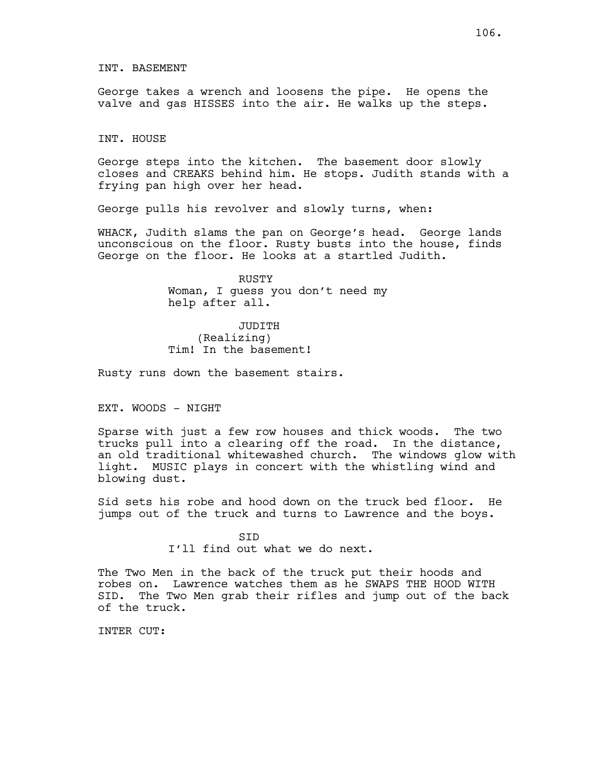George takes a wrench and loosens the pipe. He opens the valve and gas HISSES into the air. He walks up the steps.

INT. HOUSE

George steps into the kitchen. The basement door slowly closes and CREAKS behind him. He stops. Judith stands with a frying pan high over her head.

George pulls his revolver and slowly turns, when:

WHACK, Judith slams the pan on George's head. George lands unconscious on the floor. Rusty busts into the house, finds George on the floor. He looks at a startled Judith.

> RUSTY Woman, I guess you don't need my help after all.

JUDITH (Realizing) Tim! In the basement!

Rusty runs down the basement stairs.

EXT. WOODS - NIGHT

Sparse with just a few row houses and thick woods. The two trucks pull into a clearing off the road. In the distance, an old traditional whitewashed church. The windows glow with light. MUSIC plays in concert with the whistling wind and blowing dust.

Sid sets his robe and hood down on the truck bed floor. He jumps out of the truck and turns to Lawrence and the boys.

> SID I'll find out what we do next.

The Two Men in the back of the truck put their hoods and robes on. Lawrence watches them as he SWAPS THE HOOD WITH SID. The Two Men grab their rifles and jump out of the back of the truck.

INTER CUT: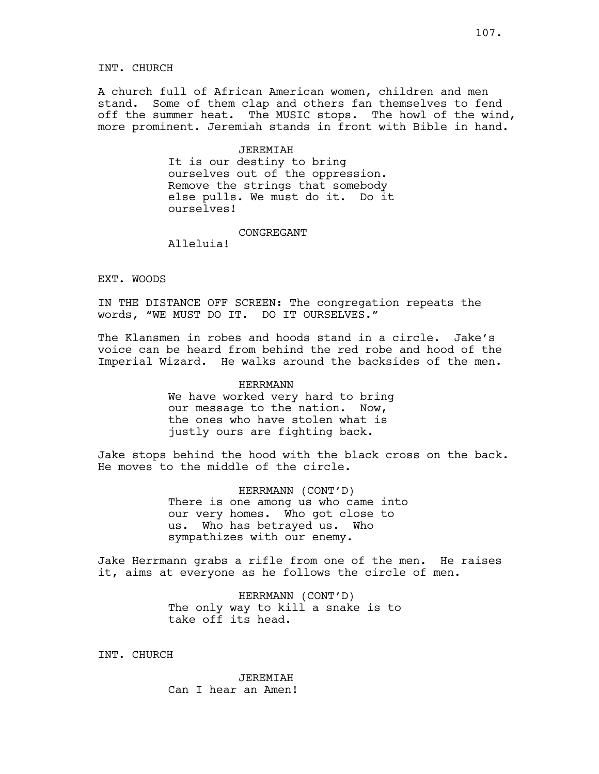A church full of African American women, children and men stand. Some of them clap and others fan themselves to fend off the summer heat. The MUSIC stops. The howl of the wind, more prominent. Jeremiah stands in front with Bible in hand.

## **JEREMIAH**

It is our destiny to bring ourselves out of the oppression. Remove the strings that somebody else pulls. We must do it. Do it ourselves!

#### CONGREGANT

Alleluia!

# EXT. WOODS

IN THE DISTANCE OFF SCREEN: The congregation repeats the words, "WE MUST DO IT. DO IT OURSELVES."

The Klansmen in robes and hoods stand in a circle. Jake's voice can be heard from behind the red robe and hood of the Imperial Wizard. He walks around the backsides of the men.

# HERRMANN We have worked very hard to bring our message to the nation. Now, the ones who have stolen what is justly ours are fighting back.

Jake stops behind the hood with the black cross on the back. He moves to the middle of the circle.

> HERRMANN (CONT'D) There is one among us who came into our very homes. Who got close to us. Who has betrayed us. Who sympathizes with our enemy.

Jake Herrmann grabs a rifle from one of the men. He raises it, aims at everyone as he follows the circle of men.

> HERRMANN (CONT'D) The only way to kill a snake is to take off its head.

INT. CHURCH

JEREMIAH Can I hear an Amen!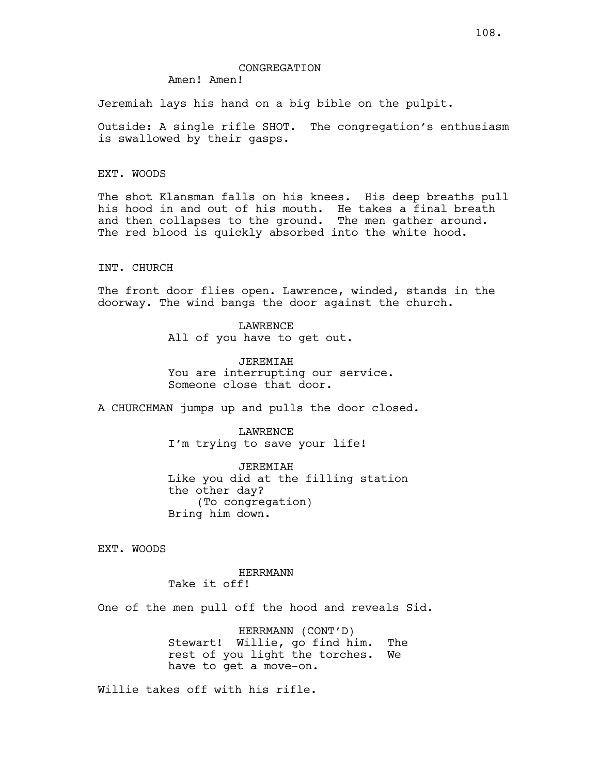## CONGREGATION

Amen! Amen!

Jeremiah lays his hand on a big bible on the pulpit.

Outside: A single rifle SHOT. The congregation's enthusiasm is swallowed by their gasps.

EXT. WOODS

The shot Klansman falls on his knees. His deep breaths pull his hood in and out of his mouth. He takes a final breath and then collapses to the ground. The men gather around. The red blood is quickly absorbed into the white hood.

## INT. CHURCH

The front door flies open. Lawrence, winded, stands in the doorway. The wind bangs the door against the church.

> LAWRENCE All of you have to get out.

JEREMIAH You are interrupting our service. Someone close that door.

A CHURCHMAN jumps up and pulls the door closed.

LAWRENCE I'm trying to save your life!

JEREMIAH Like you did at the filling station the other day? (To congregation) Bring him down.

EXT. WOODS

HERRMANN Take it off!

One of the men pull off the hood and reveals Sid.

HERRMANN (CONT'D) Stewart! Willie, go find him. The rest of you light the torches. We have to get a move-on.

Willie takes off with his rifle.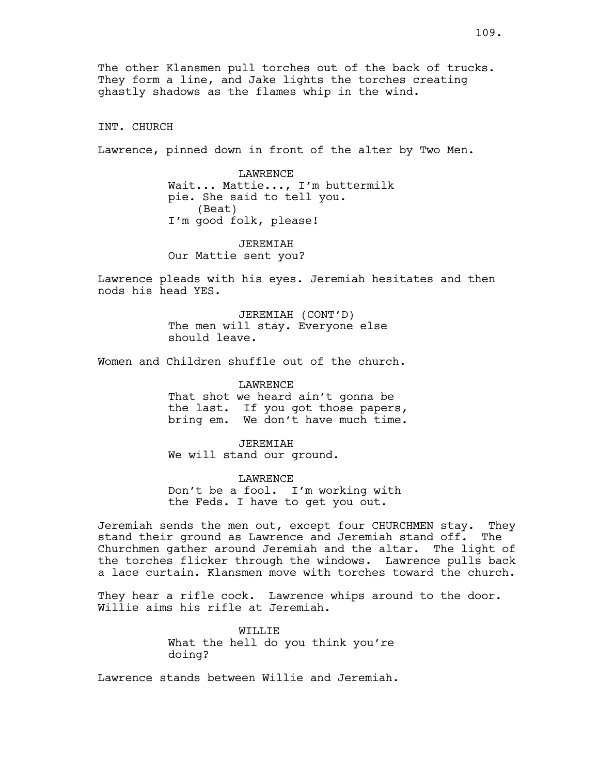The other Klansmen pull torches out of the back of trucks. They form a line, and Jake lights the torches creating ghastly shadows as the flames whip in the wind.

INT. CHURCH

Lawrence, pinned down in front of the alter by Two Men.

LAWRENCE Wait... Mattie..., I'm buttermilk pie. She said to tell you. (Beat) I'm good folk, please!

JEREMIAH Our Mattie sent you?

Lawrence pleads with his eyes. Jeremiah hesitates and then nods his head YES.

> JEREMIAH (CONT'D) The men will stay. Everyone else should leave.

Women and Children shuffle out of the church.

**LAWRENCE** 

That shot we heard ain't gonna be the last. If you got those papers, bring em. We don't have much time.

JEREMIAH We will stand our ground.

LAWRENCE Don't be a fool. I'm working with the Feds. I have to get you out.

Jeremiah sends the men out, except four CHURCHMEN stay. They stand their ground as Lawrence and Jeremiah stand off. The Churchmen gather around Jeremiah and the altar. The light of the torches flicker through the windows. Lawrence pulls back a lace curtain. Klansmen move with torches toward the church.

They hear a rifle cock. Lawrence whips around to the door. Willie aims his rifle at Jeremiah.

> WILLIE What the hell do you think you're doing?

Lawrence stands between Willie and Jeremiah.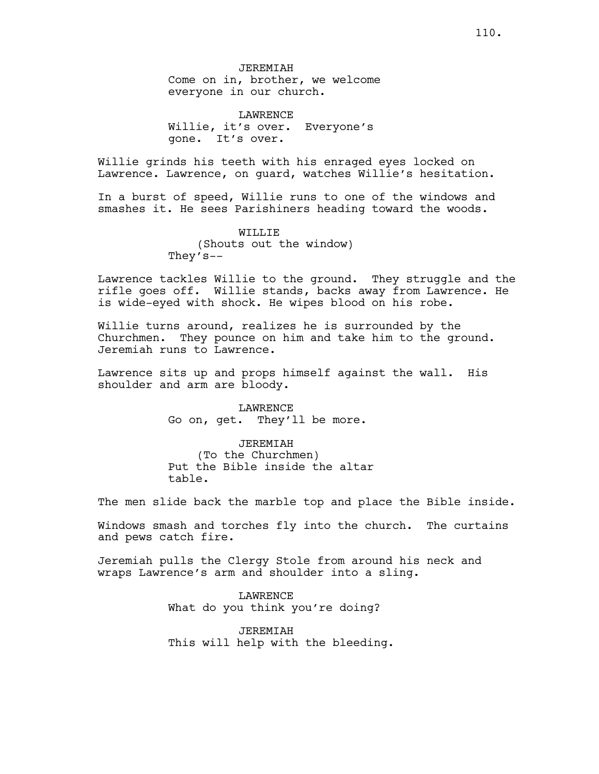LAWRENCE Willie, it's over. Everyone's gone. It's over.

Willie grinds his teeth with his enraged eyes locked on Lawrence. Lawrence, on guard, watches Willie's hesitation.

In a burst of speed, Willie runs to one of the windows and smashes it. He sees Parishiners heading toward the woods.

> WILLIE (Shouts out the window) They's--

Lawrence tackles Willie to the ground. They struggle and the rifle goes off. Willie stands, backs away from Lawrence. He is wide-eyed with shock. He wipes blood on his robe.

Willie turns around, realizes he is surrounded by the Churchmen. They pounce on him and take him to the ground. Jeremiah runs to Lawrence.

Lawrence sits up and props himself against the wall. His shoulder and arm are bloody.

> LAWRENCE Go on, get. They'll be more.

JEREMIAH (To the Churchmen) Put the Bible inside the altar table.

The men slide back the marble top and place the Bible inside.

Windows smash and torches fly into the church. The curtains and pews catch fire.

Jeremiah pulls the Clergy Stole from around his neck and wraps Lawrence's arm and shoulder into a sling.

> LAWRENCE What do you think you're doing?

JEREMIAH This will help with the bleeding.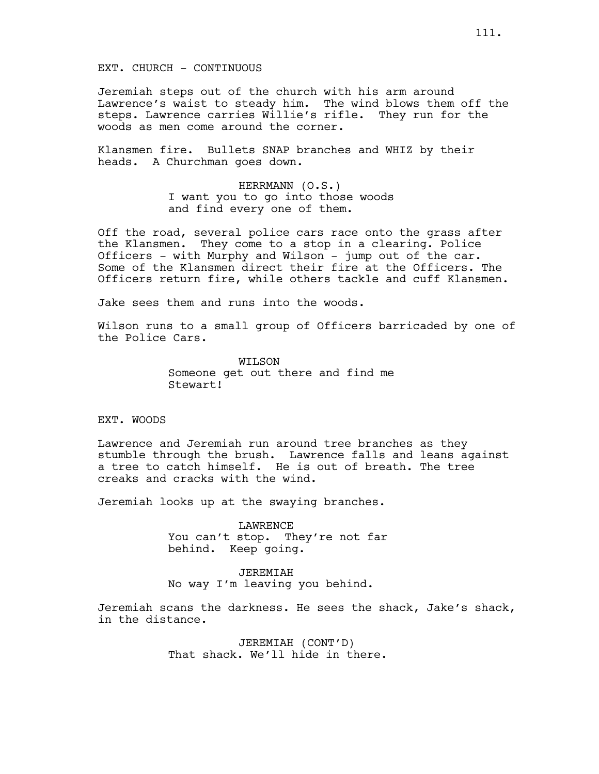EXT. CHURCH - CONTINUOUS

Jeremiah steps out of the church with his arm around Lawrence's waist to steady him. The wind blows them off the steps. Lawrence carries Willie's rifle. They run for the woods as men come around the corner.

Klansmen fire. Bullets SNAP branches and WHIZ by their heads. A Churchman goes down.

> HERRMANN (O.S.) I want you to go into those woods and find every one of them.

Off the road, several police cars race onto the grass after the Klansmen. They come to a stop in a clearing. Police Officers - with Murphy and Wilson - jump out of the car. Some of the Klansmen direct their fire at the Officers. The Officers return fire, while others tackle and cuff Klansmen.

Jake sees them and runs into the woods.

Wilson runs to a small group of Officers barricaded by one of the Police Cars.

> WILSON Someone get out there and find me Stewart!

EXT. WOODS

Lawrence and Jeremiah run around tree branches as they stumble through the brush. Lawrence falls and leans against a tree to catch himself. He is out of breath. The tree creaks and cracks with the wind.

Jeremiah looks up at the swaying branches.

LAWRENCE You can't stop. They're not far behind. Keep going.

JEREMIAH No way I'm leaving you behind.

Jeremiah scans the darkness. He sees the shack, Jake's shack, in the distance.

> JEREMIAH (CONT'D) That shack. We'll hide in there.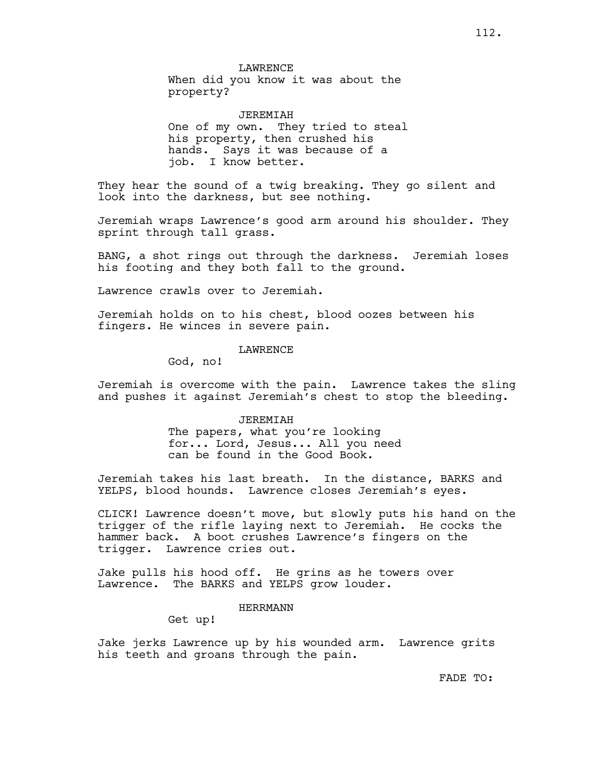LAWRENCE When did you know it was about the property?

JEREMIAH One of my own. They tried to steal his property, then crushed his hands. Says it was because of a job. I know better.

They hear the sound of a twig breaking. They go silent and look into the darkness, but see nothing.

Jeremiah wraps Lawrence's good arm around his shoulder. They sprint through tall grass.

BANG, a shot rings out through the darkness. Jeremiah loses his footing and they both fall to the ground.

Lawrence crawls over to Jeremiah.

Jeremiah holds on to his chest, blood oozes between his fingers. He winces in severe pain.

LAWRENCE

God, no!

Jeremiah is overcome with the pain. Lawrence takes the sling and pushes it against Jeremiah's chest to stop the bleeding.

JEREMIAH

The papers, what you're looking for... Lord, Jesus... All you need can be found in the Good Book.

Jeremiah takes his last breath. In the distance, BARKS and YELPS, blood hounds. Lawrence closes Jeremiah's eyes.

CLICK! Lawrence doesn't move, but slowly puts his hand on the trigger of the rifle laying next to Jeremiah. He cocks the hammer back. A boot crushes Lawrence's fingers on the trigger. Lawrence cries out.

Jake pulls his hood off. He grins as he towers over Lawrence. The BARKS and YELPS grow louder.

# HERRMANN

Get up!

Jake jerks Lawrence up by his wounded arm. Lawrence grits his teeth and groans through the pain.

FADE TO: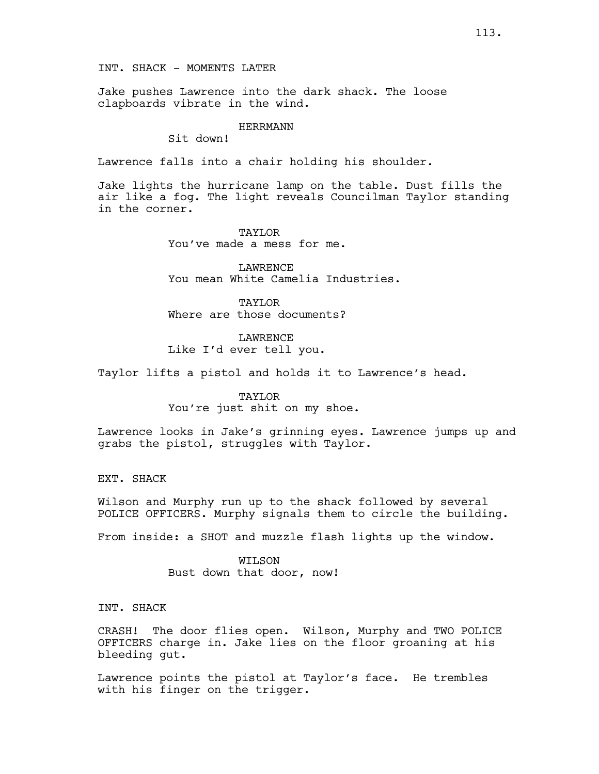INT. SHACK - MOMENTS LATER

Jake pushes Lawrence into the dark shack. The loose clapboards vibrate in the wind.

### HERRMANN

Sit down!

Lawrence falls into a chair holding his shoulder.

Jake lights the hurricane lamp on the table. Dust fills the air like a fog. The light reveals Councilman Taylor standing in the corner.

> TAYLOR You've made a mess for me.

LAWRENCE You mean White Camelia Industries.

TAYLOR Where are those documents?

LAWRENCE Like I'd ever tell you.

Taylor lifts a pistol and holds it to Lawrence's head.

## TAYLOR

You're just shit on my shoe.

Lawrence looks in Jake's grinning eyes. Lawrence jumps up and grabs the pistol, struggles with Taylor.

EXT. SHACK

Wilson and Murphy run up to the shack followed by several POLICE OFFICERS. Murphy signals them to circle the building.

From inside: a SHOT and muzzle flash lights up the window.

WILSON Bust down that door, now!

INT. SHACK

CRASH! The door flies open. Wilson, Murphy and TWO POLICE OFFICERS charge in. Jake lies on the floor groaning at his bleeding gut.

Lawrence points the pistol at Taylor's face. He trembles with his finger on the trigger.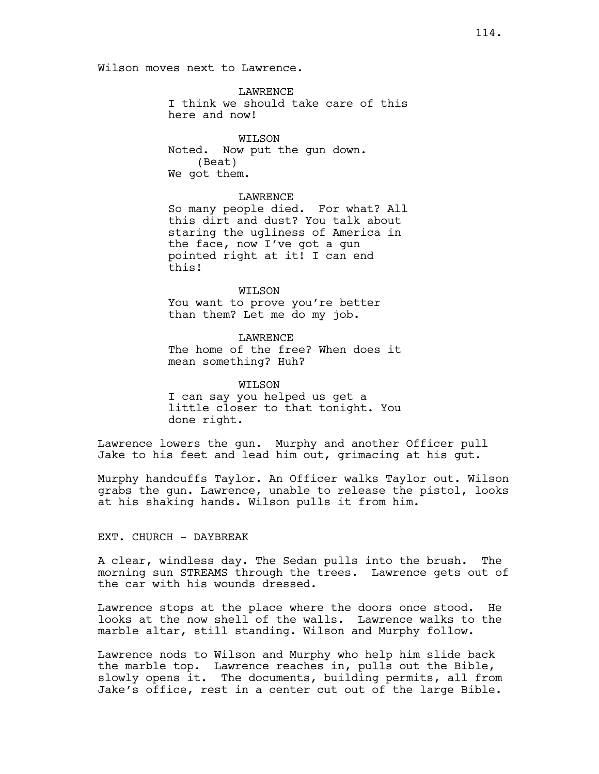Wilson moves next to Lawrence.

LAWRENCE I think we should take care of this here and now!

WILSON Noted. Now put the gun down. (Beat) We got them.

## LAWRENCE

So many people died. For what? All this dirt and dust? You talk about staring the ugliness of America in the face, now I've got a gun pointed right at it! I can end this!

WILSON You want to prove you're better than them? Let me do my job.

LAWRENCE The home of the free? When does it mean something? Huh?

WILSON I can say you helped us get a little closer to that tonight. You done right.

Lawrence lowers the gun. Murphy and another Officer pull Jake to his feet and lead him out, grimacing at his gut.

Murphy handcuffs Taylor. An Officer walks Taylor out. Wilson grabs the gun. Lawrence, unable to release the pistol, looks at his shaking hands. Wilson pulls it from him.

# EXT. CHURCH - DAYBREAK

A clear, windless day. The Sedan pulls into the brush. The morning sun STREAMS through the trees. Lawrence gets out of the car with his wounds dressed.

Lawrence stops at the place where the doors once stood. He looks at the now shell of the walls. Lawrence walks to the marble altar, still standing. Wilson and Murphy follow.

Lawrence nods to Wilson and Murphy who help him slide back the marble top. Lawrence reaches in, pulls out the Bible, slowly opens it. The documents, building permits, all from Jake's office, rest in a center cut out of the large Bible.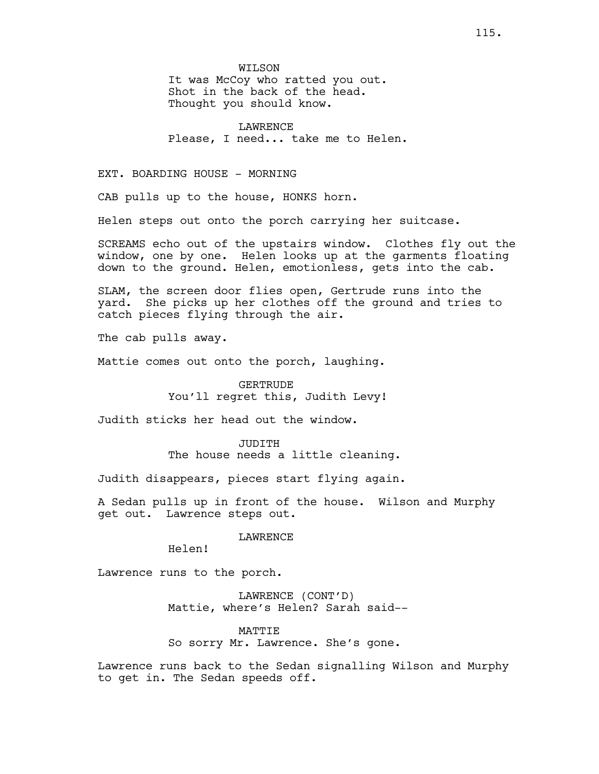WILSON

It was McCoy who ratted you out. Shot in the back of the head. Thought you should know.

**LAWRENCE** Please, I need... take me to Helen.

# EXT. BOARDING HOUSE - MORNING

CAB pulls up to the house, HONKS horn.

Helen steps out onto the porch carrying her suitcase.

SCREAMS echo out of the upstairs window. Clothes fly out the window, one by one. Helen looks up at the garments floating down to the ground. Helen, emotionless, gets into the cab.

SLAM, the screen door flies open, Gertrude runs into the yard. She picks up her clothes off the ground and tries to catch pieces flying through the air.

The cab pulls away.

Mattie comes out onto the porch, laughing.

GERTRUDE You'll regret this, Judith Levy!

Judith sticks her head out the window.

JUDITH The house needs a little cleaning.

Judith disappears, pieces start flying again.

A Sedan pulls up in front of the house. Wilson and Murphy get out. Lawrence steps out.

### **LAWRENCE**

Helen!

Lawrence runs to the porch.

LAWRENCE (CONT'D) Mattie, where's Helen? Sarah said--

MATTIE

So sorry Mr. Lawrence. She's gone.

Lawrence runs back to the Sedan signalling Wilson and Murphy to get in. The Sedan speeds off.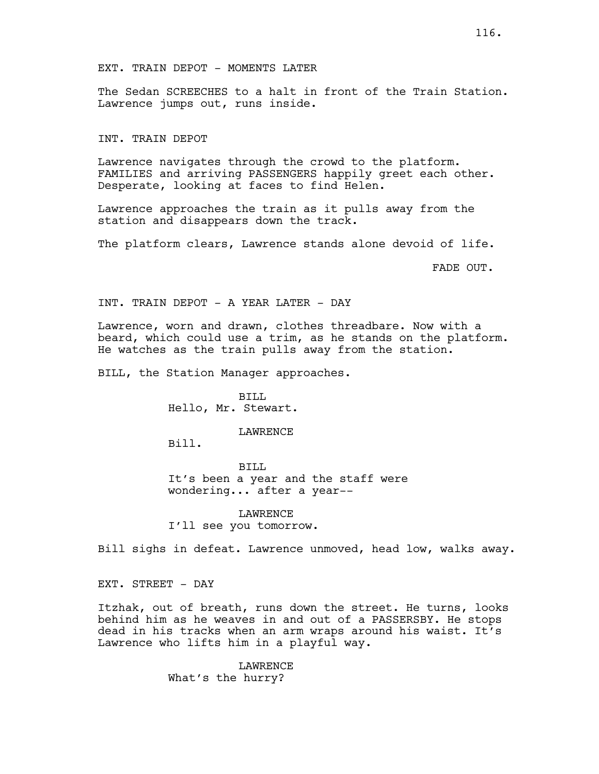The Sedan SCREECHES to a halt in front of the Train Station. Lawrence jumps out, runs inside.

### INT. TRAIN DEPOT

Lawrence navigates through the crowd to the platform. FAMILIES and arriving PASSENGERS happily greet each other. Desperate, looking at faces to find Helen.

Lawrence approaches the train as it pulls away from the station and disappears down the track.

The platform clears, Lawrence stands alone devoid of life.

FADE OUT.

INT. TRAIN DEPOT - A YEAR LATER - DAY

Lawrence, worn and drawn, clothes threadbare. Now with a beard, which could use a trim, as he stands on the platform. He watches as the train pulls away from the station.

BILL, the Station Manager approaches.

BILL Hello, Mr. Stewart.

#### LAWRENCE

Bill.

BILL It's been a year and the staff were wondering... after a year--

LAWRENCE I'll see you tomorrow.

Bill sighs in defeat. Lawrence unmoved, head low, walks away.

EXT. STREET - DAY

Itzhak, out of breath, runs down the street. He turns, looks behind him as he weaves in and out of a PASSERSBY. He stops dead in his tracks when an arm wraps around his waist. It's Lawrence who lifts him in a playful way.

> LAWRENCE What's the hurry?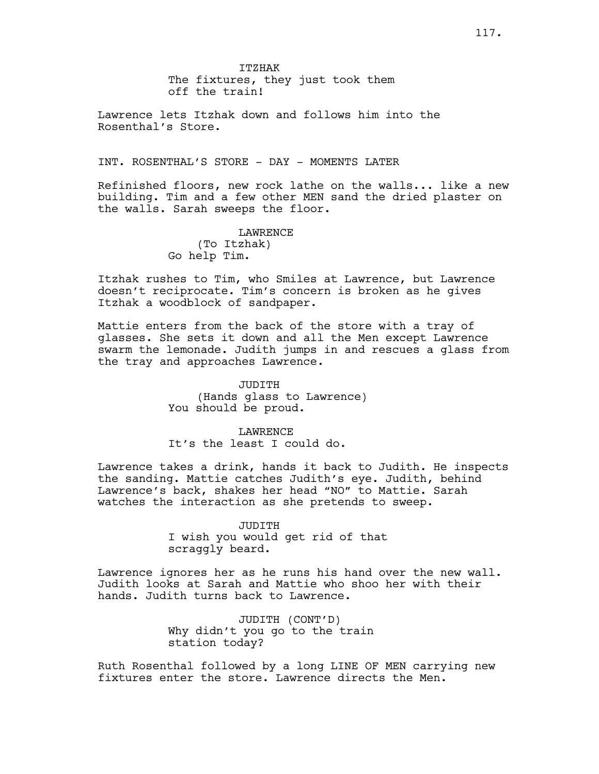ITZHAK The fixtures, they just took them off the train!

Lawrence lets Itzhak down and follows him into the Rosenthal's Store.

INT. ROSENTHAL'S STORE - DAY - MOMENTS LATER

Refinished floors, new rock lathe on the walls... like a new building. Tim and a few other MEN sand the dried plaster on the walls. Sarah sweeps the floor.

> LAWRENCE (To Itzhak) Go help Tim.

Itzhak rushes to Tim, who Smiles at Lawrence, but Lawrence doesn't reciprocate. Tim's concern is broken as he gives Itzhak a woodblock of sandpaper.

Mattie enters from the back of the store with a tray of glasses. She sets it down and all the Men except Lawrence swarm the lemonade. Judith jumps in and rescues a glass from the tray and approaches Lawrence.

> JUDITH (Hands glass to Lawrence) You should be proud.

LAWRENCE It's the least I could do.

Lawrence takes a drink, hands it back to Judith. He inspects the sanding. Mattie catches Judith's eye. Judith, behind Lawrence's back, shakes her head "NO" to Mattie. Sarah watches the interaction as she pretends to sweep.

> JUDITH I wish you would get rid of that scraggly beard.

Lawrence ignores her as he runs his hand over the new wall. Judith looks at Sarah and Mattie who shoo her with their hands. Judith turns back to Lawrence.

> JUDITH (CONT'D) Why didn't you go to the train station today?

Ruth Rosenthal followed by a long LINE OF MEN carrying new fixtures enter the store. Lawrence directs the Men.